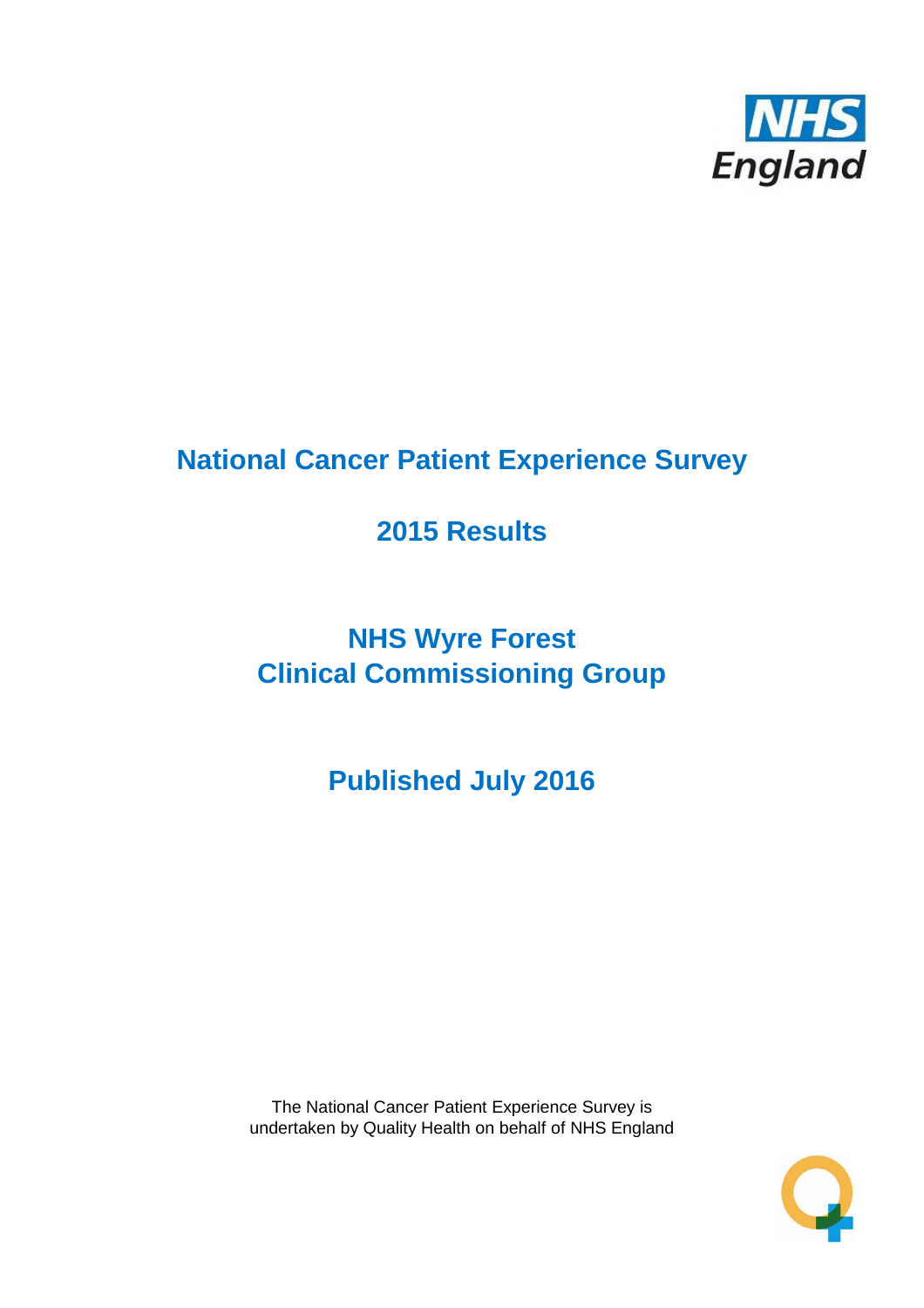

## **National Cancer Patient Experience Survey**

## **2015 Results**

# **NHS Wyre Forest Clinical Commissioning Group**

**Published July 2016**

The National Cancer Patient Experience Survey is undertaken by Quality Health on behalf of NHS England

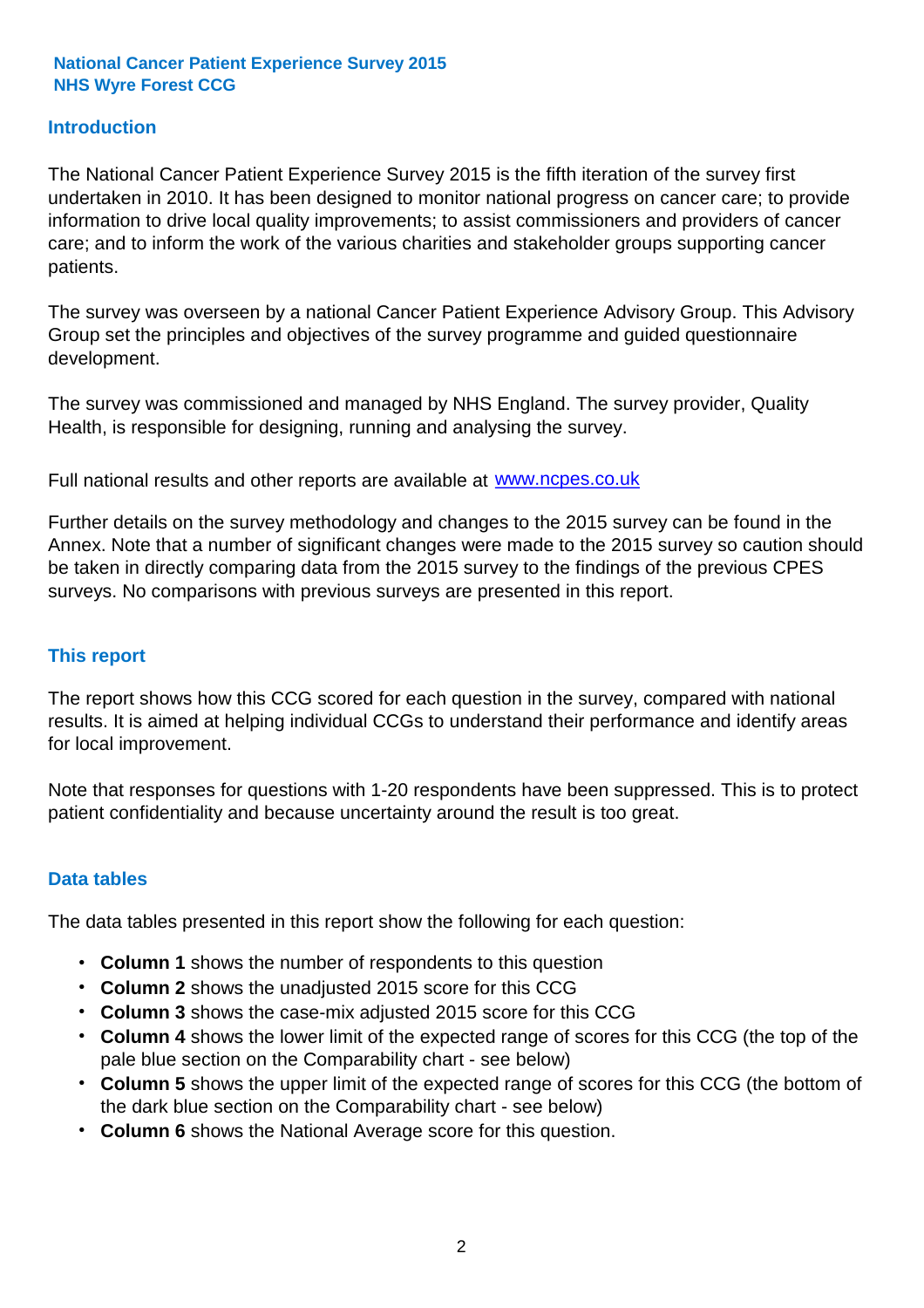## **Introduction**

The National Cancer Patient Experience Survey 2015 is the fifth iteration of the survey first undertaken in 2010. It has been designed to monitor national progress on cancer care; to provide information to drive local quality improvements; to assist commissioners and providers of cancer care; and to inform the work of the various charities and stakeholder groups supporting cancer patients.

The survey was overseen by a national Cancer Patient Experience Advisory Group. This Advisory Group set the principles and objectives of the survey programme and guided questionnaire development.

The survey was commissioned and managed by NHS England. The survey provider, Quality Health, is responsible for designing, running and analysing the survey.

Full national results and other reports are available at www.ncpes.co.uk

Further details on the survey methodology and changes to the 2015 survey can be found in the Annex. Note that a number of significant changes were made to the 2015 survey so caution should be taken in directly comparing data from the 2015 survey to the findings of the previous CPES surveys. No comparisons with previous surveys are presented in this report.

### **This report**

The report shows how this CCG scored for each question in the survey, compared with national results. It is aimed at helping individual CCGs to understand their performance and identify areas for local improvement.

Note that responses for questions with 1-20 respondents have been suppressed. This is to protect patient confidentiality and because uncertainty around the result is too great.

### **Data tables**

The data tables presented in this report show the following for each question:

- **Column 1** shows the number of respondents to this question
- **Column 2** shows the unadjusted 2015 score for this CCG
- **Column 3** shows the case-mix adjusted 2015 score for this CCG
- **Column 4** shows the lower limit of the expected range of scores for this CCG (the top of the pale blue section on the Comparability chart - see below)
- **Column 5** shows the upper limit of the expected range of scores for this CCG (the bottom of the dark blue section on the Comparability chart - see below)
- **Column 6** shows the National Average score for this question.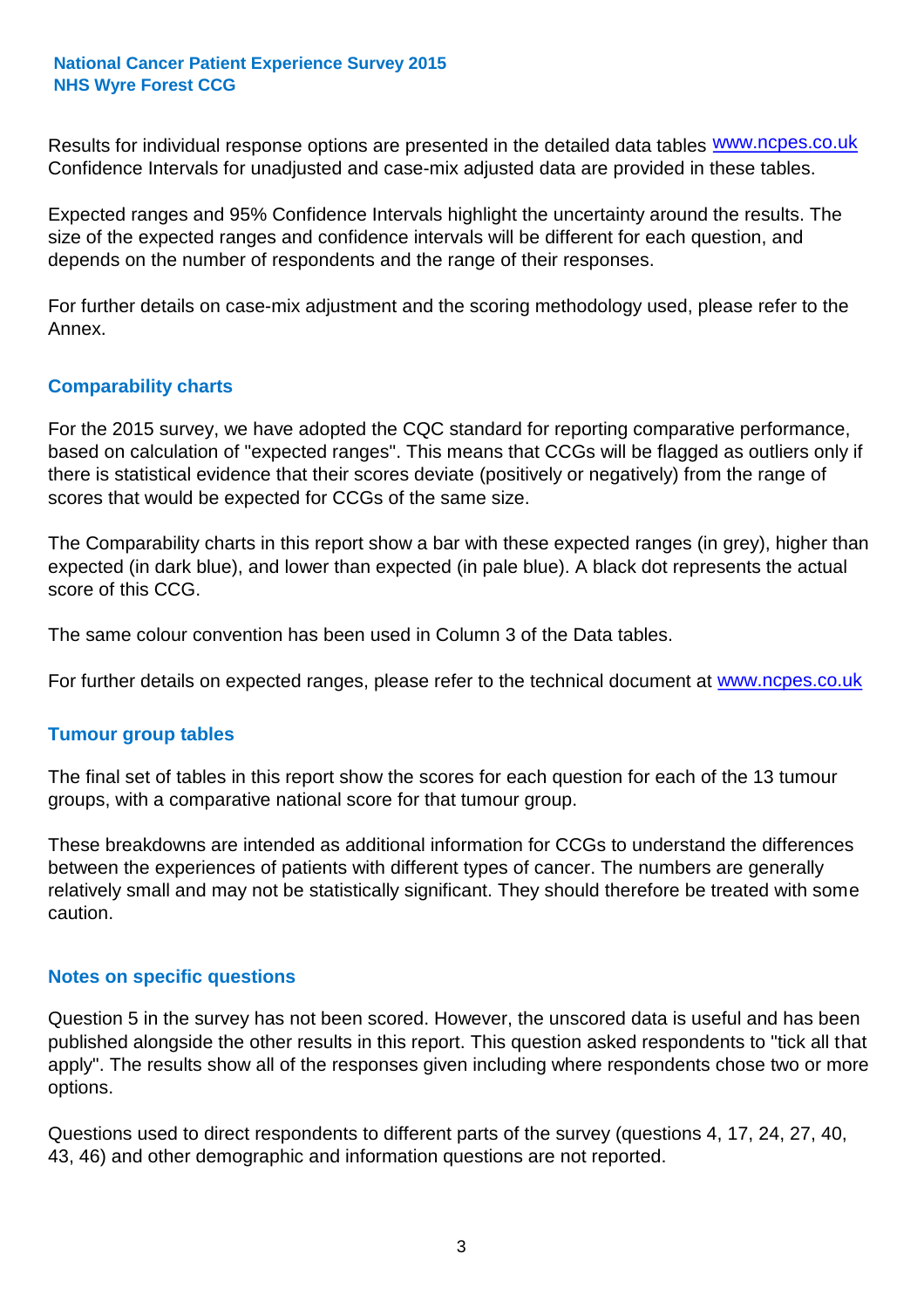Results for individual response options are presented in the detailed data tables **WWW.ncpes.co.uk** Confidence Intervals for unadjusted and case-mix adjusted data are provided in these tables.

Expected ranges and 95% Confidence Intervals highlight the uncertainty around the results. The size of the expected ranges and confidence intervals will be different for each question, and depends on the number of respondents and the range of their responses.

For further details on case-mix adjustment and the scoring methodology used, please refer to the Annex.

## **Comparability charts**

For the 2015 survey, we have adopted the CQC standard for reporting comparative performance, based on calculation of "expected ranges". This means that CCGs will be flagged as outliers only if there is statistical evidence that their scores deviate (positively or negatively) from the range of scores that would be expected for CCGs of the same size.

The Comparability charts in this report show a bar with these expected ranges (in grey), higher than expected (in dark blue), and lower than expected (in pale blue). A black dot represents the actual score of this CCG.

The same colour convention has been used in Column 3 of the Data tables.

For further details on expected ranges, please refer to the technical document at **www.ncpes.co.uk** 

### **Tumour group tables**

The final set of tables in this report show the scores for each question for each of the 13 tumour groups, with a comparative national score for that tumour group.

These breakdowns are intended as additional information for CCGs to understand the differences between the experiences of patients with different types of cancer. The numbers are generally relatively small and may not be statistically significant. They should therefore be treated with some caution.

### **Notes on specific questions**

Question 5 in the survey has not been scored. However, the unscored data is useful and has been published alongside the other results in this report. This question asked respondents to "tick all that apply". The results show all of the responses given including where respondents chose two or more options.

Questions used to direct respondents to different parts of the survey (questions 4, 17, 24, 27, 40, 43, 46) and other demographic and information questions are not reported.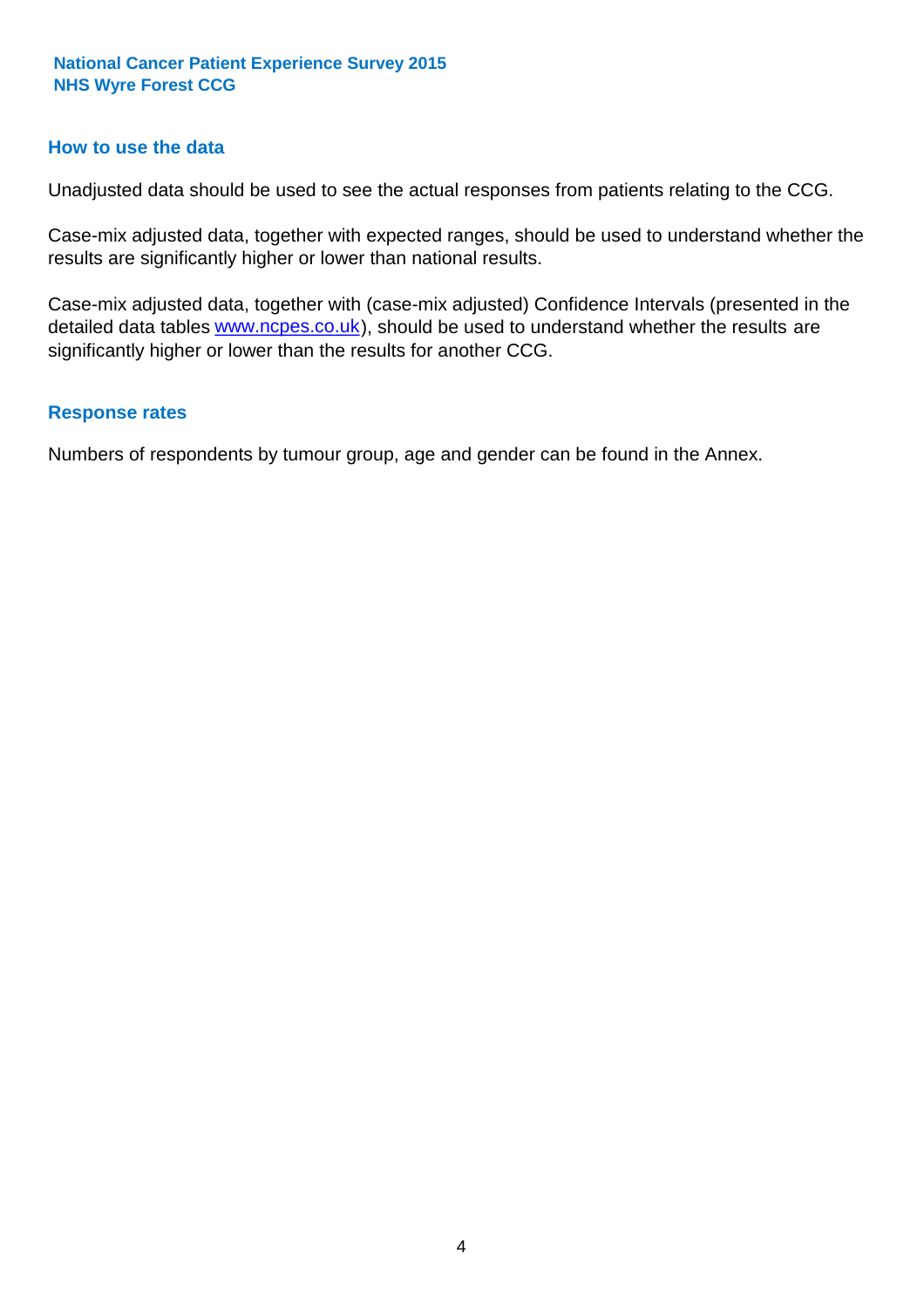### **How to use the data**

Unadjusted data should be used to see the actual responses from patients relating to the CCG.

Case-mix adjusted data, together with expected ranges, should be used to understand whether the results are significantly higher or lower than national results.

Case-mix adjusted data, together with (case-mix adjusted) Confidence Intervals (presented in the detailed data tables **www.ncpes.co.uk**), should be used to understand whether the results are significantly higher or lower than the results for another CCG.

#### **Response rates**

Numbers of respondents by tumour group, age and gender can be found in the Annex.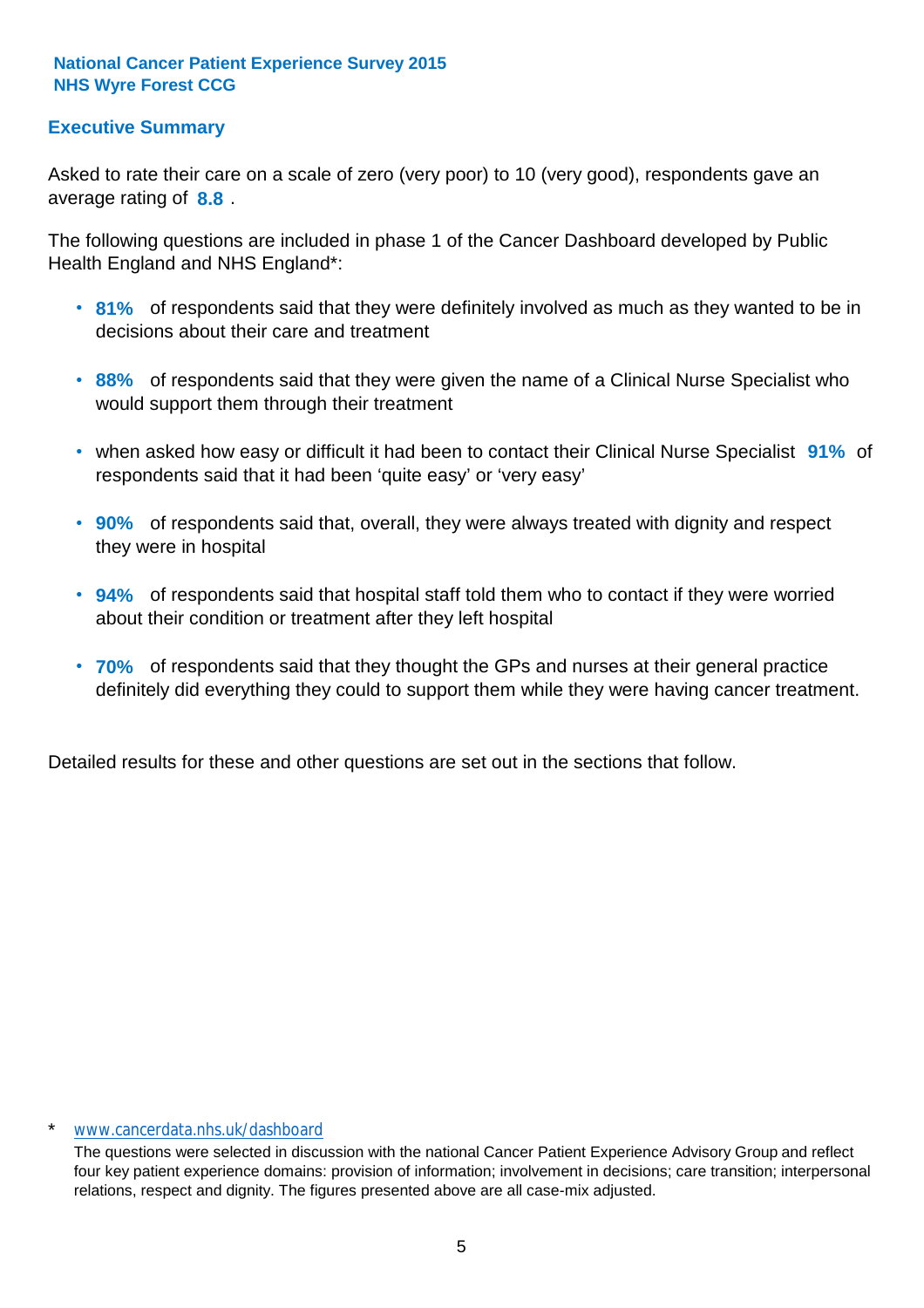## **Executive Summary**

average rating of **8.8**. Asked to rate their care on a scale of zero (very poor) to 10 (very good), respondents gave an

The following questions are included in phase 1 of the Cancer Dashboard developed by Public Health England and NHS England\*:

- **81%** of respondents said that they were definitely involved as much as they wanted to be in decisions about their care and treatment
- **88%** of respondents said that they were given the name of a Clinical Nurse Specialist who would support them through their treatment
- when asked how easy or difficult it had been to contact their Clinical Nurse Specialist 91% of respondents said that it had been 'quite easy' or 'very easy'
- **90%** of respondents said that, overall, they were always treated with dignity and respect they were in hospital
- **94%** of respondents said that hospital staff told them who to contact if they were worried about their condition or treatment after they left hospital
- **70%** of respondents said that they thought the GPs and nurses at their general practice definitely did everything they could to support them while they were having cancer treatment.

Detailed results for these and other questions are set out in the sections that follow.

#### \* www.cancerdata.nhs.uk/dashboard

The questions were selected in discussion with the national Cancer Patient Experience Advisory Group and reflect four key patient experience domains: provision of information; involvement in decisions; care transition; interpersonal relations, respect and dignity. The figures presented above are all case-mix adjusted.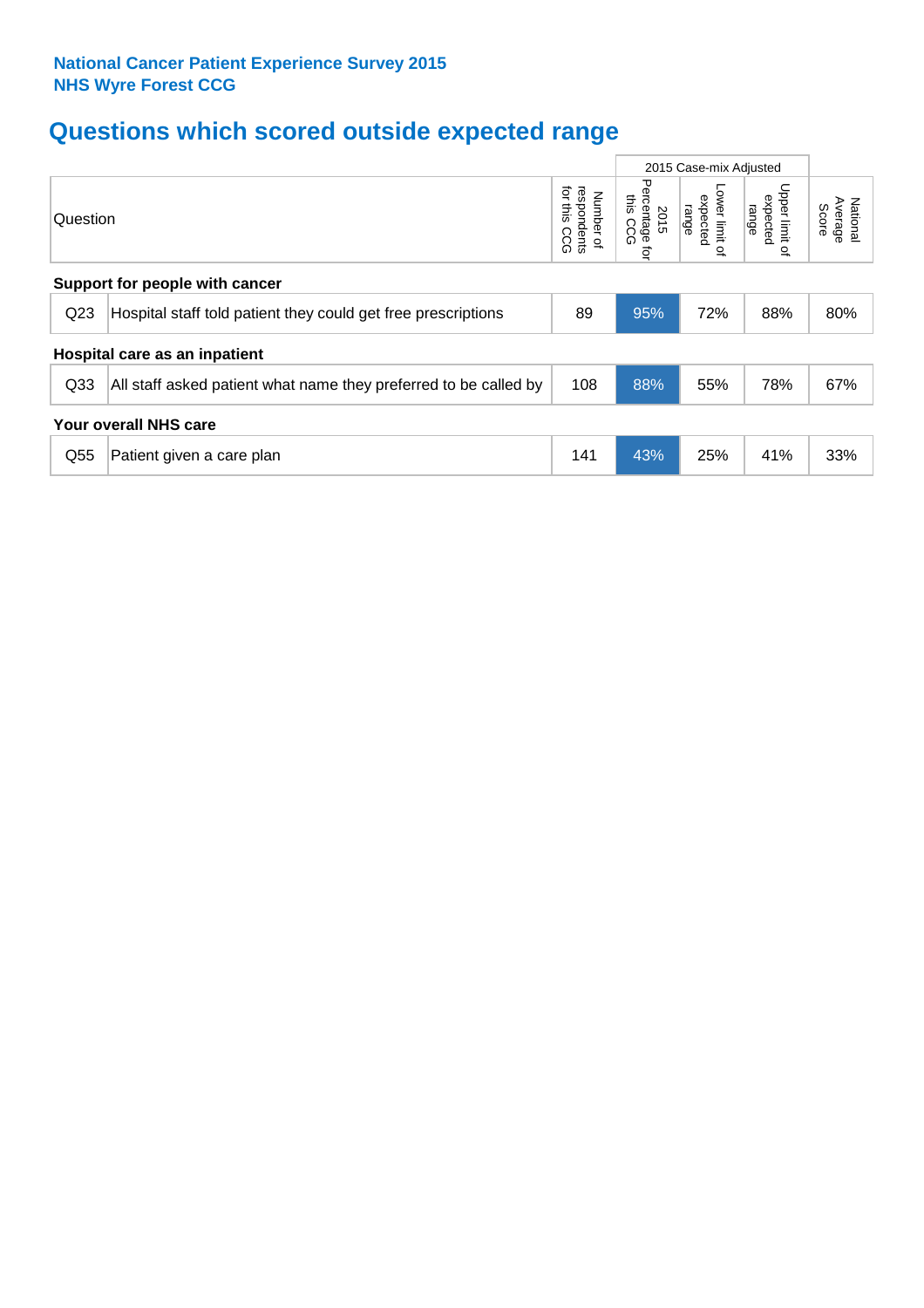## **Questions which scored outside expected range**

|                       |                                                                  |                                             |                                         | 2015 Case-mix Adjusted                       |                                              |                              |  |
|-----------------------|------------------------------------------------------------------|---------------------------------------------|-----------------------------------------|----------------------------------------------|----------------------------------------------|------------------------------|--|
| Question              |                                                                  | for this<br>respondents<br>Number of<br>ccg | Percentage<br>this<br>2015<br>ccg<br>ţa | Lower limit<br>expected<br>range<br>$\Omega$ | Upper limit<br>expected<br>range<br>$\Omega$ | Average<br>National<br>Score |  |
|                       | Support for people with cancer                                   |                                             |                                         |                                              |                                              |                              |  |
| Q <sub>23</sub>       | Hospital staff told patient they could get free prescriptions    | 89                                          | 95%                                     | 72%                                          | 88%                                          | 80%                          |  |
|                       | Hospital care as an inpatient                                    |                                             |                                         |                                              |                                              |                              |  |
| Q <sub>33</sub>       | All staff asked patient what name they preferred to be called by | 108                                         | 88%                                     | 55%                                          | 78%                                          | 67%                          |  |
| Your overall NHS care |                                                                  |                                             |                                         |                                              |                                              |                              |  |
| Q <sub>55</sub>       | Patient given a care plan                                        | 141                                         | 43%                                     | 25%                                          | 41%                                          | 33%                          |  |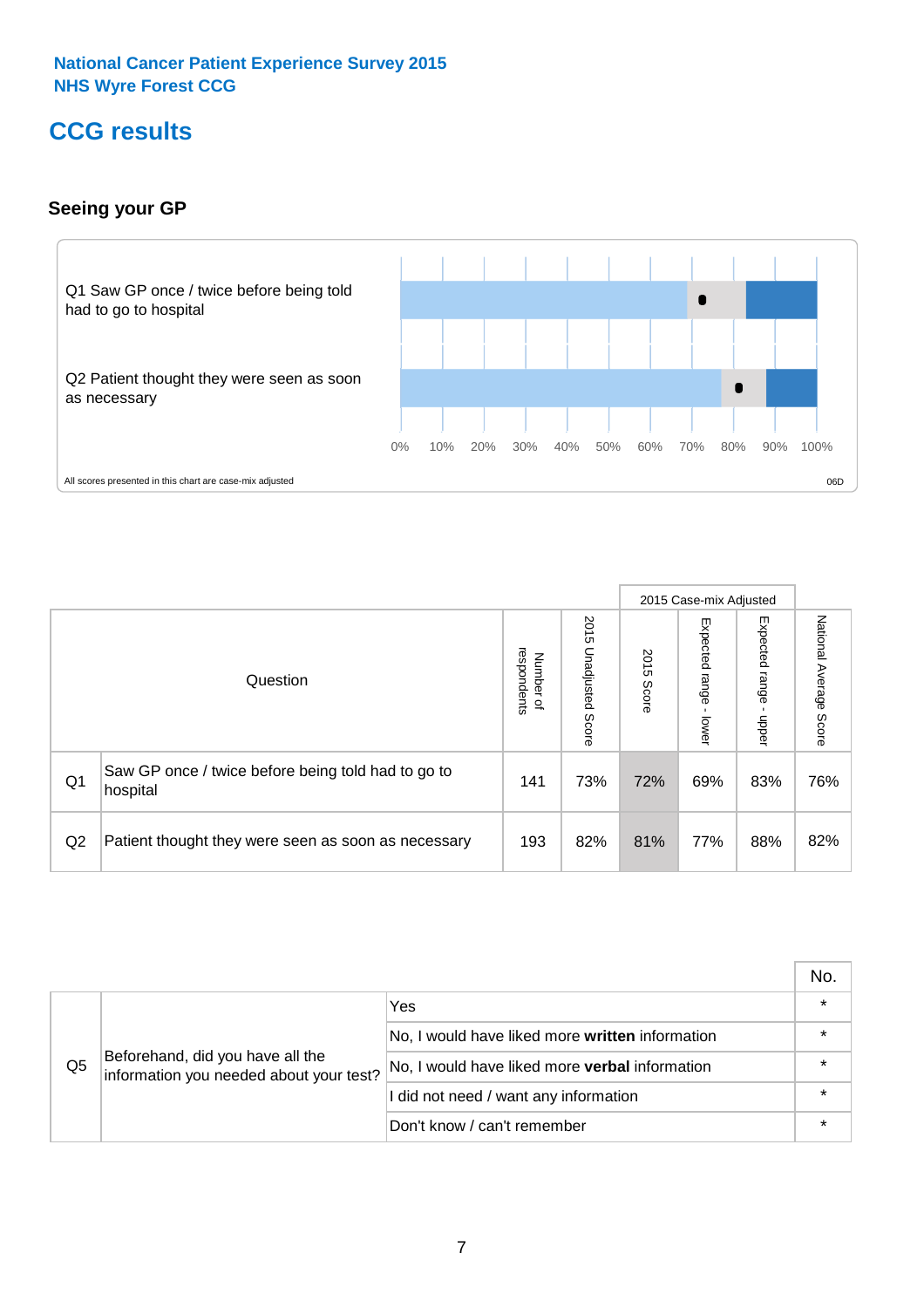## **CCG results**

## **Seeing your GP**



|    |                                                                |                                         |                             |               | 2015 Case-mix Adjusted     |                            |                           |
|----|----------------------------------------------------------------|-----------------------------------------|-----------------------------|---------------|----------------------------|----------------------------|---------------------------|
|    | Question                                                       | respondents<br>Number<br>$\overline{a}$ | 2015<br>Unadjusted<br>Score | 2015<br>Score | Expected<br>range<br>lower | Expected<br>range<br>nbber | National Average<br>Score |
| Q1 | Saw GP once / twice before being told had to go to<br>hospital | 141                                     | 73%                         | 72%           | 69%                        | 83%                        | 76%                       |
| Q2 | Patient thought they were seen as soon as necessary            | 193                                     | 82%                         | 81%           | 77%                        | 88%                        | 82%                       |

|    |                                                                             |                                                 | No. |
|----|-----------------------------------------------------------------------------|-------------------------------------------------|-----|
|    | Beforehand, did you have all the<br>information you needed about your test? | Yes                                             |     |
| Q5 |                                                                             | No, I would have liked more written information |     |
|    |                                                                             | No, I would have liked more verbal information  |     |
|    |                                                                             | I did not need / want any information           |     |
|    |                                                                             | Don't know / can't remember                     |     |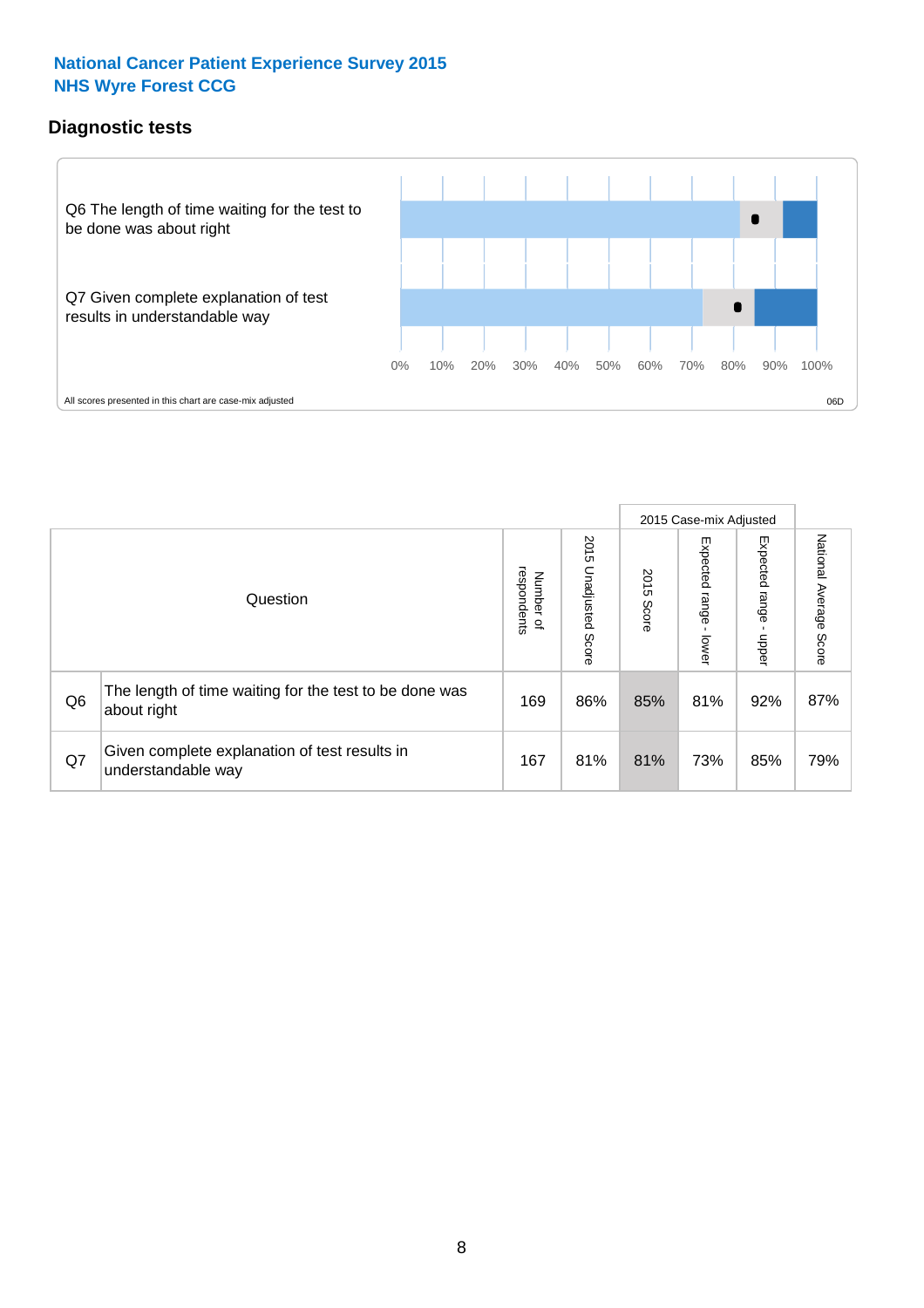## **Diagnostic tests**



|                |                                                                       |                                       |                             |               | 2015 Case-mix Adjusted  |                         |                           |
|----------------|-----------------------------------------------------------------------|---------------------------------------|-----------------------------|---------------|-------------------------|-------------------------|---------------------------|
|                | Question                                                              | respondents<br>Number<br>$\mathbf{Q}$ | 2015<br>Unadjusted<br>Score | 2015<br>Score | Expected range<br>lower | Expected range<br>nbber | National Average<br>Score |
| Q <sub>6</sub> | The length of time waiting for the test to be done was<br>about right | 169                                   | 86%                         | 85%           | 81%                     | 92%                     | 87%                       |
| Q7             | Given complete explanation of test results in<br>understandable way   | 167                                   | 81%                         | 81%           | 73%                     | 85%                     | 79%                       |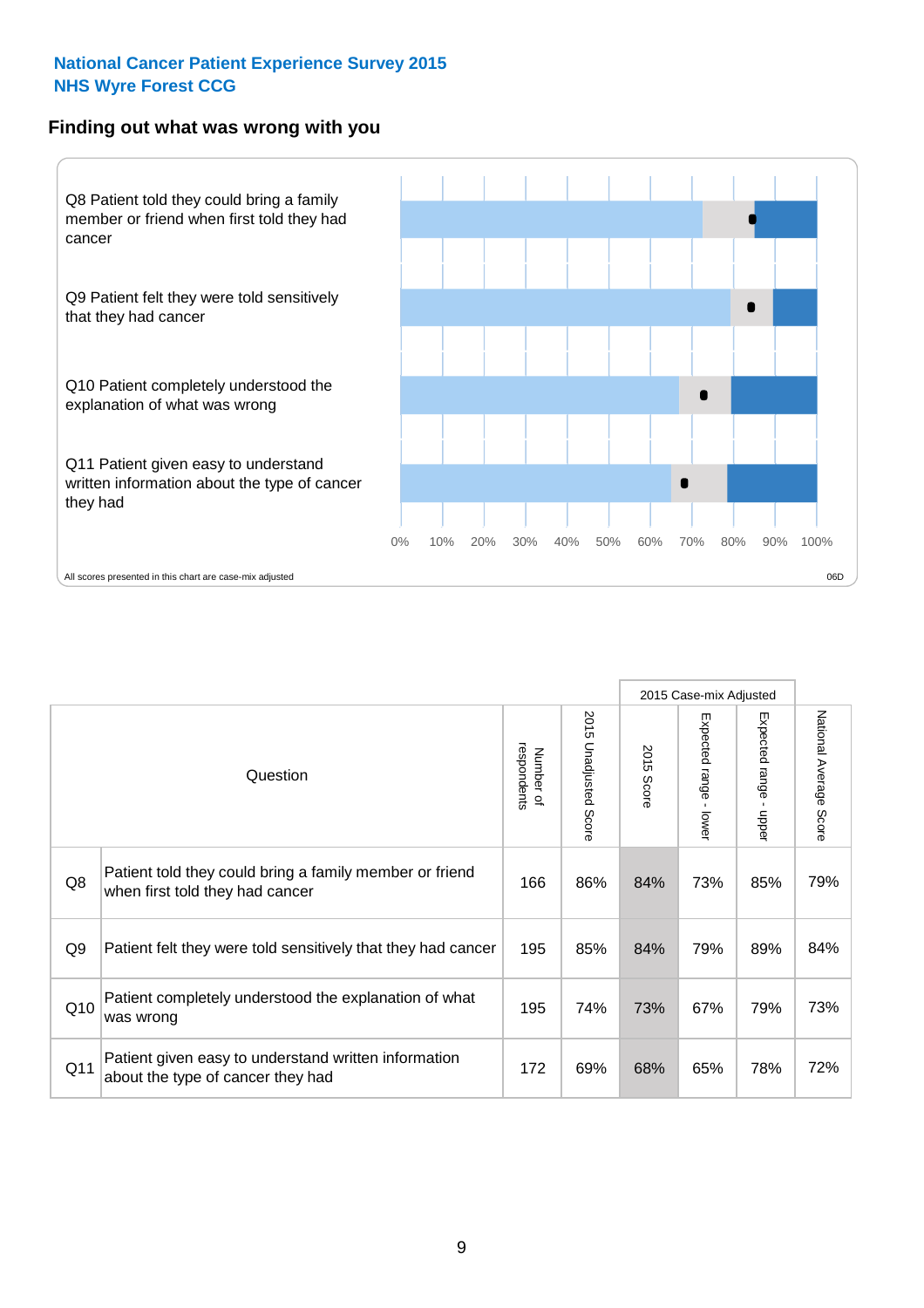## **Finding out what was wrong with you**



|                 |                                                                                            |                          |                             |               | 2015 Case-mix Adjusted                      |                           |                        |
|-----------------|--------------------------------------------------------------------------------------------|--------------------------|-----------------------------|---------------|---------------------------------------------|---------------------------|------------------------|
|                 | Question                                                                                   | respondents<br>Number of | 2015<br>Unadjusted<br>Score | 2015<br>Score | Expected range<br>$\blacksquare$<br>- lower | Expected range -<br>hbber | National Average Score |
| Q8              | Patient told they could bring a family member or friend<br>when first told they had cancer | 166                      | 86%                         | 84%           | 73%                                         | 85%                       | 79%                    |
| Q <sub>9</sub>  | Patient felt they were told sensitively that they had cancer                               | 195                      | 85%                         | 84%           | 79%                                         | 89%                       | 84%                    |
| Q10             | Patient completely understood the explanation of what<br>was wrong                         | 195                      | 74%                         | 73%           | 67%                                         | 79%                       | 73%                    |
| Q <sub>11</sub> | Patient given easy to understand written information<br>about the type of cancer they had  | 172                      | 69%                         | 68%           | 65%                                         | 78%                       | 72%                    |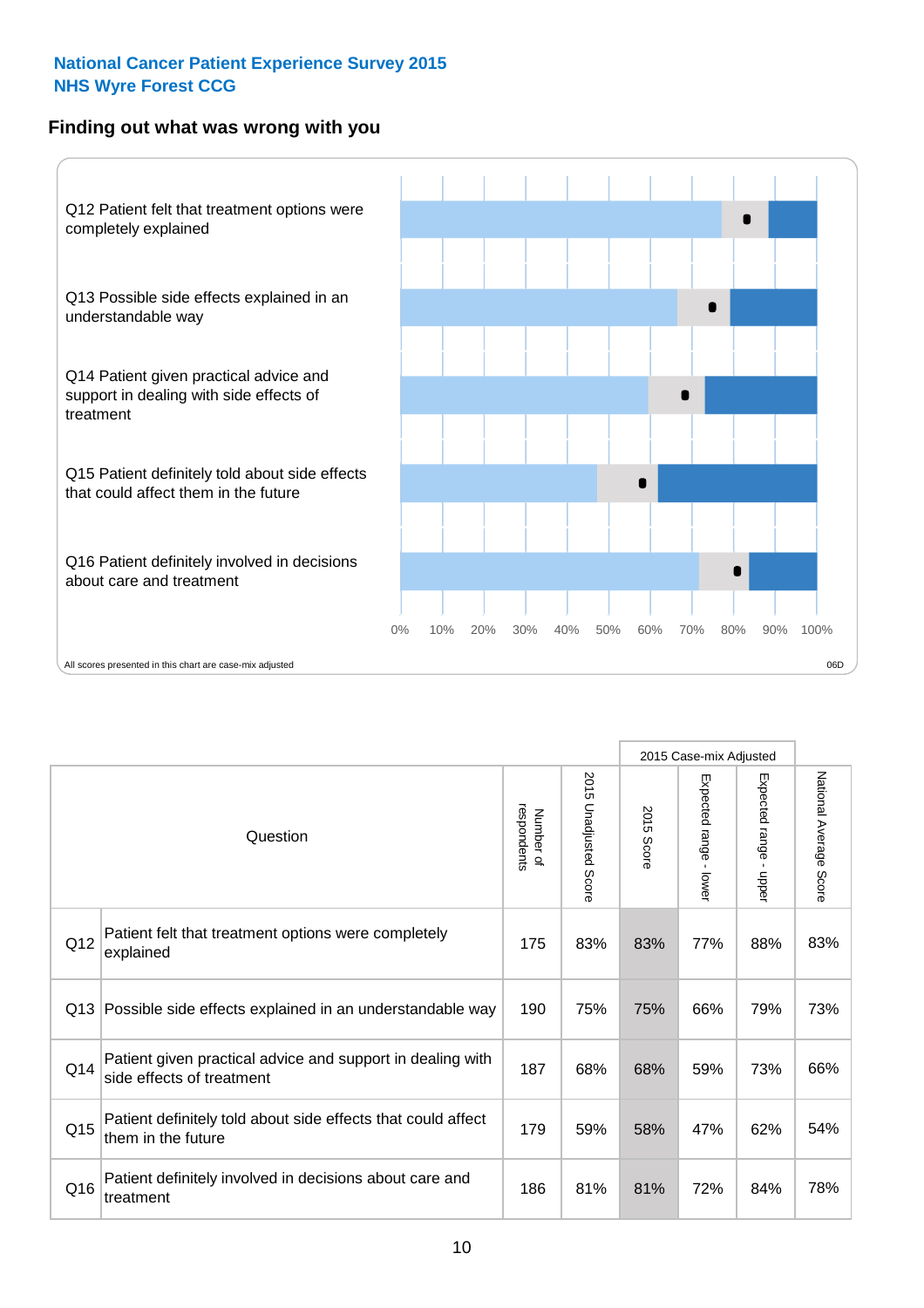## **Finding out what was wrong with you**



|     |                                                                                         |                          |                       |            | 2015 Case-mix Adjusted                    |                           |                        |
|-----|-----------------------------------------------------------------------------------------|--------------------------|-----------------------|------------|-------------------------------------------|---------------------------|------------------------|
|     | Question                                                                                | respondents<br>Number of | 2015 Unadjusted Score | 2015 Score | Expected range<br>$\blacksquare$<br>lower | Expected range -<br>nbber | National Average Score |
| Q12 | Patient felt that treatment options were completely<br>explained                        | 175                      | 83%                   | 83%        | 77%                                       | 88%                       | 83%                    |
| Q13 | Possible side effects explained in an understandable way                                | 190                      | 75%                   | 75%        | 66%                                       | 79%                       | 73%                    |
| Q14 | Patient given practical advice and support in dealing with<br>side effects of treatment | 187                      | 68%                   | 68%        | 59%                                       | 73%                       | 66%                    |
| Q15 | Patient definitely told about side effects that could affect<br>them in the future      | 179                      | 59%                   | 58%        | 47%                                       | 62%                       | 54%                    |
| Q16 | Patient definitely involved in decisions about care and<br>treatment                    | 186                      | 81%                   | 81%        | 72%                                       | 84%                       | 78%                    |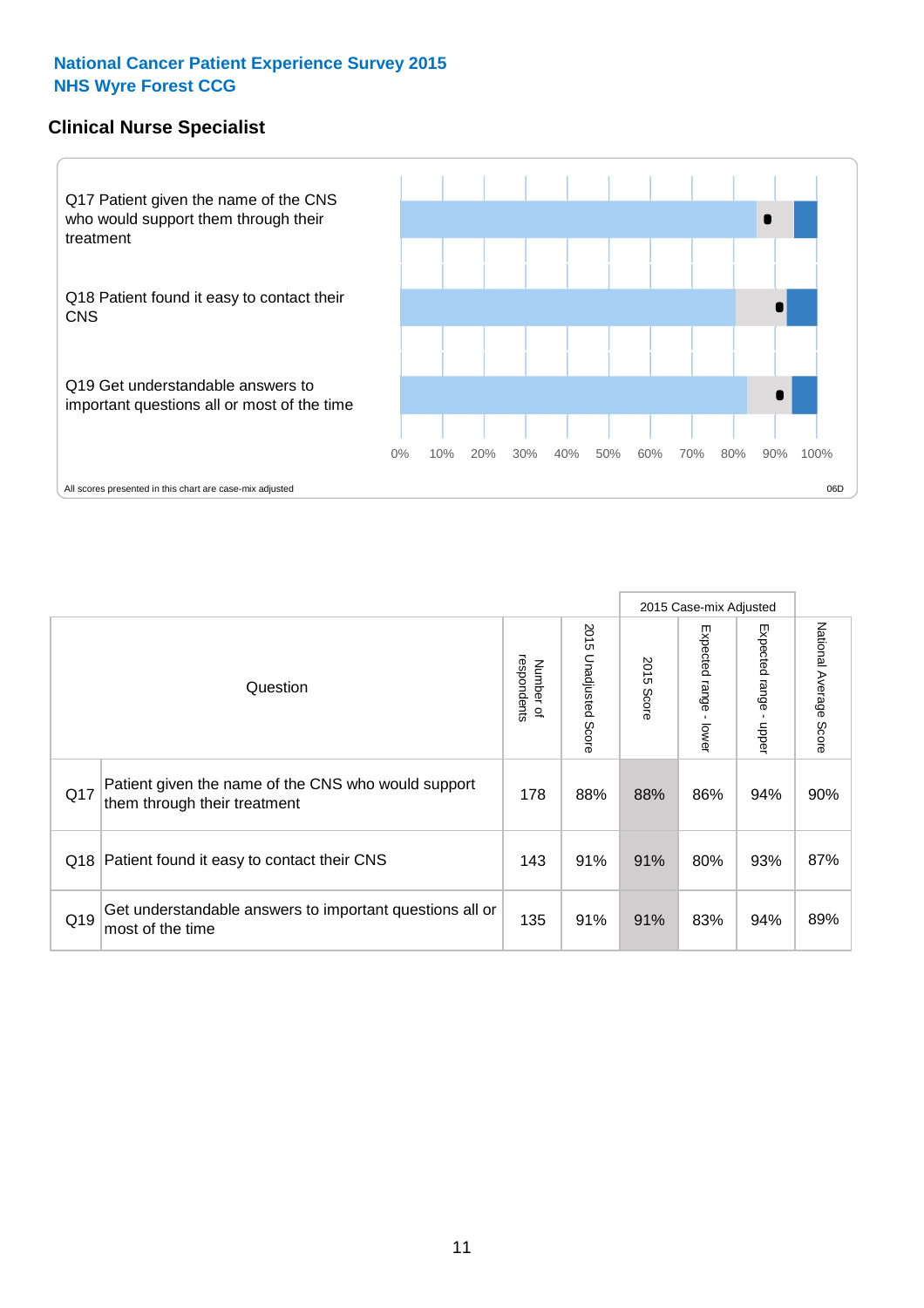## **Clinical Nurse Specialist**



|     |                                                                                     |                          |                       |               | 2015 Case-mix Adjusted  |                         |                                  |
|-----|-------------------------------------------------------------------------------------|--------------------------|-----------------------|---------------|-------------------------|-------------------------|----------------------------------|
|     | Question                                                                            | respondents<br>Number of | 2015 Unadjusted Score | 2015<br>Score | Expected range<br>lower | Expected range<br>nbber | National Average<br><b>Score</b> |
| Q17 | Patient given the name of the CNS who would support<br>them through their treatment | 178                      | 88%                   | 88%           | 86%                     | 94%                     | 90%                              |
| Q18 | Patient found it easy to contact their CNS                                          | 143                      | 91%                   | 91%           | 80%                     | 93%                     | 87%                              |
| Q19 | Get understandable answers to important questions all or<br>most of the time        | 135                      | 91%                   | 91%           | 83%                     | 94%                     | 89%                              |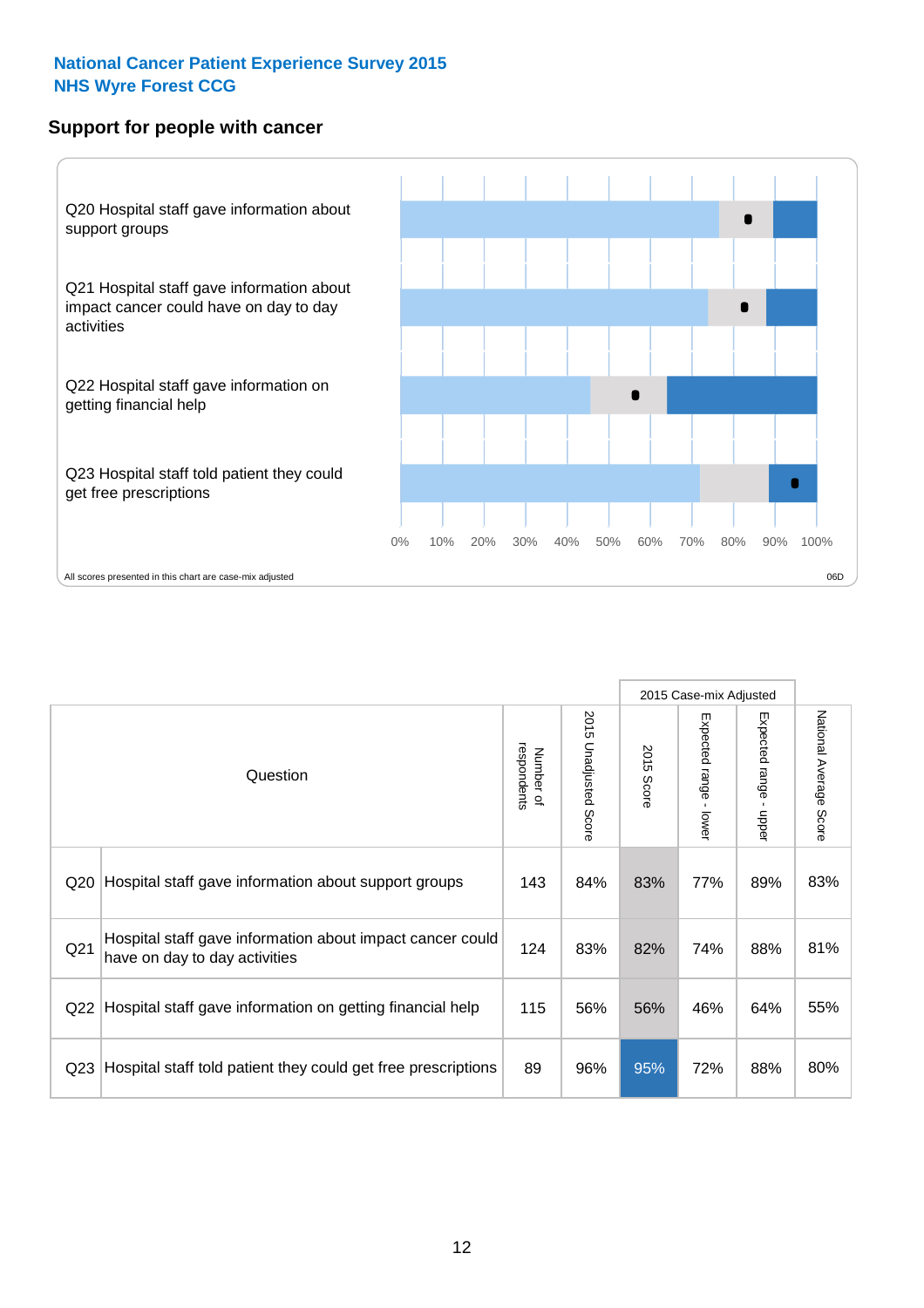## **Support for people with cancer**



|                 |                                                                                            |                          |                       |                      | 2015 Case-mix Adjusted                  |                                           |                        |
|-----------------|--------------------------------------------------------------------------------------------|--------------------------|-----------------------|----------------------|-----------------------------------------|-------------------------------------------|------------------------|
|                 | Question                                                                                   | respondents<br>Number of | 2015 Unadjusted Score | 2015<br><b>Score</b> | Expected range<br>$\mathbf{r}$<br>lower | Expected range<br>$\blacksquare$<br>nbber | National Average Score |
| Q <sub>20</sub> | Hospital staff gave information about support groups                                       | 143                      | 84%                   | 83%                  | 77%                                     | 89%                                       | 83%                    |
| Q <sub>21</sub> | Hospital staff gave information about impact cancer could<br>have on day to day activities | 124                      | 83%                   | 82%                  | 74%                                     | 88%                                       | 81%                    |
| Q <sub>22</sub> | Hospital staff gave information on getting financial help                                  | 115                      | 56%                   | 56%                  | 46%                                     | 64%                                       | 55%                    |
| Q <sub>23</sub> | Hospital staff told patient they could get free prescriptions                              | 89                       | 96%                   | 95%                  | 72%                                     | 88%                                       | 80%                    |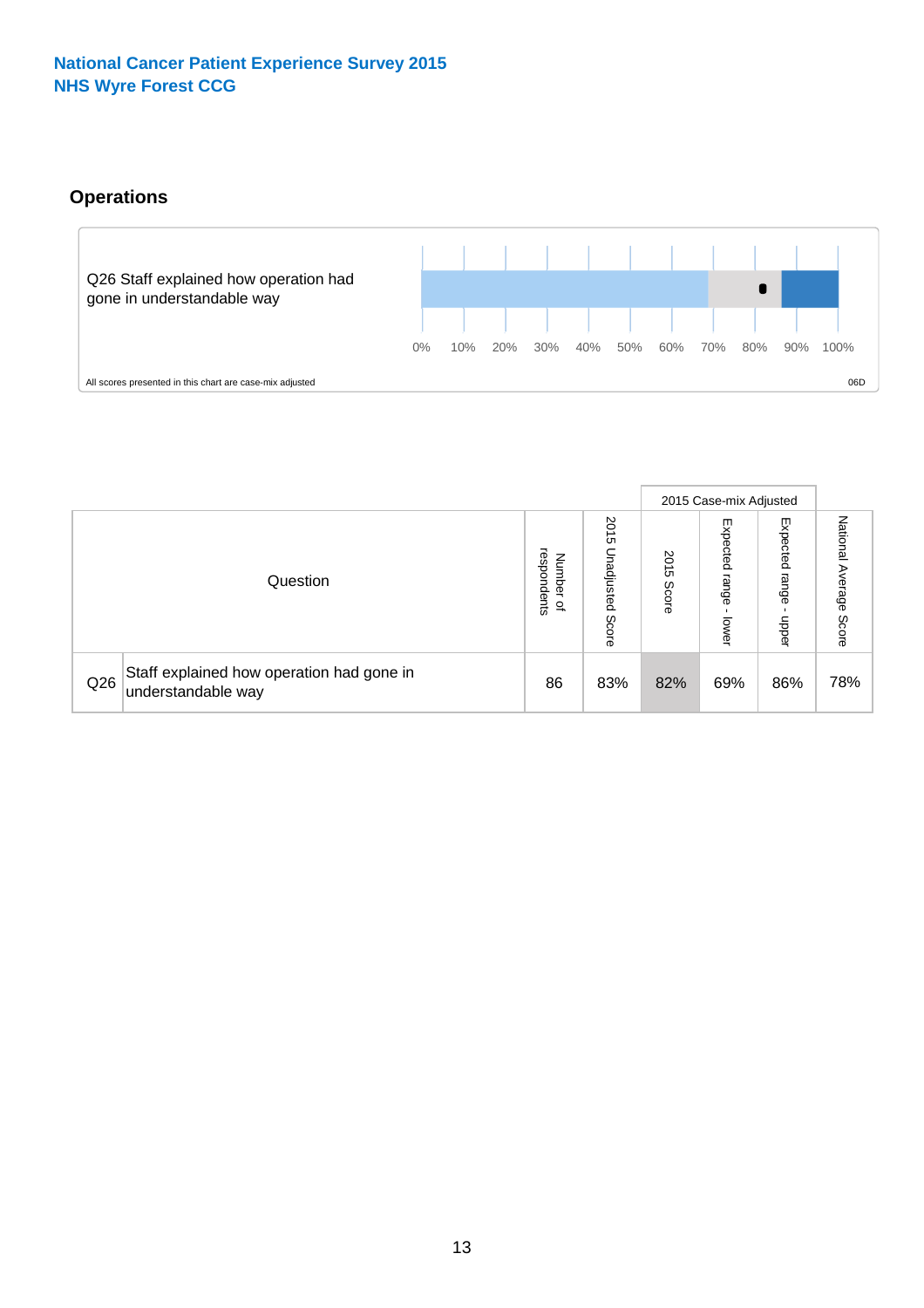## **Operations**



|     |                                                                 |                                              |                             |                   | 2015 Case-mix Adjusted     |                          |                              |
|-----|-----------------------------------------------------------------|----------------------------------------------|-----------------------------|-------------------|----------------------------|--------------------------|------------------------------|
|     | Question                                                        | respondents<br>Number<br>$\overline{\sigma}$ | 2015<br>Unadjusted<br>Score | 201<br>c<br>Score | Expected<br>range<br>lower | Expected<br>range<br>ddo | National<br>Average<br>Score |
| Q26 | Staff explained how operation had gone in<br>understandable way | 86                                           | 83%                         | 82%               | 69%                        | 86%                      | 78%                          |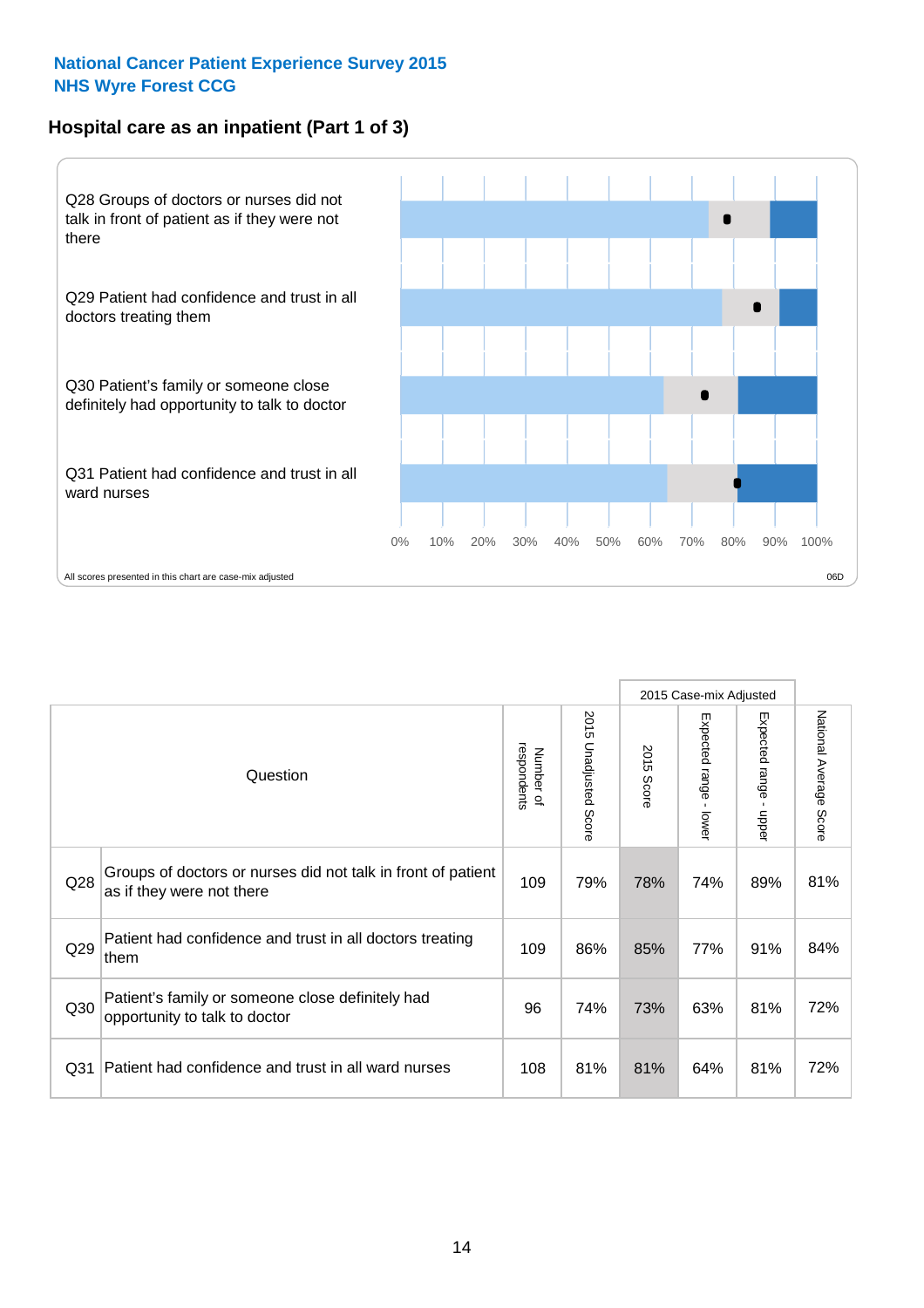## **Hospital care as an inpatient (Part 1 of 3)**



All scores presented in this chart are case-mix adjusted  $06D$ 

|                 |                                                                                           |                          |                                 |               | 2015 Case-mix Adjusted                    |                           |                        |
|-----------------|-------------------------------------------------------------------------------------------|--------------------------|---------------------------------|---------------|-------------------------------------------|---------------------------|------------------------|
|                 | Question                                                                                  | respondents<br>Number of | 2015<br><b>Unadjusted Score</b> | 2015<br>Score | Expected range<br>$\blacksquare$<br>lower | Expected range<br>- nbber | National Average Score |
| Q28             | Groups of doctors or nurses did not talk in front of patient<br>as if they were not there | 109                      | 79%                             | 78%           | 74%                                       | 89%                       | 81%                    |
| Q29             | Patient had confidence and trust in all doctors treating<br>them                          | 109                      | 86%                             | 85%           | 77%                                       | 91%                       | 84%                    |
| Q30             | Patient's family or someone close definitely had<br>opportunity to talk to doctor         | 96                       | 74%                             | 73%           | 63%                                       | 81%                       | 72%                    |
| Q <sub>31</sub> | Patient had confidence and trust in all ward nurses                                       | 108                      | 81%                             | 81%           | 64%                                       | 81%                       | 72%                    |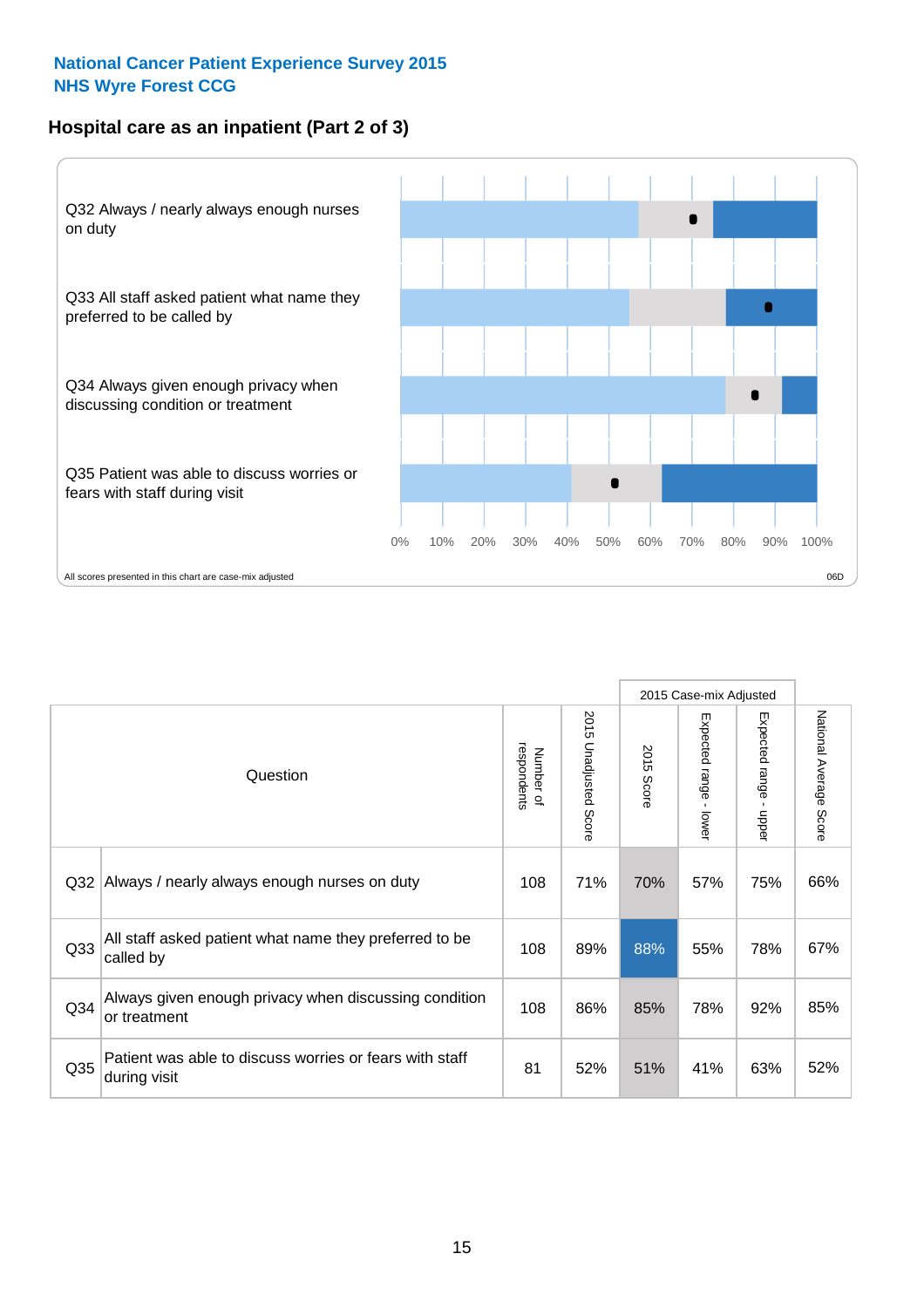## **Hospital care as an inpatient (Part 2 of 3)**



|                 |                                                                         |                          |                             |               | 2015 Case-mix Adjusted    |                        |                        |
|-----------------|-------------------------------------------------------------------------|--------------------------|-----------------------------|---------------|---------------------------|------------------------|------------------------|
|                 | Question                                                                | respondents<br>Number of | 2015<br>Unadjusted<br>Score | 2015<br>Score | Expected range<br>- lower | Expected range - upper | National Average Score |
| Q32             | Always / nearly always enough nurses on duty                            | 108                      | 71%                         | 70%           | 57%                       | 75%                    | 66%                    |
| Q <sub>33</sub> | All staff asked patient what name they preferred to be<br>called by     | 108                      | 89%                         | 88%           | 55%                       | 78%                    | 67%                    |
| Q <sub>34</sub> | Always given enough privacy when discussing condition<br>or treatment   | 108                      | 86%                         | 85%           | 78%                       | 92%                    | 85%                    |
| Q35             | Patient was able to discuss worries or fears with staff<br>during visit | 81                       | 52%                         | 51%           | 41%                       | 63%                    | 52%                    |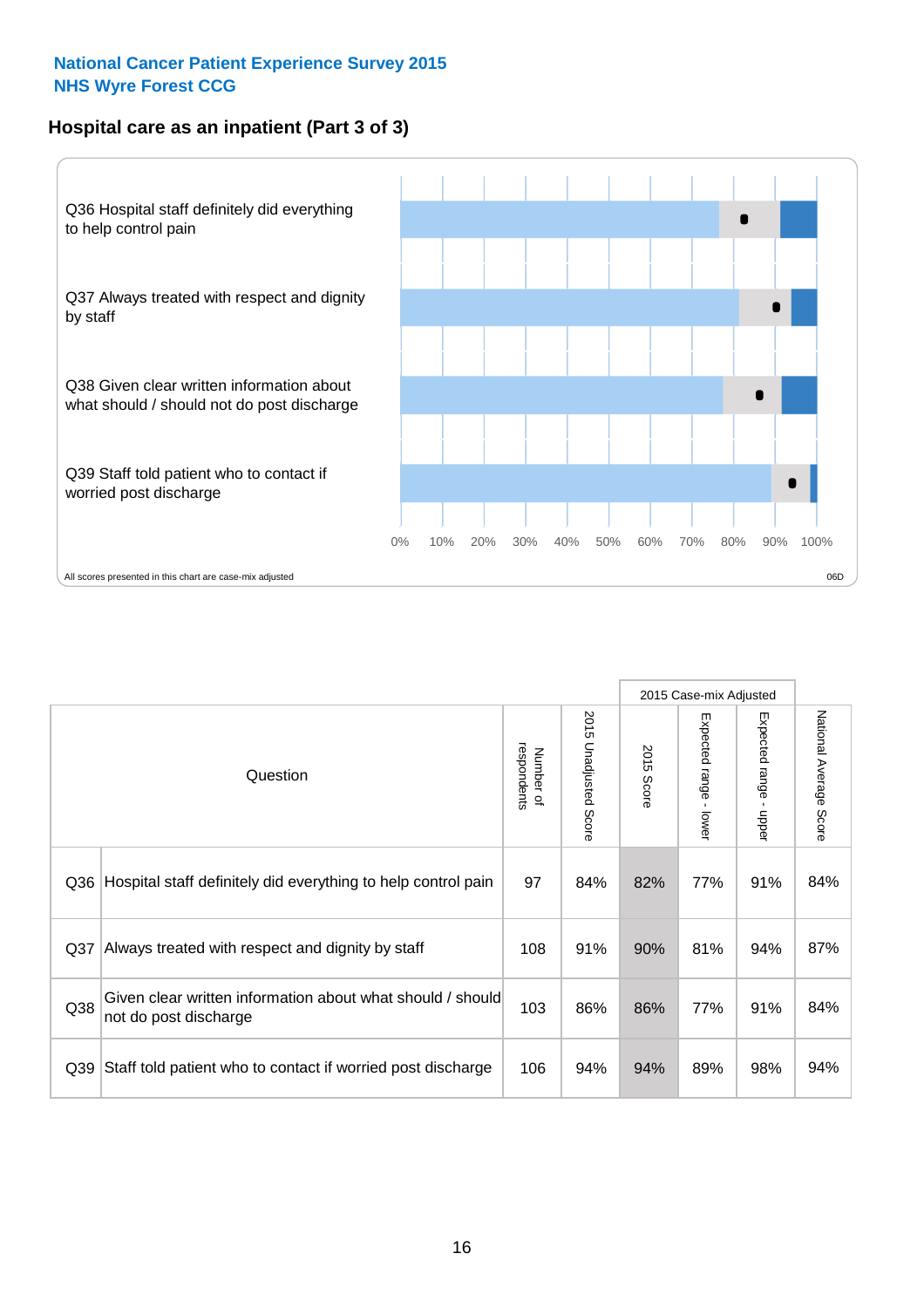## **Hospital care as an inpatient (Part 3 of 3)**



|                 |                                                                                     |                          |                                 |               | 2015 Case-mix Adjusted                  |                           |                        |
|-----------------|-------------------------------------------------------------------------------------|--------------------------|---------------------------------|---------------|-----------------------------------------|---------------------------|------------------------|
|                 | Question                                                                            | respondents<br>Number of | 2015<br><b>Unadjusted Score</b> | 2015<br>Score | Expected range<br>$\mathbf{r}$<br>lower | Expected range -<br>nbber | National Average Score |
| Q36             | Hospital staff definitely did everything to help control pain                       | 97                       | 84%                             | 82%           | 77%                                     | 91%                       | 84%                    |
| Q <sub>37</sub> | Always treated with respect and dignity by staff                                    | 108                      | 91%                             | 90%           | 81%                                     | 94%                       | 87%                    |
| Q38             | Given clear written information about what should / should<br>not do post discharge | 103                      | 86%                             | 86%           | 77%                                     | 91%                       | 84%                    |
| Q39             | Staff told patient who to contact if worried post discharge                         | 106                      | 94%                             | 94%           | 89%                                     | 98%                       | 94%                    |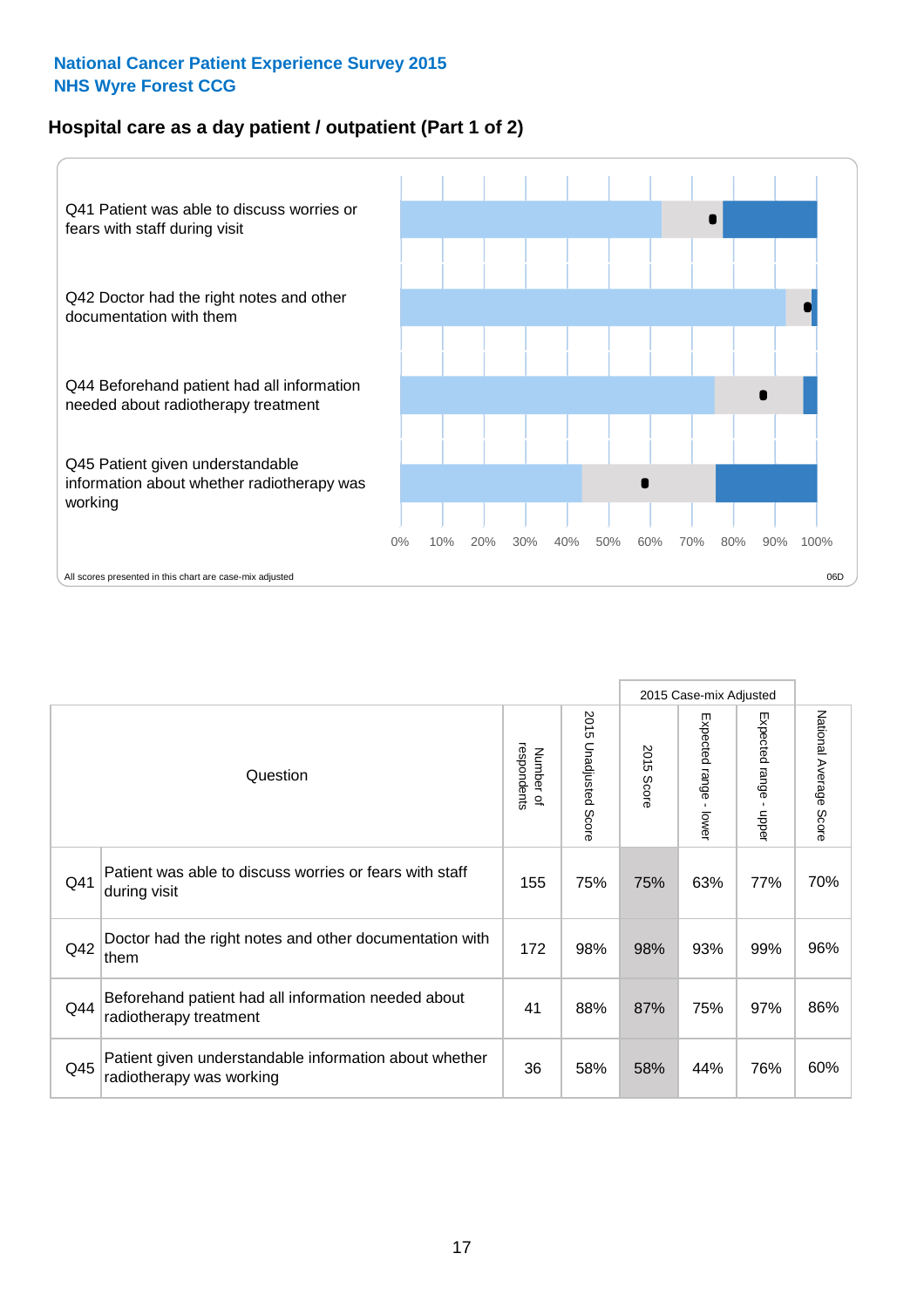## **Hospital care as a day patient / outpatient (Part 1 of 2)**



|     |                                                                                    |                          |                                 |                      | 2015 Case-mix Adjusted                    |                                           |                        |
|-----|------------------------------------------------------------------------------------|--------------------------|---------------------------------|----------------------|-------------------------------------------|-------------------------------------------|------------------------|
|     | Question                                                                           | respondents<br>Number of | 2015<br><b>Unadjusted Score</b> | 2015<br><b>Score</b> | Expected range<br>$\blacksquare$<br>lower | Expected range<br>$\blacksquare$<br>nbber | National Average Score |
| Q41 | Patient was able to discuss worries or fears with staff<br>during visit            | 155                      | 75%                             | 75%                  | 63%                                       | 77%                                       | 70%                    |
| Q42 | Doctor had the right notes and other documentation with<br>them                    | 172                      | 98%                             | 98%                  | 93%                                       | 99%                                       | 96%                    |
| Q44 | Beforehand patient had all information needed about<br>radiotherapy treatment      | 41                       | 88%                             | 87%                  | 75%                                       | 97%                                       | 86%                    |
| Q45 | Patient given understandable information about whether<br>radiotherapy was working | 36                       | 58%                             | 58%                  | 44%                                       | 76%                                       | 60%                    |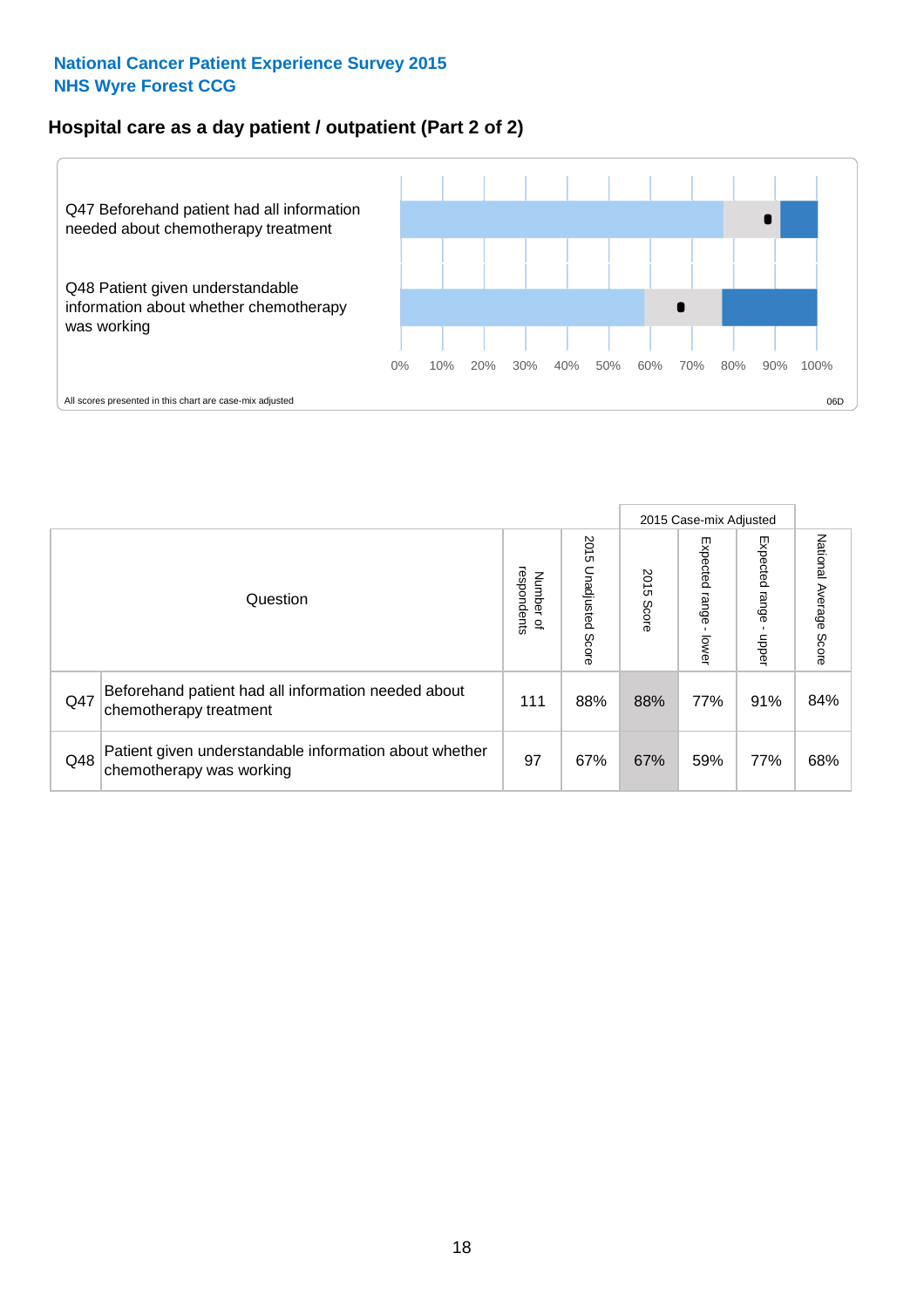## **Hospital care as a day patient / outpatient (Part 2 of 2)**



|     |                                                                                    |                                       |                             | 2015 Case-mix Adjusted |                         |                         |                           |
|-----|------------------------------------------------------------------------------------|---------------------------------------|-----------------------------|------------------------|-------------------------|-------------------------|---------------------------|
|     | Question                                                                           | respondents<br>Number<br>$\mathbf{Q}$ | 2015<br>Unadjusted<br>Score | 2015<br>Score          | Expected range<br>lower | Expected range<br>nbber | National Average<br>Score |
| Q47 | Beforehand patient had all information needed about<br>chemotherapy treatment      | 111                                   | 88%                         | 88%                    | 77%                     | 91%                     | 84%                       |
| Q48 | Patient given understandable information about whether<br>chemotherapy was working | 97                                    | 67%                         | 67%                    | 59%                     | 77%                     | 68%                       |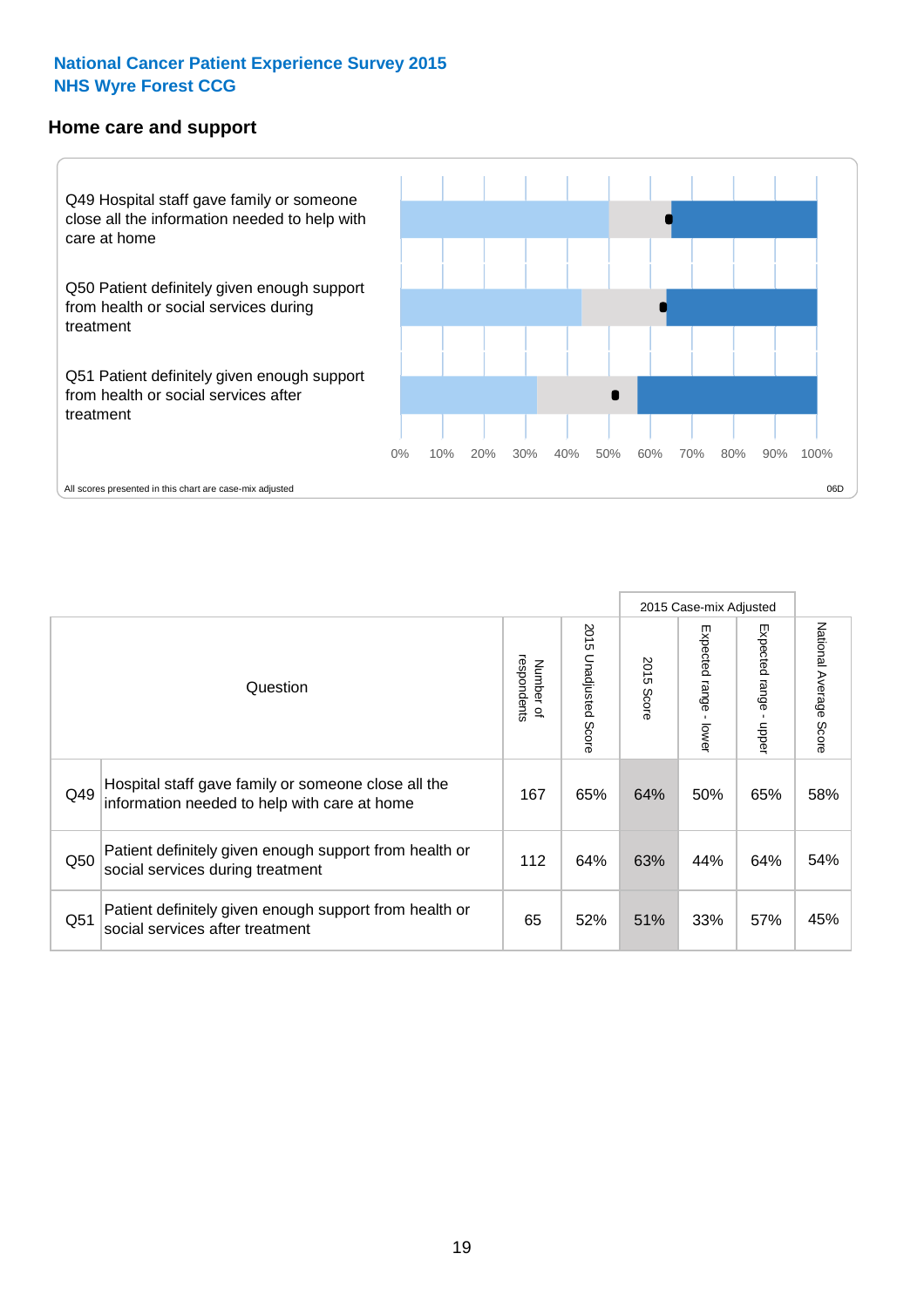#### **Home care and support**



All scores presented in this chart are case-mix adjusted

|     |                                                                                                     |                          |                          | 2015 Case-mix Adjusted |                         |                              |                                  |
|-----|-----------------------------------------------------------------------------------------------------|--------------------------|--------------------------|------------------------|-------------------------|------------------------------|----------------------------------|
|     | Question                                                                                            | respondents<br>Number of | 2015<br>Unadjusted Score | 2015<br>Score          | Expected range<br>lower | Expected<br>l range<br>nbber | National Average<br><b>Score</b> |
| Q49 | Hospital staff gave family or someone close all the<br>information needed to help with care at home | 167                      | 65%                      | 64%                    | 50%                     | 65%                          | 58%                              |
| Q50 | Patient definitely given enough support from health or<br>social services during treatment          | 112                      | 64%                      | 63%                    | 44%                     | 64%                          | 54%                              |
| Q51 | Patient definitely given enough support from health or<br>social services after treatment           | 65                       | 52%                      | 51%                    | 33%                     | 57%                          | 45%                              |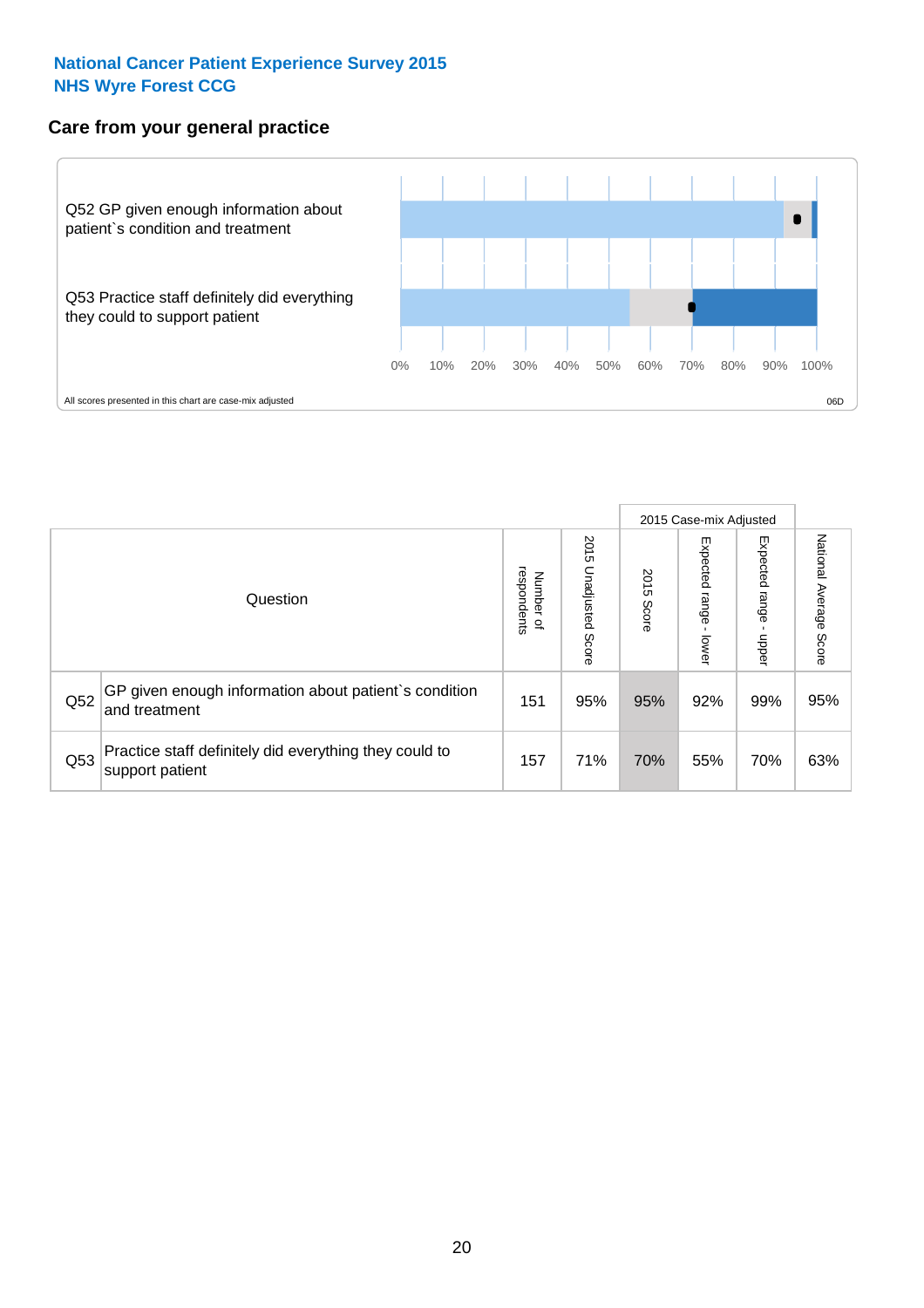## **Care from your general practice**



|     |                                                                           |                                         |                             | 2015 Case-mix Adjusted |                         |                         |                           |
|-----|---------------------------------------------------------------------------|-----------------------------------------|-----------------------------|------------------------|-------------------------|-------------------------|---------------------------|
|     | Question                                                                  | respondents<br>Number<br>$\overline{a}$ | 2015<br>Unadjusted<br>Score | 2015<br>Score          | Expected range<br>lower | Expected range<br>dpper | National Average<br>Score |
| Q52 | GP given enough information about patient's condition<br>and treatment    | 151                                     | 95%                         | 95%                    | 92%                     | 99%                     | 95%                       |
| Q53 | Practice staff definitely did everything they could to<br>support patient | 157                                     | 71%                         | 70%                    | 55%                     | 70%                     | 63%                       |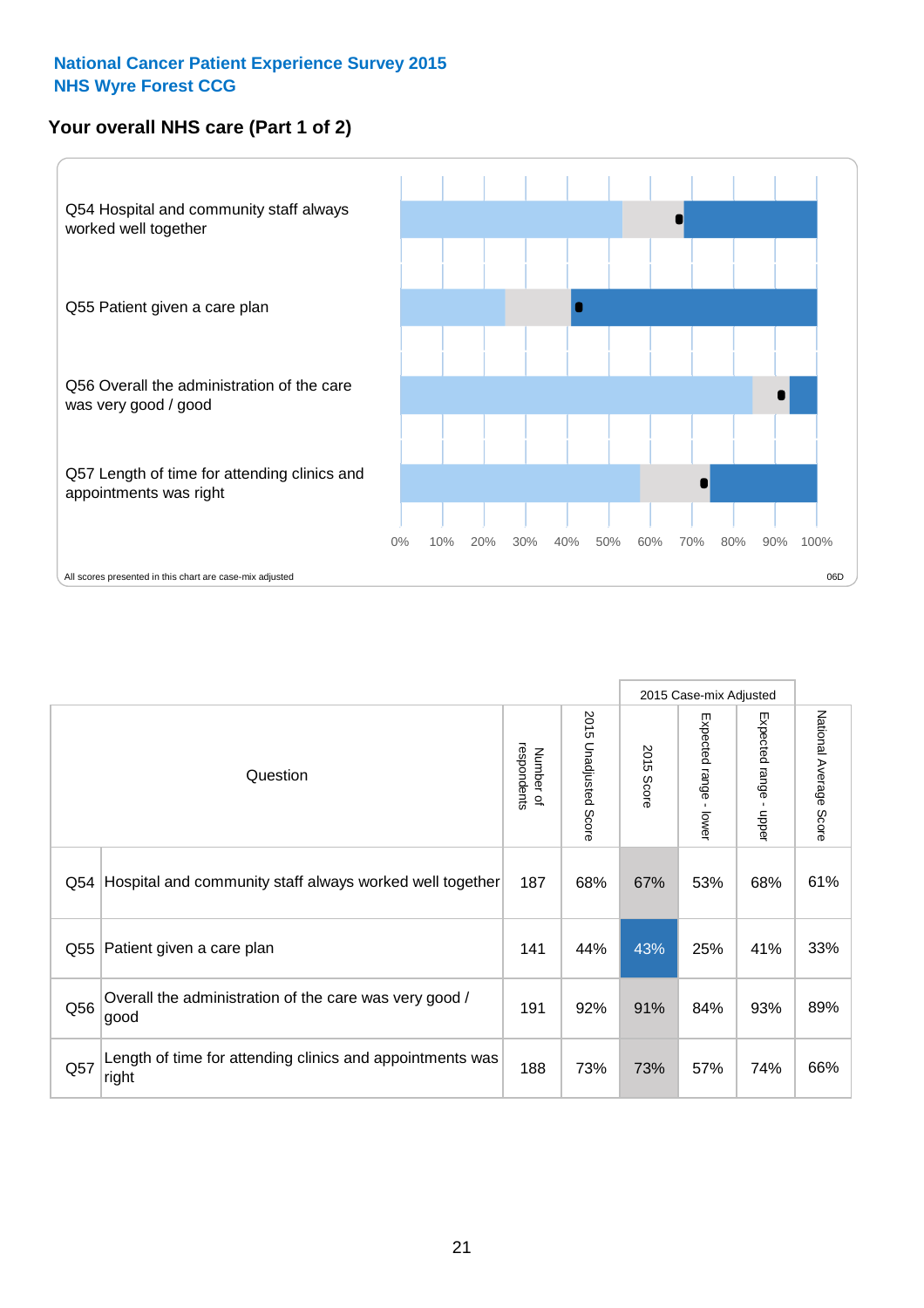## **Your overall NHS care (Part 1 of 2)**



|     |                                                                    |                          |                          | 2015 Case-mix Adjusted |                                         |                                           |                        |
|-----|--------------------------------------------------------------------|--------------------------|--------------------------|------------------------|-----------------------------------------|-------------------------------------------|------------------------|
|     | Question                                                           | respondents<br>Number of | 2015<br>Unadjusted Score | 2015<br>Score          | Expected range<br>$\mathbf{I}$<br>lower | Expected range<br>$\blacksquare$<br>nbber | National Average Score |
| Q54 | Hospital and community staff always worked well together           | 187                      | 68%                      | 67%                    | 53%                                     | 68%                                       | 61%                    |
| Q55 | Patient given a care plan                                          | 141                      | 44%                      | 43%                    | 25%                                     | 41%                                       | 33%                    |
| Q56 | Overall the administration of the care was very good /<br>good     | 191                      | 92%                      | 91%                    | 84%                                     | 93%                                       | 89%                    |
| Q57 | Length of time for attending clinics and appointments was<br>right | 188                      | 73%                      | 73%                    | 57%                                     | 74%                                       | 66%                    |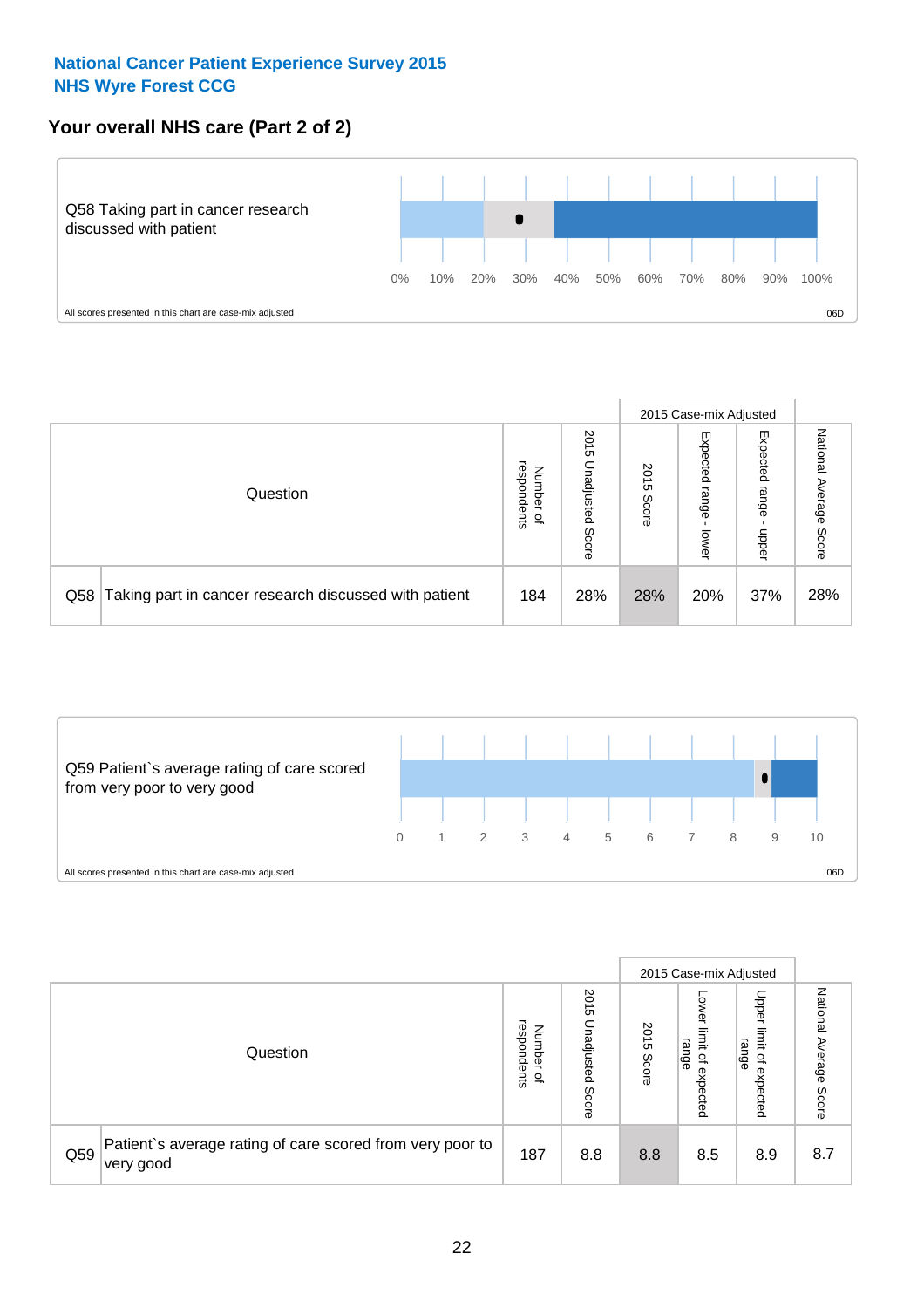## **Your overall NHS care (Part 2 of 2)**



|     |                                                       |                                              |                             |               |                            | 2015 Case-mix Adjusted     |                        |
|-----|-------------------------------------------------------|----------------------------------------------|-----------------------------|---------------|----------------------------|----------------------------|------------------------|
|     | Question                                              | respondents<br>Number<br>$\overline{\sigma}$ | 2015<br>Inadjusted<br>Score | 2015<br>Score | Expected<br>range<br>lower | Expected<br>range<br>doper | National Average Score |
| Q58 | Taking part in cancer research discussed with patient | 184                                          | 28%                         | 28%           | 20%                        | 37%                        | 28%                    |



|     |                                                                        |                                              |                             |               |                                                           | 2015 Case-mix Adjusted                   |                              |
|-----|------------------------------------------------------------------------|----------------------------------------------|-----------------------------|---------------|-----------------------------------------------------------|------------------------------------------|------------------------------|
|     | Question                                                               | respondents<br>Number<br>$\overline{\sigma}$ | 2015<br>Unadjusted<br>Score | 2015<br>Score | OWer<br>limit<br>range<br>$\overline{\sigma}$<br>expected | Upper<br>limit<br>range<br>õ<br>expected | National<br>Average<br>Score |
| Q59 | Patient's average rating of care scored from very poor to<br>very good | 187                                          | 8.8                         | 8.8           | 8.5                                                       | 8.9                                      | 8.7                          |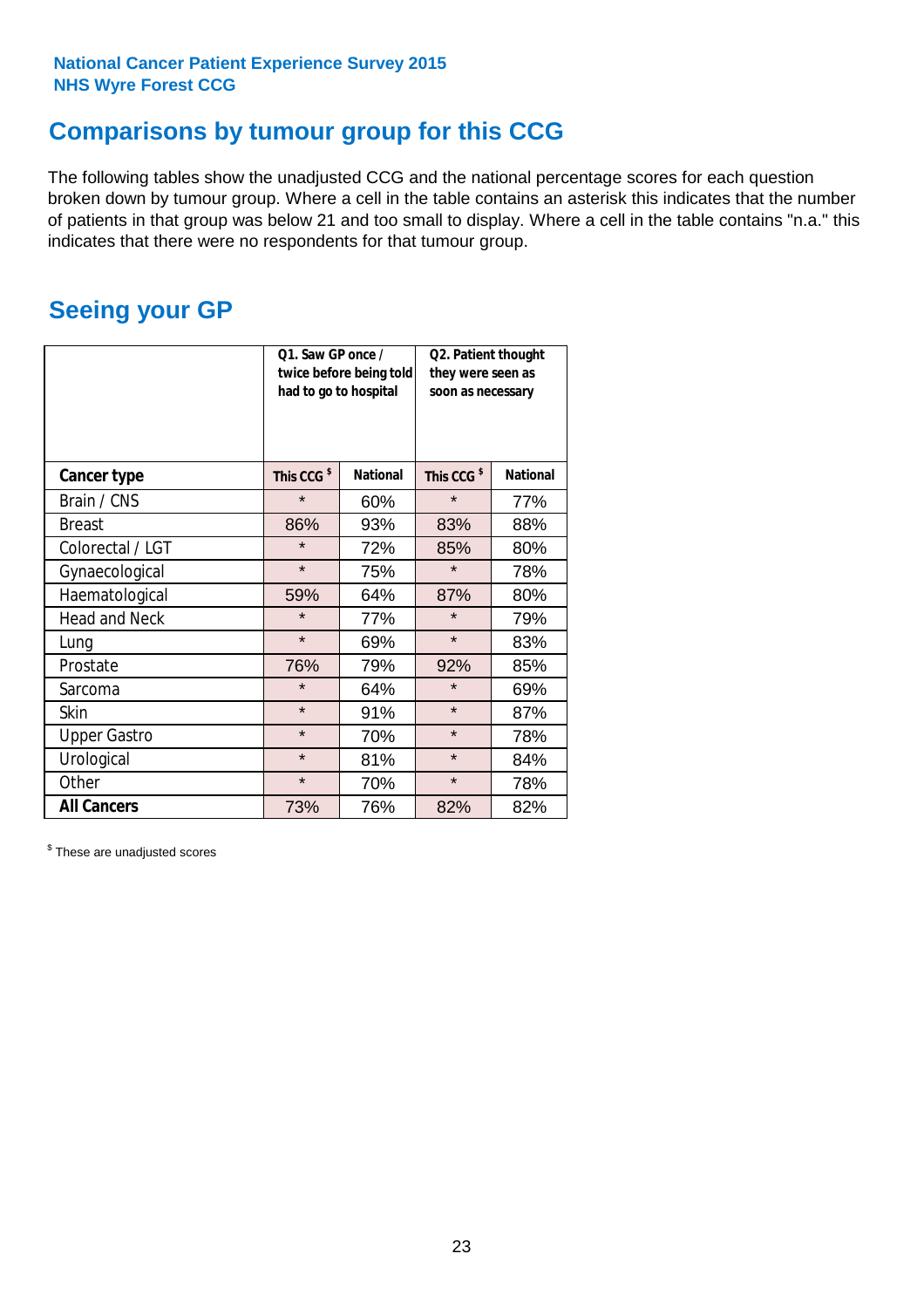## **Comparisons by tumour group for this CCG**

The following tables show the unadjusted CCG and the national percentage scores for each question broken down by tumour group. Where a cell in the table contains an asterisk this indicates that the number of patients in that group was below 21 and too small to display. Where a cell in the table contains "n.a." this indicates that there were no respondents for that tumour group.

## **Seeing your GP**

|                      | Q1. Saw GP once /<br>had to go to hospital | twice before being told | Q2. Patient thought<br>they were seen as<br>soon as necessary |                 |  |
|----------------------|--------------------------------------------|-------------------------|---------------------------------------------------------------|-----------------|--|
| <b>Cancer type</b>   | This CCG <sup>\$</sup>                     | <b>National</b>         | This CCG <sup>\$</sup>                                        | <b>National</b> |  |
| Brain / CNS          | $\star$                                    | 60%                     | $\star$                                                       | 77%             |  |
| <b>Breast</b>        | 86%                                        | 93%                     | 83%                                                           | 88%             |  |
| Colorectal / LGT     | $\star$                                    | 72%                     | 85%                                                           | 80%             |  |
| Gynaecological       | $\star$                                    | 75%                     | $\star$                                                       | 78%             |  |
| Haematological       | 59%                                        | 64%                     | 87%                                                           | 80%             |  |
| <b>Head and Neck</b> | $\star$                                    | 77%                     | $\star$                                                       | 79%             |  |
| Lung                 | $\star$                                    | 69%                     | $\star$                                                       | 83%             |  |
| Prostate             | 76%                                        | 79%                     | 92%                                                           | 85%             |  |
| Sarcoma              | $\star$                                    | 64%                     | $\star$                                                       | 69%             |  |
| Skin                 | $\star$                                    | 91%                     | $\star$                                                       | 87%             |  |
| <b>Upper Gastro</b>  | $\star$                                    | 70%                     | $\star$                                                       | 78%             |  |
| Urological           | $\star$                                    | 81%                     | $\star$                                                       | 84%             |  |
| Other                | $\star$                                    | 70%                     | $\star$                                                       | 78%             |  |
| <b>All Cancers</b>   | 73%                                        | 76%                     | 82%                                                           | 82%             |  |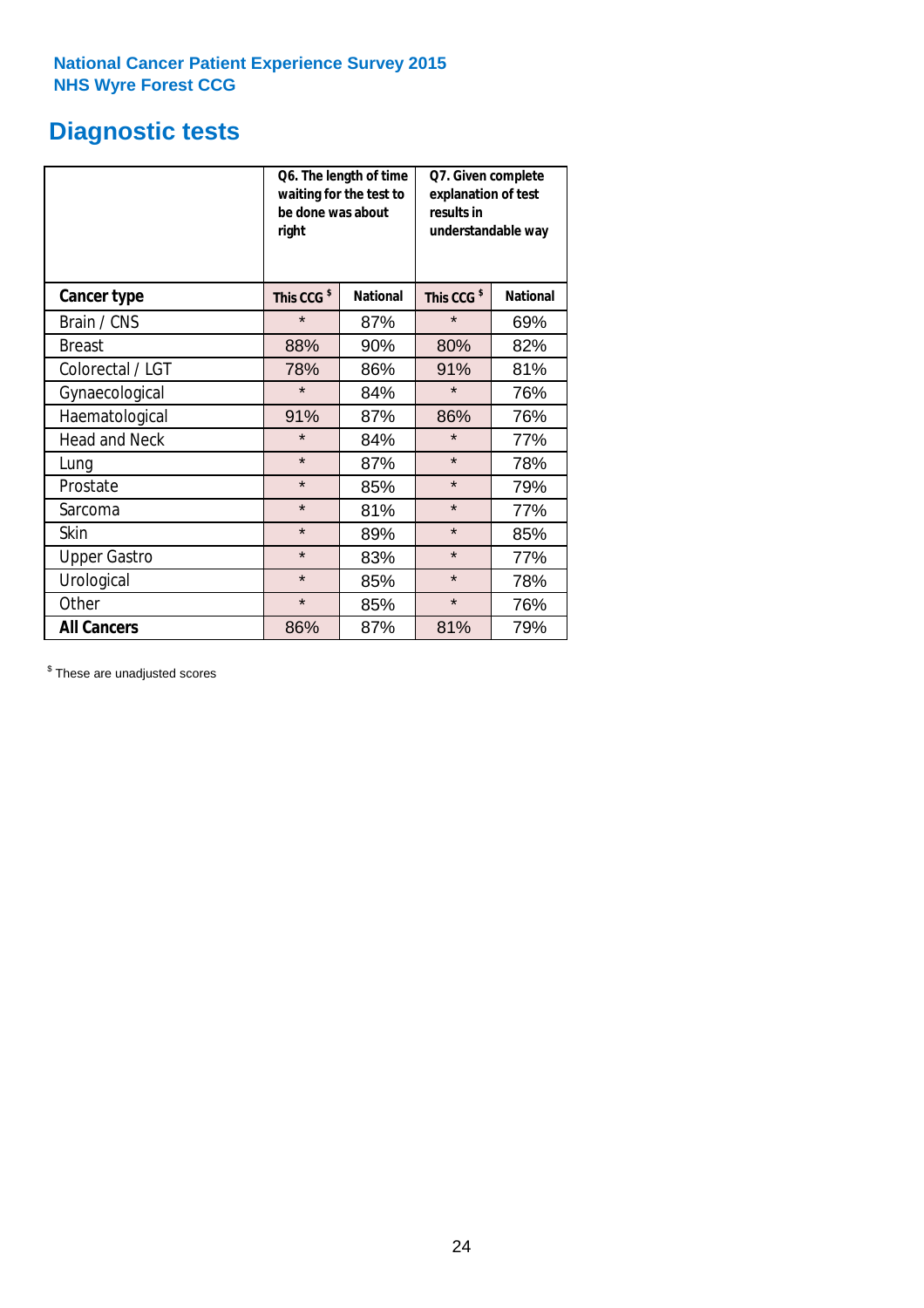## **Diagnostic tests**

|                      | be done was about<br>right | Q6. The length of time<br>waiting for the test to | Q7. Given complete<br>explanation of test<br>results in<br>understandable way |                 |  |
|----------------------|----------------------------|---------------------------------------------------|-------------------------------------------------------------------------------|-----------------|--|
| <b>Cancer type</b>   | This CCG <sup>\$</sup>     | <b>National</b>                                   | This CCG <sup>\$</sup>                                                        | <b>National</b> |  |
| Brain / CNS          | $\star$                    | 87%                                               | $\star$                                                                       | 69%             |  |
| <b>Breast</b>        | 88%                        | 90%                                               | 80%                                                                           | 82%             |  |
| Colorectal / LGT     | 78%                        | 86%                                               | 91%                                                                           | 81%             |  |
| Gynaecological       | $\star$                    | 84%                                               | $\star$                                                                       | 76%             |  |
| Haematological       | 91%                        | 87%                                               | 86%                                                                           | 76%             |  |
| <b>Head and Neck</b> | $\star$                    | 84%                                               | $\star$                                                                       | 77%             |  |
| Lung                 | $\star$                    | 87%                                               | $\star$                                                                       | 78%             |  |
| Prostate             | $\star$                    | 85%                                               | $\star$                                                                       | 79%             |  |
| Sarcoma              | $\star$                    | 81%                                               | $\star$                                                                       | 77%             |  |
| Skin                 | $\star$                    | 89%                                               | $\star$                                                                       | 85%             |  |
| <b>Upper Gastro</b>  | $\star$                    | 83%                                               | $\star$                                                                       | 77%             |  |
| Urological           | $\star$                    | 85%                                               | $\star$                                                                       | 78%             |  |
| Other                | $\star$                    | 85%                                               | $\star$                                                                       | 76%             |  |
| <b>All Cancers</b>   | 86%                        | 87%                                               | 81%                                                                           | 79%             |  |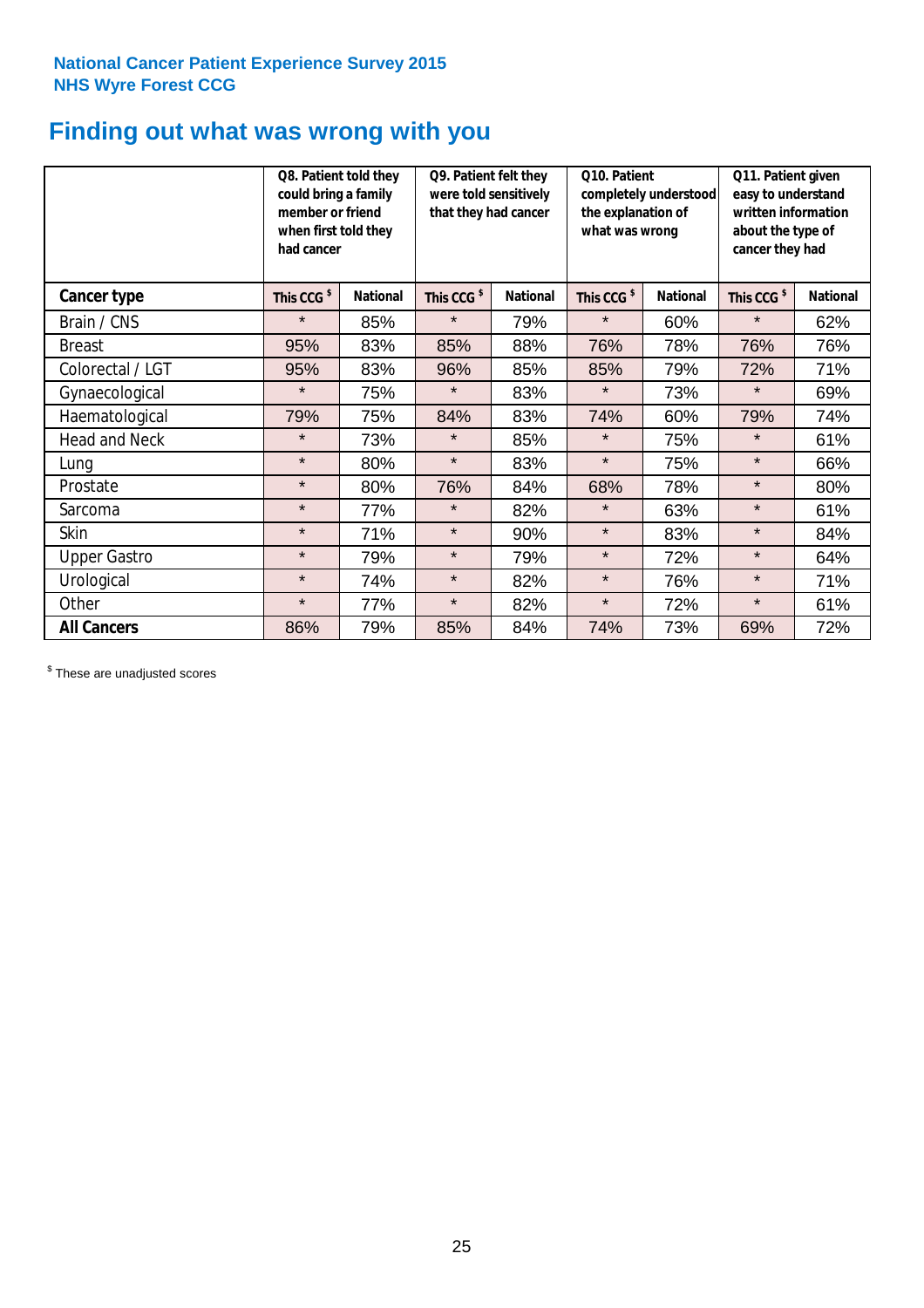## **Finding out what was wrong with you**

|                      | Q8. Patient told they<br>could bring a family<br>member or friend<br>when first told they<br>had cancer |                 | Q9. Patient felt they<br>were told sensitively<br>that they had cancer |                 | Q10. Patient<br>completely understood<br>the explanation of<br>what was wrong |                 | Q11. Patient given<br>easy to understand<br>written information<br>about the type of<br>cancer they had |                 |
|----------------------|---------------------------------------------------------------------------------------------------------|-----------------|------------------------------------------------------------------------|-----------------|-------------------------------------------------------------------------------|-----------------|---------------------------------------------------------------------------------------------------------|-----------------|
| <b>Cancer type</b>   | This CCG <sup>\$</sup>                                                                                  | <b>National</b> | This CCG <sup>\$</sup>                                                 | <b>National</b> | This CCG <sup>\$</sup>                                                        | <b>National</b> | This CCG <sup>\$</sup>                                                                                  | <b>National</b> |
| Brain / CNS          | $\star$                                                                                                 | 85%             | $\star$                                                                | 79%             | $\star$                                                                       | 60%             | $\star$                                                                                                 | 62%             |
| <b>Breast</b>        | 95%                                                                                                     | 83%             | 85%                                                                    | 88%             | 76%                                                                           | 78%             | 76%                                                                                                     | 76%             |
| Colorectal / LGT     | 95%                                                                                                     | 83%             | 96%                                                                    | 85%             | 85%                                                                           | 79%             | 72%                                                                                                     | 71%             |
| Gynaecological       | $\star$                                                                                                 | 75%             | $\star$                                                                | 83%             | $\star$                                                                       | 73%             | $\star$                                                                                                 | 69%             |
| Haematological       | 79%                                                                                                     | 75%             | 84%                                                                    | 83%             | 74%                                                                           | 60%             | 79%                                                                                                     | 74%             |
| <b>Head and Neck</b> | $\star$                                                                                                 | 73%             | $\star$                                                                | 85%             | $\star$                                                                       | 75%             | $\star$                                                                                                 | 61%             |
| Lung                 | $\star$                                                                                                 | 80%             | $\star$                                                                | 83%             | $\star$                                                                       | 75%             | $\star$                                                                                                 | 66%             |
| Prostate             | $\star$                                                                                                 | 80%             | 76%                                                                    | 84%             | 68%                                                                           | 78%             | $\star$                                                                                                 | 80%             |
| Sarcoma              | $\star$                                                                                                 | 77%             | $\star$                                                                | 82%             | $\star$                                                                       | 63%             | $\star$                                                                                                 | 61%             |
| Skin                 | $\star$                                                                                                 | 71%             | $\star$                                                                | 90%             | $\star$                                                                       | 83%             | $\star$                                                                                                 | 84%             |
| <b>Upper Gastro</b>  | $\star$                                                                                                 | 79%             | $\star$                                                                | 79%             | $\star$                                                                       | 72%             | $\star$                                                                                                 | 64%             |
| Urological           | $\star$                                                                                                 | 74%             | $\star$                                                                | 82%             | $\star$                                                                       | 76%             | $\star$                                                                                                 | 71%             |
| Other                | $\star$                                                                                                 | 77%             | $\star$                                                                | 82%             | $\star$                                                                       | 72%             | $\star$                                                                                                 | 61%             |
| <b>All Cancers</b>   | 86%                                                                                                     | 79%             | 85%                                                                    | 84%             | 74%                                                                           | 73%             | 69%                                                                                                     | 72%             |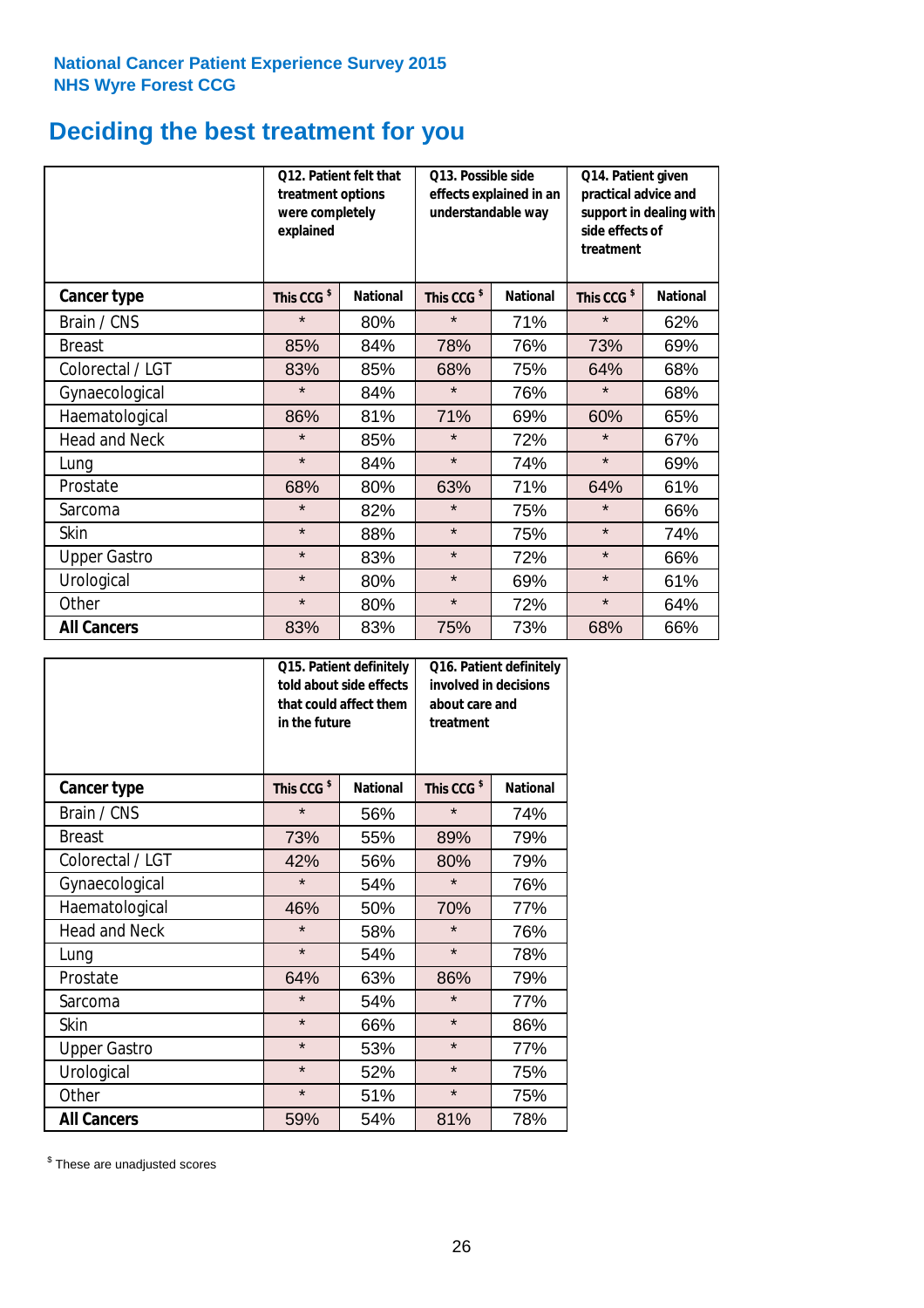## **Deciding the best treatment for you**

|                      | 012. Patient felt that<br>treatment options<br>were completely<br>explained |                 | O13. Possible side<br>understandable way | effects explained in an | Q14. Patient given<br>practical advice and<br>support in dealing with<br>side effects of<br>treatment |                 |  |
|----------------------|-----------------------------------------------------------------------------|-----------------|------------------------------------------|-------------------------|-------------------------------------------------------------------------------------------------------|-----------------|--|
| <b>Cancer type</b>   | This CCG <sup>\$</sup>                                                      | <b>National</b> | This CCG <sup>\$</sup>                   | <b>National</b>         | This CCG <sup>\$</sup>                                                                                | <b>National</b> |  |
| Brain / CNS          | $\star$                                                                     | 80%             | $\star$                                  | 71%                     | $\star$                                                                                               | 62%             |  |
| <b>Breast</b>        | 85%                                                                         | 84%             | 78%                                      | 76%                     | 73%                                                                                                   | 69%             |  |
| Colorectal / LGT     | 83%                                                                         | 85%             | 68%                                      | 75%                     | 64%                                                                                                   | 68%             |  |
| Gynaecological       | $\star$                                                                     | 84%             | $\star$                                  | 76%                     | $\star$                                                                                               | 68%             |  |
| Haematological       | 86%                                                                         | 81%             | 71%                                      | 69%                     | 60%                                                                                                   | 65%             |  |
| <b>Head and Neck</b> | $\star$                                                                     | 85%             | $\star$                                  | 72%                     | $\star$                                                                                               | 67%             |  |
| Lung                 | $\star$                                                                     | 84%             | $\star$                                  | 74%                     | $\star$                                                                                               | 69%             |  |
| Prostate             | 68%                                                                         | 80%             | 63%                                      | 71%                     | 64%                                                                                                   | 61%             |  |
| Sarcoma              | $\star$                                                                     | 82%             | $\star$                                  | 75%                     | $\star$                                                                                               | 66%             |  |
| Skin                 | $\star$                                                                     | 88%             | $\star$                                  | 75%                     | $\star$                                                                                               | 74%             |  |
| <b>Upper Gastro</b>  | $\star$                                                                     | 83%             | $\star$                                  | 72%                     | $\star$                                                                                               | 66%             |  |
| Urological           | $\star$                                                                     | 80%             | $\star$                                  | 69%                     | $\star$                                                                                               | 61%             |  |
| Other                | $\star$                                                                     | 80%             | $\star$                                  | 72%                     | $\star$                                                                                               | 64%             |  |
| <b>All Cancers</b>   | 83%                                                                         | 83%             | 75%                                      | 73%                     | 68%                                                                                                   | 66%             |  |

|                      | in the future          | Q15. Patient definitely<br>told about side effects<br>that could affect them | Q16. Patient definitely<br>involved in decisions<br>about care and<br>treatment |                 |  |
|----------------------|------------------------|------------------------------------------------------------------------------|---------------------------------------------------------------------------------|-----------------|--|
| <b>Cancer type</b>   | This CCG <sup>\$</sup> | <b>National</b>                                                              | This CCG <sup>\$</sup>                                                          | <b>National</b> |  |
| Brain / CNS          | $\star$                | 56%                                                                          | $\star$                                                                         | 74%             |  |
| <b>Breast</b>        | 73%                    | 55%                                                                          | 89%                                                                             | 79%             |  |
| Colorectal / LGT     | 42%                    | 56%                                                                          | 80%                                                                             | 79%             |  |
| Gynaecological       | $\star$<br>54%         |                                                                              | $\star$                                                                         | 76%             |  |
| Haematological       | 46%                    | 50%                                                                          | 70%                                                                             | 77%             |  |
| <b>Head and Neck</b> | $\star$                | 58%                                                                          | $\star$                                                                         | 76%             |  |
| Lung                 | $\star$                | 54%                                                                          | $\star$                                                                         | 78%             |  |
| Prostate             | 64%                    | 63%                                                                          | 86%                                                                             | 79%             |  |
| Sarcoma              | $\star$                | 54%                                                                          | $\star$                                                                         | 77%             |  |
| Skin                 | $\star$                | 66%                                                                          | $\star$                                                                         | 86%             |  |
| <b>Upper Gastro</b>  | $\star$                | 53%                                                                          | $\star$                                                                         | 77%             |  |
| Urological           | $\star$                | 52%                                                                          | $\star$                                                                         | 75%             |  |
| Other                | $\star$                | 51%                                                                          | $\star$                                                                         | 75%             |  |
| <b>All Cancers</b>   | 59%                    | 54%                                                                          | 81%                                                                             | 78%             |  |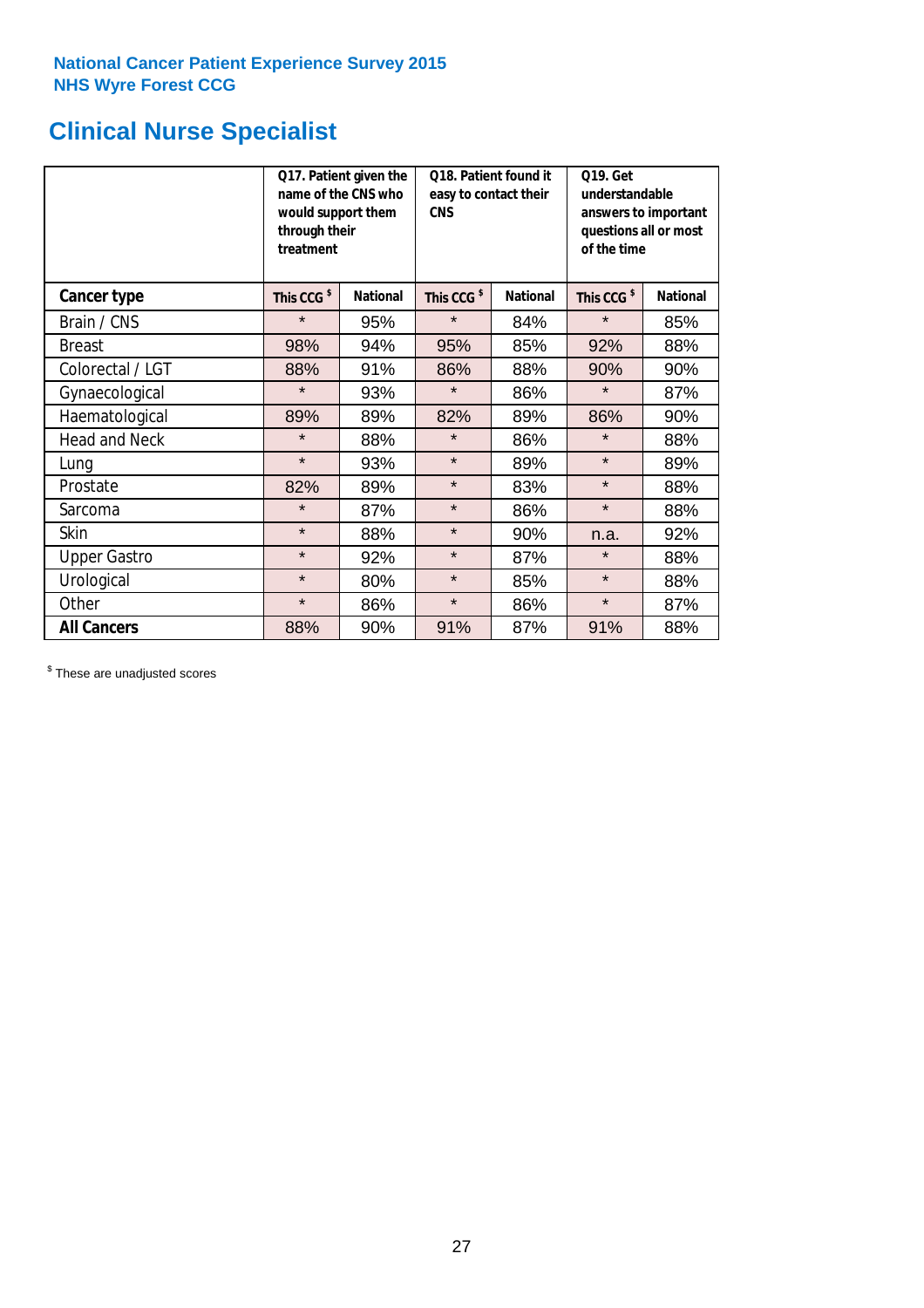## **Clinical Nurse Specialist**

|                      | would support them<br>through their<br>treatment | Q17. Patient given the<br>name of the CNS who | Q18. Patient found it<br>easy to contact their<br><b>CNS</b> |     | <b>Q19. Get</b><br>understandable<br>answers to important<br>questions all or most<br>of the time |                 |
|----------------------|--------------------------------------------------|-----------------------------------------------|--------------------------------------------------------------|-----|---------------------------------------------------------------------------------------------------|-----------------|
| <b>Cancer type</b>   | This CCG <sup>\$</sup>                           | <b>National</b>                               | This CCG <sup>\$</sup><br><b>National</b>                    |     | This CCG <sup>\$</sup>                                                                            | <b>National</b> |
| Brain / CNS          | $\star$                                          | 95%                                           | $\star$                                                      | 84% | $\star$                                                                                           | 85%             |
| <b>Breast</b>        | 98%                                              | 94%                                           | 95%                                                          | 85% | 92%                                                                                               | 88%             |
| Colorectal / LGT     | 88%                                              | 91%                                           | 86%                                                          | 88% | 90%                                                                                               | 90%             |
| Gynaecological       | $\star$                                          | 93%                                           | $\star$                                                      | 86% | $\star$                                                                                           | 87%             |
| Haematological       | 89%                                              | 89%                                           | 82%                                                          | 89% | 86%                                                                                               | 90%             |
| <b>Head and Neck</b> | $\star$                                          | 88%                                           | $\star$                                                      | 86% | $\star$                                                                                           | 88%             |
| Lung                 | $\star$                                          | 93%                                           | $\star$                                                      | 89% | $\star$                                                                                           | 89%             |
| Prostate             | 82%                                              | 89%                                           | $\star$                                                      | 83% | $\star$                                                                                           | 88%             |
| Sarcoma              | $\star$                                          | 87%                                           | $\star$                                                      | 86% | $\star$                                                                                           | 88%             |
| Skin                 | $\star$                                          | 88%                                           | $\star$                                                      | 90% | n.a.                                                                                              | 92%             |
| <b>Upper Gastro</b>  | $\star$                                          | 92%                                           | $\star$                                                      | 87% | $\star$                                                                                           | 88%             |
| Urological           | $\star$                                          | 80%                                           | $\star$                                                      | 85% | $\star$                                                                                           | 88%             |
| Other                | $\star$                                          | 86%                                           | $\star$                                                      | 86% | $\star$                                                                                           | 87%             |
| <b>All Cancers</b>   | 88%                                              | 90%                                           | 91%                                                          | 87% | 91%                                                                                               | 88%             |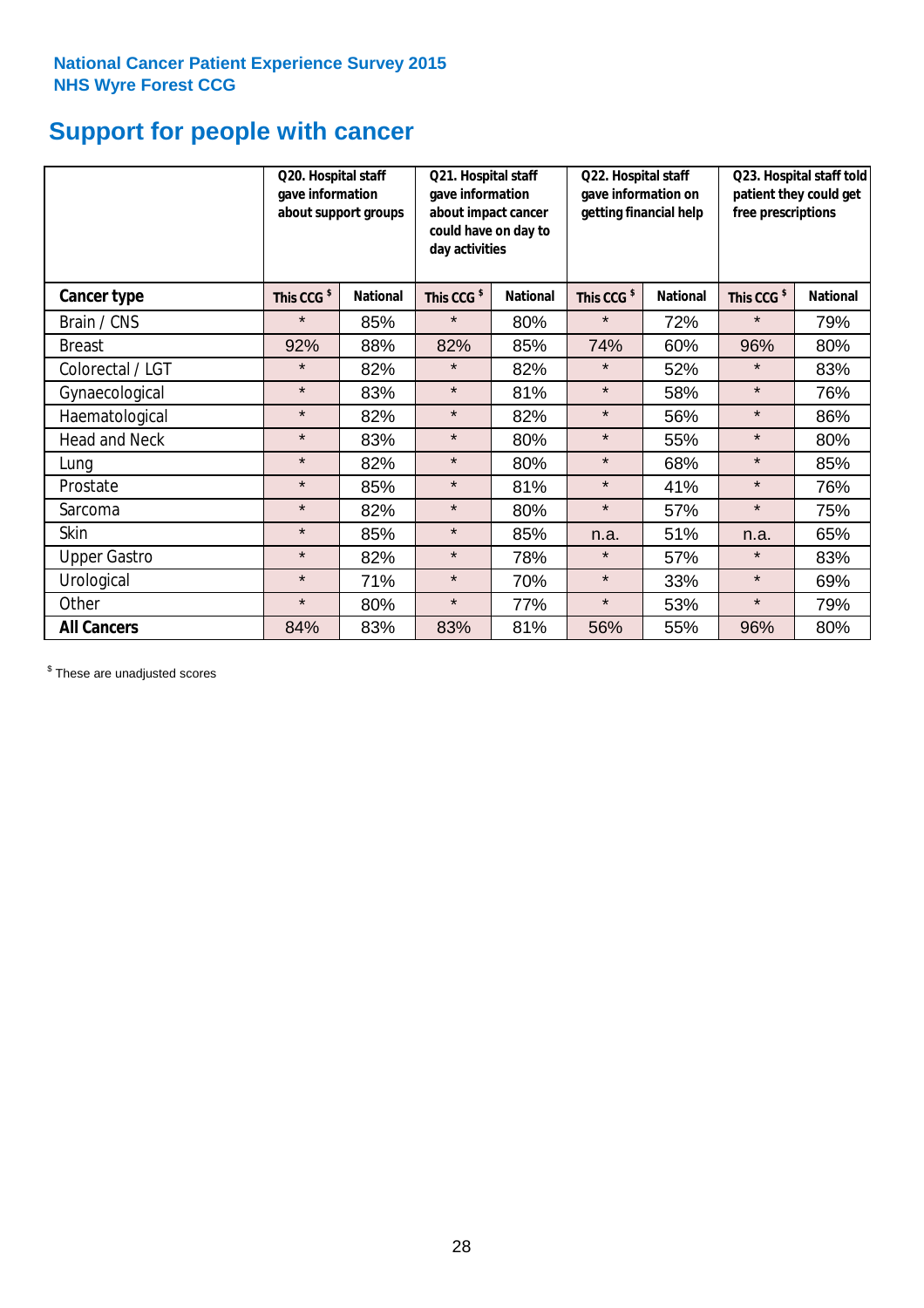## **Support for people with cancer**

|                      |                        | Q20. Hospital staff<br>gave information<br>about support groups |                        | Q21. Hospital staff<br>gave information<br>about impact cancer<br>could have on day to<br>day activities |                        | Q22. Hospital staff<br>gave information on<br>getting financial help |                        | Q23. Hospital staff told<br>patient they could get<br>free prescriptions |  |
|----------------------|------------------------|-----------------------------------------------------------------|------------------------|----------------------------------------------------------------------------------------------------------|------------------------|----------------------------------------------------------------------|------------------------|--------------------------------------------------------------------------|--|
| Cancer type          | This CCG <sup>\$</sup> | <b>National</b>                                                 | This CCG <sup>\$</sup> | <b>National</b>                                                                                          | This CCG <sup>\$</sup> | <b>National</b>                                                      | This CCG <sup>\$</sup> | <b>National</b>                                                          |  |
| Brain / CNS          | $\star$                | 85%                                                             | $\star$                | 80%                                                                                                      | $\star$                | 72%                                                                  | $\star$                | 79%                                                                      |  |
| <b>Breast</b>        | 92%                    | 88%                                                             | 82%                    | 85%                                                                                                      | 74%                    | 60%                                                                  | 96%                    | 80%                                                                      |  |
| Colorectal / LGT     | $\star$                | 82%                                                             | $\star$                | 82%                                                                                                      | $\star$                | 52%                                                                  | $\star$                | 83%                                                                      |  |
| Gynaecological       | $\star$                | 83%                                                             | $\star$                | 81%                                                                                                      | $\star$                | 58%                                                                  | $\star$                | 76%                                                                      |  |
| Haematological       | $\star$                | 82%                                                             | $\star$                | 82%                                                                                                      | $\star$                | 56%                                                                  | $\star$                | 86%                                                                      |  |
| <b>Head and Neck</b> | $\star$                | 83%                                                             | $\star$                | 80%                                                                                                      | $\star$                | 55%                                                                  | $\star$                | 80%                                                                      |  |
| Lung                 | $\star$                | 82%                                                             | $\star$                | 80%                                                                                                      | $\star$                | 68%                                                                  | $\star$                | 85%                                                                      |  |
| Prostate             | $\star$                | 85%                                                             | $\star$                | 81%                                                                                                      | $\star$                | 41%                                                                  | $\star$                | 76%                                                                      |  |
| Sarcoma              | $\star$                | 82%                                                             | $\star$                | 80%                                                                                                      | $\star$                | 57%                                                                  | $\star$                | 75%                                                                      |  |
| Skin                 | $\star$                | 85%                                                             | $\star$                | 85%                                                                                                      | n.a.                   | 51%                                                                  | n.a.                   | 65%                                                                      |  |
| <b>Upper Gastro</b>  | $\star$                | 82%                                                             | $\star$                | 78%                                                                                                      | $\star$                | 57%                                                                  | $\star$                | 83%                                                                      |  |
| Urological           | $\star$                | 71%                                                             | $\star$                | 70%                                                                                                      | $\star$                | 33%                                                                  | $\star$                | 69%                                                                      |  |
| Other                | $\star$                | 80%                                                             | $\star$                | 77%                                                                                                      | $\star$                | 53%                                                                  | $\star$                | 79%                                                                      |  |
| <b>All Cancers</b>   | 84%                    | 83%                                                             | 83%                    | 81%                                                                                                      | 56%                    | 55%                                                                  | 96%                    | 80%                                                                      |  |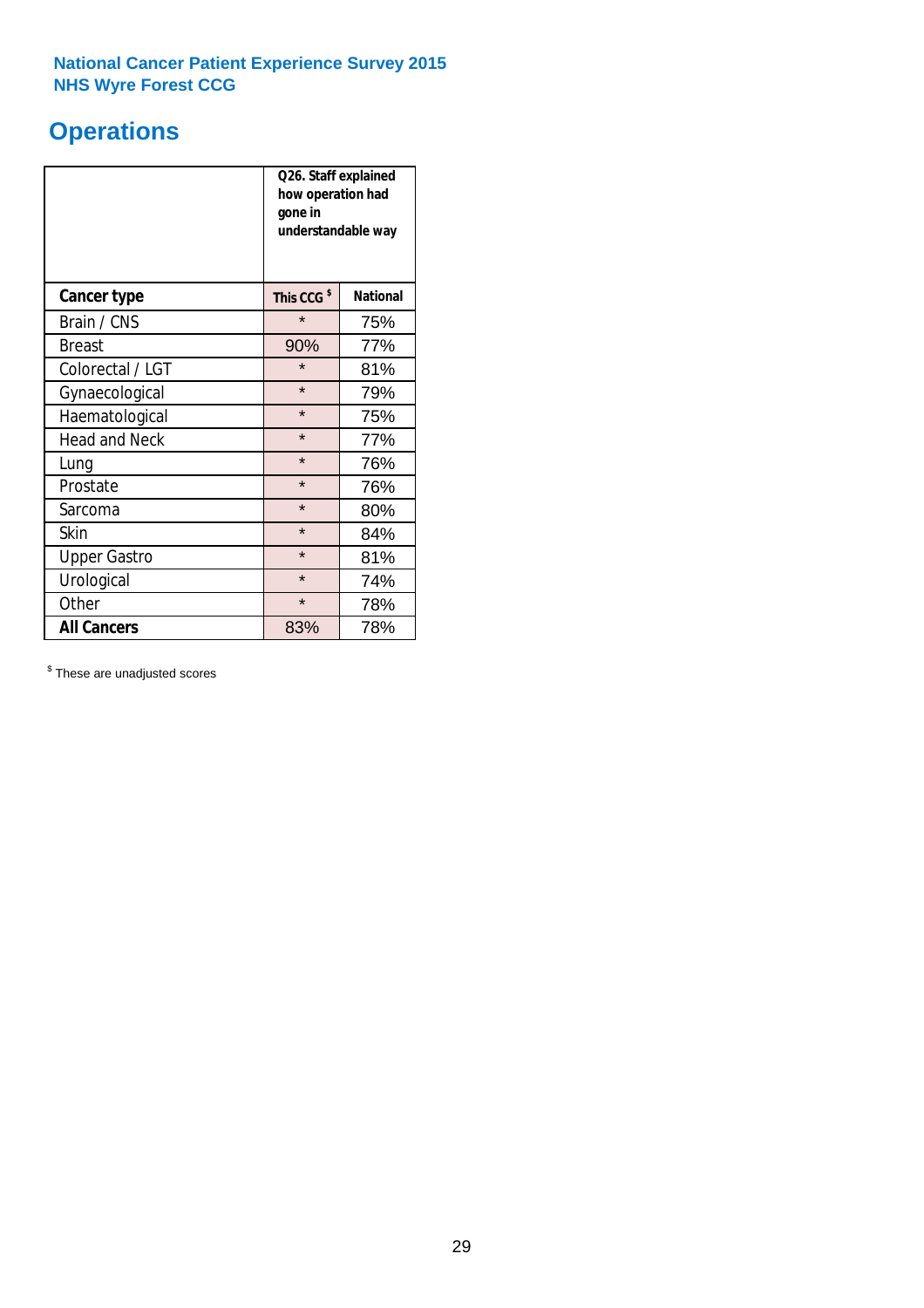## **Operations**

|                      | Q26. Staff explained<br>how operation had<br>gone in<br>understandable way |                 |  |  |
|----------------------|----------------------------------------------------------------------------|-----------------|--|--|
| <b>Cancer type</b>   | This CCG <sup>\$</sup>                                                     | <b>National</b> |  |  |
| Brain / CNS          | $\star$                                                                    | 75%             |  |  |
| <b>Breast</b>        | 90%                                                                        | 77%             |  |  |
| Colorectal / LGT     | $\star$                                                                    | 81%             |  |  |
| Gynaecological       | $\star$<br>79%                                                             |                 |  |  |
| Haematological       | $\star$<br>75%                                                             |                 |  |  |
| <b>Head and Neck</b> | $\star$                                                                    | 77%             |  |  |
| Lung                 | $\star$                                                                    | 76%             |  |  |
| Prostate             | $\star$                                                                    | 76%             |  |  |
| Sarcoma              | $\star$                                                                    | 80%             |  |  |
| Skin                 | $\star$                                                                    | 84%             |  |  |
| <b>Upper Gastro</b>  | $\star$                                                                    | 81%             |  |  |
| Urological           | $\star$                                                                    | 74%             |  |  |
| Other                | $\star$<br>78%                                                             |                 |  |  |
| <b>All Cancers</b>   | 83%                                                                        | 78%             |  |  |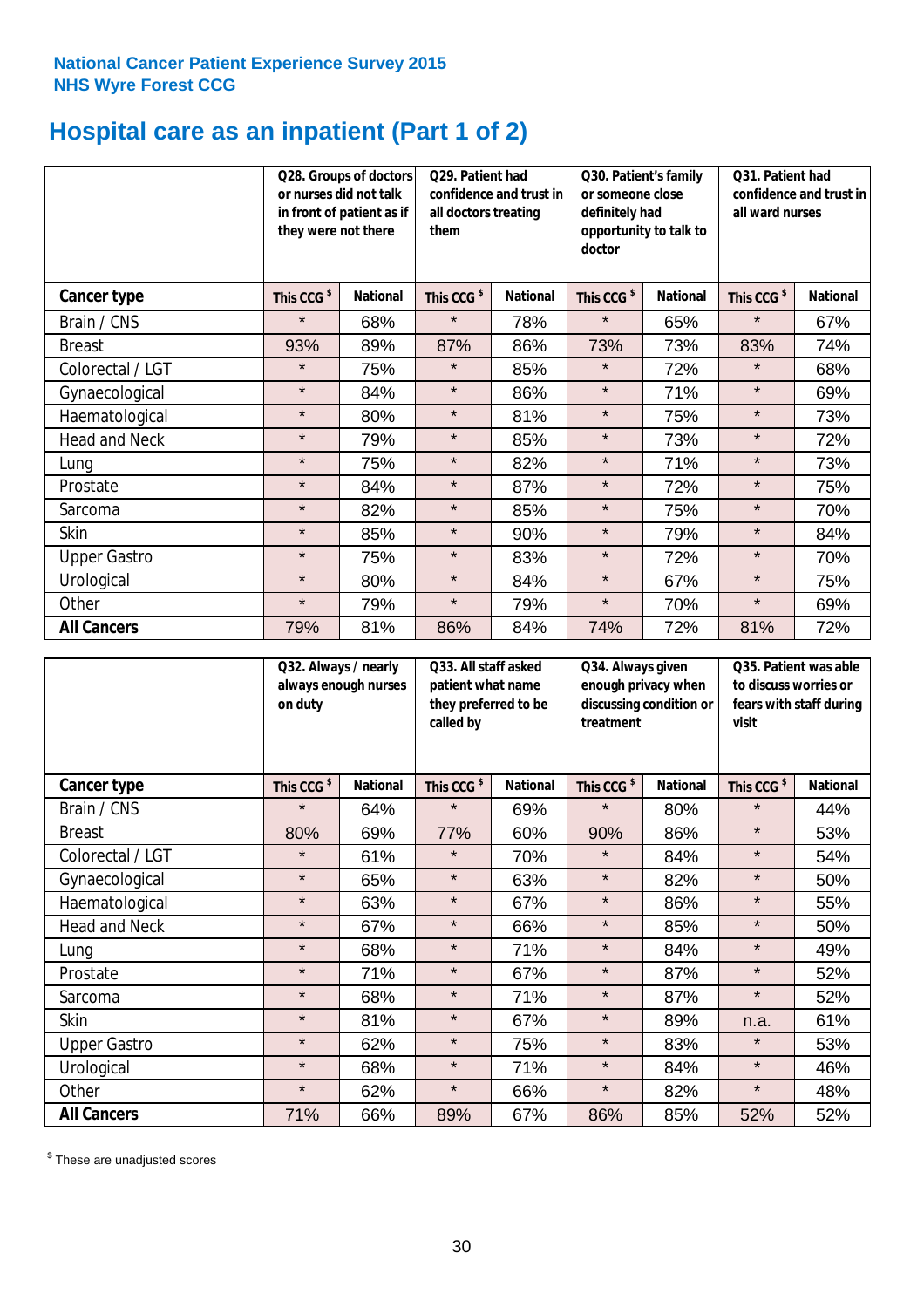## **Hospital care as an inpatient (Part 1 of 2)**

|                      | they were not there    | Q28. Groups of doctors<br>Q29. Patient had<br>or nurses did not talk<br>confidence and trust in<br>in front of patient as if<br>all doctors treating<br>them |                        | Q30. Patient's family<br>or someone close<br>definitely had<br>opportunity to talk to<br>doctor |                        | Q31. Patient had<br>confidence and trust in I<br>all ward nurses |                        |                 |
|----------------------|------------------------|--------------------------------------------------------------------------------------------------------------------------------------------------------------|------------------------|-------------------------------------------------------------------------------------------------|------------------------|------------------------------------------------------------------|------------------------|-----------------|
| Cancer type          | This CCG <sup>\$</sup> | <b>National</b>                                                                                                                                              | This CCG <sup>\$</sup> | <b>National</b>                                                                                 | This CCG <sup>\$</sup> | <b>National</b>                                                  | This CCG <sup>\$</sup> | <b>National</b> |
| Brain / CNS          | $\star$                | 68%                                                                                                                                                          | $\star$                | 78%                                                                                             | $\star$                | 65%                                                              | $\star$                | 67%             |
| <b>Breast</b>        | 93%                    | 89%                                                                                                                                                          | 87%                    | 86%                                                                                             | 73%                    | 73%                                                              | 83%                    | 74%             |
| Colorectal / LGT     | $\star$                | 75%                                                                                                                                                          | $\star$                | 85%                                                                                             | $\star$                | 72%                                                              | $\star$                | 68%             |
| Gynaecological       | $\star$                | 84%                                                                                                                                                          | $\star$                | 86%                                                                                             | $\star$                | 71%                                                              | $\star$                | 69%             |
| Haematological       | $\star$                | 80%                                                                                                                                                          | $\star$                | 81%                                                                                             | $\star$                | 75%                                                              | $\star$                | 73%             |
| <b>Head and Neck</b> | $\star$                | 79%                                                                                                                                                          | $\star$                | 85%                                                                                             | $\star$                | 73%                                                              | $\star$                | 72%             |
| Lung                 | $\star$                | 75%                                                                                                                                                          | $\star$                | 82%                                                                                             | $\star$                | 71%                                                              | $\star$                | 73%             |
| Prostate             | $\star$                | 84%                                                                                                                                                          | $\star$                | 87%                                                                                             | $\star$                | 72%                                                              | $\star$                | 75%             |
| Sarcoma              | $\star$                | 82%                                                                                                                                                          | $\star$                | 85%                                                                                             | $\star$                | 75%                                                              | $\star$                | 70%             |
| Skin                 | $\star$                | 85%                                                                                                                                                          | $\star$                | 90%                                                                                             | $\star$                | 79%                                                              | $\star$                | 84%             |
| <b>Upper Gastro</b>  | $\star$                | 75%                                                                                                                                                          | $\star$                | 83%                                                                                             | $\star$                | 72%                                                              | $\star$                | 70%             |
| Urological           | $\star$                | 80%                                                                                                                                                          | $\star$                | 84%                                                                                             | $\star$                | 67%                                                              | $\star$                | 75%             |
| Other                | $\star$                | 79%                                                                                                                                                          | $\star$                | 79%                                                                                             | $\star$                | 70%                                                              | $\star$                | 69%             |
| <b>All Cancers</b>   | 79%                    | 81%                                                                                                                                                          | 86%                    | 84%                                                                                             | 74%                    | 72%                                                              | 81%                    | 72%             |

|                      | Q32. Always / nearly<br>on duty | always enough nurses | Q33. All staff asked<br>patient what name<br>they preferred to be<br>called by |                 | Q34. Always given<br>enough privacy when<br>discussing condition or<br>treatment |                 | Q35. Patient was able<br>to discuss worries or<br>fears with staff during<br>visit |                 |
|----------------------|---------------------------------|----------------------|--------------------------------------------------------------------------------|-----------------|----------------------------------------------------------------------------------|-----------------|------------------------------------------------------------------------------------|-----------------|
| <b>Cancer type</b>   | This CCG <sup>\$</sup>          | <b>National</b>      | This CCG <sup>\$</sup>                                                         | <b>National</b> | This CCG <sup>\$</sup>                                                           | <b>National</b> | This CCG <sup>\$</sup>                                                             | <b>National</b> |
| Brain / CNS          | $\star$                         | 64%                  | $\star$                                                                        | 69%             | $\star$                                                                          | 80%             | $\star$                                                                            | 44%             |
| <b>Breast</b>        | 80%                             | 69%                  | 77%                                                                            | 60%             | 90%                                                                              | 86%             | $\star$                                                                            | 53%             |
| Colorectal / LGT     | $\star$                         | 61%                  | $\star$                                                                        | 70%             | $\star$                                                                          | 84%             | $\star$                                                                            | 54%             |
| Gynaecological       | $\star$                         | 65%                  | $\star$                                                                        | 63%             | $\star$                                                                          | 82%             | $\star$                                                                            | 50%             |
| Haematological       | $\star$                         | 63%                  | $\star$                                                                        | 67%             | $\star$                                                                          | 86%             | $\star$                                                                            | 55%             |
| <b>Head and Neck</b> | $\star$                         | 67%                  | $\star$                                                                        | 66%             | $\star$                                                                          | 85%             | $\star$                                                                            | 50%             |
| Lung                 | $\star$                         | 68%                  | $\star$                                                                        | 71%             | $\star$                                                                          | 84%             | $\star$                                                                            | 49%             |
| Prostate             | $\star$                         | 71%                  | $\star$                                                                        | 67%             | $\star$                                                                          | 87%             | $\star$                                                                            | 52%             |
| Sarcoma              | $\star$                         | 68%                  | $\star$                                                                        | 71%             | $\star$                                                                          | 87%             | $\star$                                                                            | 52%             |
| Skin                 | $\star$                         | 81%                  | $\star$                                                                        | 67%             | $\star$                                                                          | 89%             | n.a.                                                                               | 61%             |
| <b>Upper Gastro</b>  | $\star$                         | 62%                  | $\star$                                                                        | 75%             | $\star$                                                                          | 83%             | $\star$                                                                            | 53%             |
| Urological           | $\star$                         | 68%                  | $\star$                                                                        | 71%             | $\star$                                                                          | 84%             | $\star$                                                                            | 46%             |
| Other                | $\star$                         | 62%                  | $\star$                                                                        | 66%             | $\star$                                                                          | 82%             | $\star$                                                                            | 48%             |
| <b>All Cancers</b>   | 71%                             | 66%                  | 89%                                                                            | 67%             | 86%                                                                              | 85%             | 52%                                                                                | 52%             |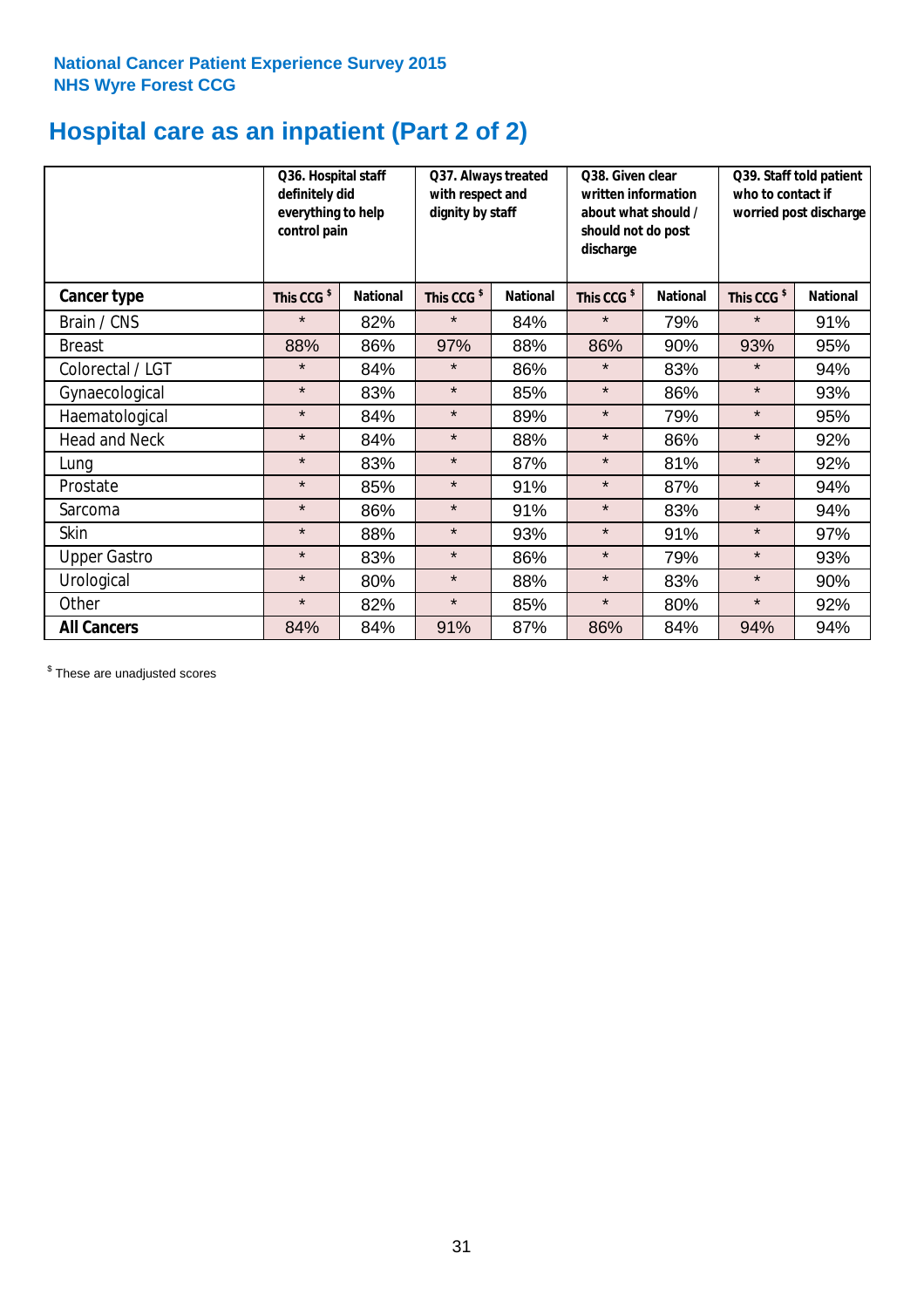## **Hospital care as an inpatient (Part 2 of 2)**

|                      | Q36. Hospital staff<br>definitely did<br>everything to help<br>control pain |                 | Q37. Always treated<br>with respect and<br>dignity by staff |                 | Q38. Given clear<br>written information<br>about what should /<br>should not do post<br>discharge |                 | Q39. Staff told patient<br>who to contact if<br>worried post discharge |                 |  |
|----------------------|-----------------------------------------------------------------------------|-----------------|-------------------------------------------------------------|-----------------|---------------------------------------------------------------------------------------------------|-----------------|------------------------------------------------------------------------|-----------------|--|
| Cancer type          | This CCG <sup>\$</sup>                                                      | <b>National</b> | This CCG <sup>\$</sup>                                      | <b>National</b> | This CCG <sup>\$</sup>                                                                            | <b>National</b> | This CCG <sup>\$</sup>                                                 | <b>National</b> |  |
| Brain / CNS          | $\star$                                                                     | 82%             | $\star$                                                     | 84%             | $\star$                                                                                           | 79%             | $\star$                                                                | 91%             |  |
| <b>Breast</b>        | 88%                                                                         | 86%             | 97%                                                         | 88%             | 86%                                                                                               | 90%             | 93%                                                                    | 95%             |  |
| Colorectal / LGT     | $\star$                                                                     | 84%             | $\star$                                                     | 86%             | $\star$                                                                                           | 83%             | $\star$                                                                | 94%             |  |
| Gynaecological       | $\star$                                                                     | 83%             | $\star$                                                     | 85%             | $\star$                                                                                           | 86%             | $\star$                                                                | 93%             |  |
| Haematological       | $\star$                                                                     | 84%             | $\star$                                                     | 89%             | $\star$                                                                                           | 79%             | $\star$                                                                | 95%             |  |
| <b>Head and Neck</b> | $\star$                                                                     | 84%             | $\star$                                                     | 88%             | $\star$                                                                                           | 86%             | $\star$                                                                | 92%             |  |
| Lung                 | $\star$                                                                     | 83%             | $\star$                                                     | 87%             | $\star$                                                                                           | 81%             | $\star$                                                                | 92%             |  |
| Prostate             | $\star$                                                                     | 85%             | $\star$                                                     | 91%             | $\star$                                                                                           | 87%             | $\star$                                                                | 94%             |  |
| Sarcoma              | $\star$                                                                     | 86%             | $\star$                                                     | 91%             | $\star$                                                                                           | 83%             | $\star$                                                                | 94%             |  |
| Skin                 | $\star$                                                                     | 88%             | $\star$                                                     | 93%             | $\star$                                                                                           | 91%             | $\star$                                                                | 97%             |  |
| <b>Upper Gastro</b>  | $\star$                                                                     | 83%             | $\star$                                                     | 86%             | $\star$                                                                                           | 79%             | $\star$                                                                | 93%             |  |
| Urological           | $\star$                                                                     | 80%             | $\star$                                                     | 88%             | $\star$                                                                                           | 83%             | $\star$                                                                | 90%             |  |
| Other                | $\star$                                                                     | 82%             | $\star$                                                     | 85%             | $\star$                                                                                           | 80%             | $\star$                                                                | 92%             |  |
| <b>All Cancers</b>   | 84%                                                                         | 84%             | 91%                                                         | 87%             | 86%                                                                                               | 84%             | 94%                                                                    | 94%             |  |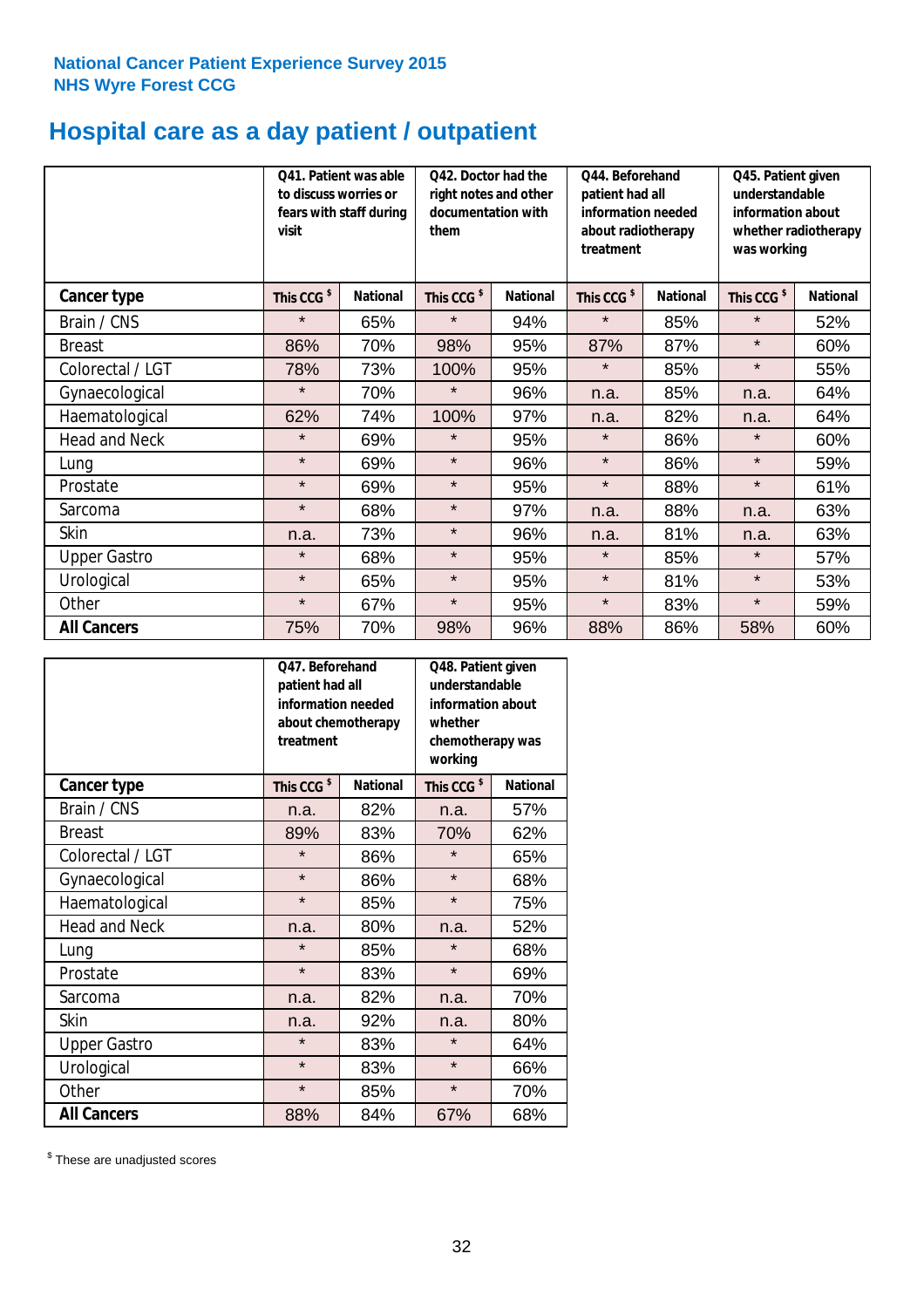## **Hospital care as a day patient / outpatient**

|                      | to discuss worries or<br>visit | Q41. Patient was able<br>fears with staff during | Q42. Doctor had the<br>right notes and other<br>documentation with<br>them |                 | Q44. Beforehand<br>patient had all<br>information needed<br>about radiotherapy<br>treatment |                 | Q45. Patient given<br>understandable<br>information about<br>whether radiotherapy<br>was working |                 |
|----------------------|--------------------------------|--------------------------------------------------|----------------------------------------------------------------------------|-----------------|---------------------------------------------------------------------------------------------|-----------------|--------------------------------------------------------------------------------------------------|-----------------|
| Cancer type          | This CCG <sup>\$</sup>         | <b>National</b>                                  | This CCG <sup>\$</sup>                                                     | <b>National</b> | This CCG <sup>\$</sup>                                                                      | <b>National</b> | This CCG <sup>\$</sup>                                                                           | <b>National</b> |
| Brain / CNS          | $\star$                        | 65%                                              | $\star$                                                                    | 94%             | $\star$                                                                                     | 85%             | $\star$                                                                                          | 52%             |
| <b>Breast</b>        | 86%                            | 70%                                              | 98%                                                                        | 95%             | 87%                                                                                         | 87%             | $\star$                                                                                          | 60%             |
| Colorectal / LGT     | 78%                            | 73%                                              | 100%                                                                       | 95%             | $\star$                                                                                     | 85%             | $\star$                                                                                          | 55%             |
| Gynaecological       | $\star$                        | 70%                                              | $\star$                                                                    | 96%             | n.a.                                                                                        | 85%             | n.a.                                                                                             | 64%             |
| Haematological       | 62%                            | 74%                                              | 100%                                                                       | 97%             | n.a.                                                                                        | 82%             | n.a.                                                                                             | 64%             |
| <b>Head and Neck</b> | $\star$                        | 69%                                              | $\star$                                                                    | 95%             | $\star$                                                                                     | 86%             | $\star$                                                                                          | 60%             |
| Lung                 | $\star$                        | 69%                                              | $\star$                                                                    | 96%             | $\star$                                                                                     | 86%             | $\star$                                                                                          | 59%             |
| Prostate             | $\star$                        | 69%                                              | $\star$                                                                    | 95%             | $\star$                                                                                     | 88%             | $\star$                                                                                          | 61%             |
| Sarcoma              | $\star$                        | 68%                                              | $\star$                                                                    | 97%             | n.a.                                                                                        | 88%             | n.a.                                                                                             | 63%             |
| Skin                 | n.a.                           | 73%                                              | $\star$                                                                    | 96%             | n.a.                                                                                        | 81%             | n.a.                                                                                             | 63%             |
| <b>Upper Gastro</b>  | $\star$                        | 68%                                              | $\star$                                                                    | 95%             | $\star$                                                                                     | 85%             | $\star$                                                                                          | 57%             |
| Urological           | $\star$                        | 65%                                              | $\star$                                                                    | 95%             | $\star$                                                                                     | 81%             | $\star$                                                                                          | 53%             |
| Other                | $\star$                        | 67%                                              | $\star$                                                                    | 95%             | $\star$                                                                                     | 83%             | $\star$                                                                                          | 59%             |
| <b>All Cancers</b>   | 75%                            | 70%                                              | 98%                                                                        | 96%             | 88%                                                                                         | 86%             | 58%                                                                                              | 60%             |

|                      | O47. Beforehand<br>patient had all<br>information needed<br>treatment | about chemotherapy | Q48. Patient given<br>understandable<br>information about<br>whether<br>chemotherapy was<br>working |                 |  |
|----------------------|-----------------------------------------------------------------------|--------------------|-----------------------------------------------------------------------------------------------------|-----------------|--|
| <b>Cancer type</b>   | This CCG <sup>\$</sup>                                                | <b>National</b>    | This CCG <sup>\$</sup>                                                                              | <b>National</b> |  |
| Brain / CNS          | n.a.                                                                  | 82%                | n.a.                                                                                                | 57%             |  |
| <b>Breast</b>        | 89%                                                                   | 83%                | 70%                                                                                                 | 62%             |  |
| Colorectal / LGT     | $\star$                                                               | 86%                | $\star$                                                                                             | 65%             |  |
| Gynaecological       | $\star$                                                               | 86%                |                                                                                                     | 68%             |  |
| Haematological       | $\star$<br>85%                                                        |                    | $\star$                                                                                             | 75%             |  |
| <b>Head and Neck</b> | n.a.                                                                  | 80%                | n.a.                                                                                                | 52%             |  |
| Lung                 | $\star$                                                               | 85%                | $\star$                                                                                             | 68%             |  |
| Prostate             | $\star$                                                               | 83%                | $\star$                                                                                             | 69%             |  |
| Sarcoma              | n.a.                                                                  | 82%                | n.a.                                                                                                | 70%             |  |
| Skin                 | n.a.                                                                  | 92%                | n.a.                                                                                                | 80%             |  |
| <b>Upper Gastro</b>  | $\star$                                                               | 83%                | $\star$                                                                                             | 64%             |  |
| Urological           | $\star$                                                               | 83%                | $\star$                                                                                             | 66%             |  |
| Other                | $\star$                                                               | 85%                | $\star$                                                                                             | 70%             |  |
| <b>All Cancers</b>   | 88%                                                                   | 84%                | 67%                                                                                                 | 68%             |  |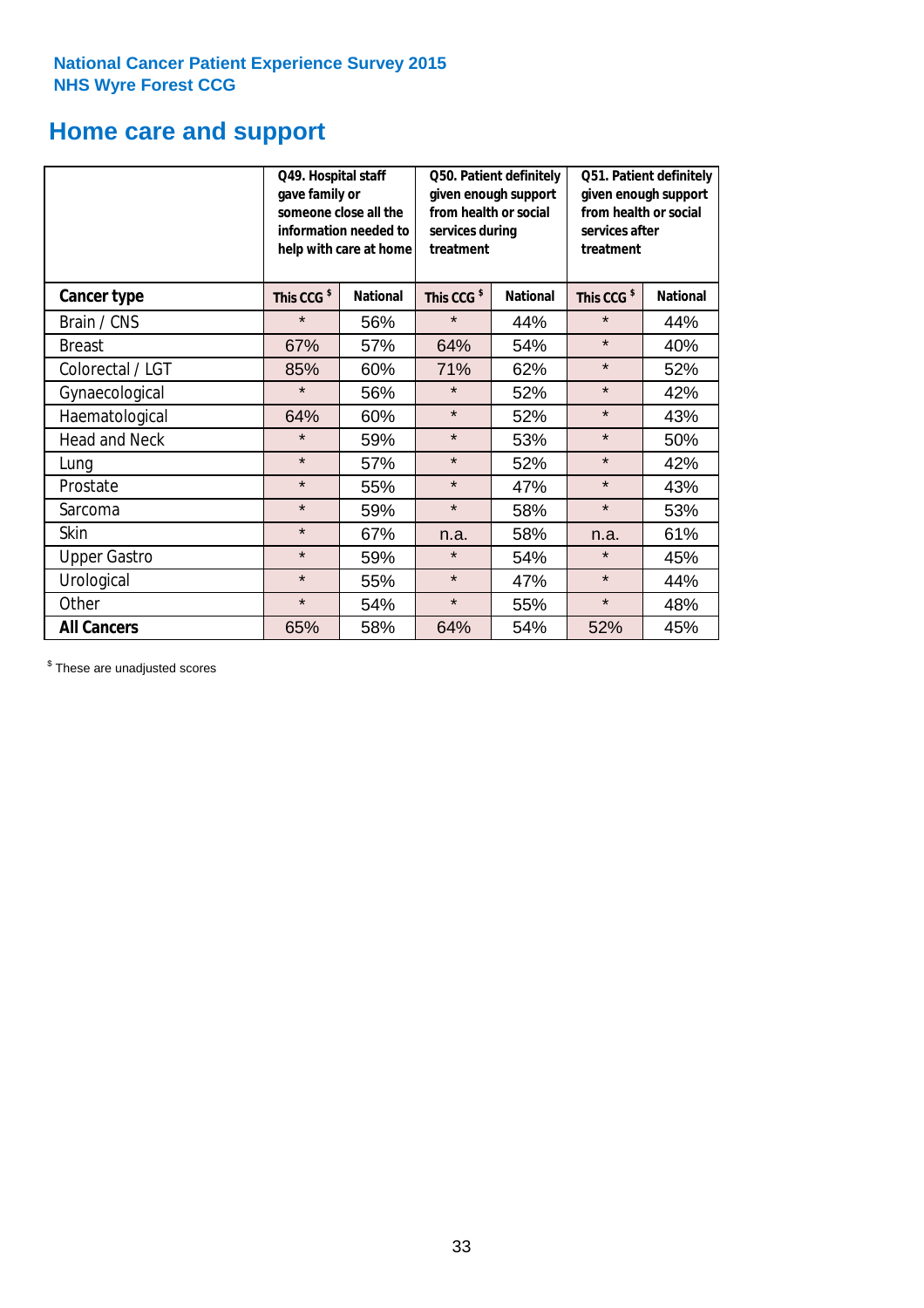## **Home care and support**

|                      | Q49. Hospital staff<br>gave family or | someone close all the<br>information needed to<br>help with care at home | Q50. Patient definitely<br>given enough support<br>from health or social<br>services during<br>treatment |                 | Q51. Patient definitely<br>given enough support<br>from health or social<br>services after<br>treatment |                 |  |
|----------------------|---------------------------------------|--------------------------------------------------------------------------|----------------------------------------------------------------------------------------------------------|-----------------|---------------------------------------------------------------------------------------------------------|-----------------|--|
| <b>Cancer type</b>   | This CCG <sup>\$</sup>                | <b>National</b>                                                          | This CCG <sup>\$</sup>                                                                                   | <b>National</b> | This CCG <sup>\$</sup>                                                                                  | <b>National</b> |  |
| Brain / CNS          | $\star$                               | 56%                                                                      | $\star$                                                                                                  | 44%             | $\star$                                                                                                 | 44%             |  |
| <b>Breast</b>        | 67%                                   | 57%                                                                      | 64%                                                                                                      | 54%             | $\star$                                                                                                 | 40%             |  |
| Colorectal / LGT     | 85%                                   | 60%                                                                      | 71%                                                                                                      | 62%             | $\star$                                                                                                 | 52%             |  |
| Gynaecological       | $\star$                               | 56%                                                                      | $\star$                                                                                                  | 52%             | $\star$                                                                                                 | 42%             |  |
| Haematological       | 64%                                   | 60%                                                                      | $\star$                                                                                                  | 52%             | $\star$                                                                                                 | 43%             |  |
| <b>Head and Neck</b> | $\star$                               | 59%                                                                      | $\star$                                                                                                  | 53%             | $\star$                                                                                                 | 50%             |  |
| Lung                 | $\star$                               | 57%                                                                      | $\star$                                                                                                  | 52%             | $\star$                                                                                                 | 42%             |  |
| Prostate             | $\star$                               | 55%                                                                      | $\star$                                                                                                  | 47%             | $\star$                                                                                                 | 43%             |  |
| Sarcoma              | $\star$                               | 59%                                                                      | $\star$                                                                                                  | 58%             | $\star$                                                                                                 | 53%             |  |
| Skin                 | $\star$                               | 67%                                                                      | n.a.                                                                                                     | 58%             | n.a.                                                                                                    | 61%             |  |
| <b>Upper Gastro</b>  | $\star$                               | 59%                                                                      | $\star$                                                                                                  | 54%             | $\star$                                                                                                 | 45%             |  |
| Urological           | $\star$                               | 55%                                                                      | $\star$                                                                                                  | 47%             | $\star$                                                                                                 | 44%             |  |
| Other                | $\star$                               | 54%                                                                      | $\star$<br>55%                                                                                           |                 | $\star$                                                                                                 | 48%             |  |
| <b>All Cancers</b>   | 65%                                   | 58%                                                                      | 64%                                                                                                      | 54%             | 52%                                                                                                     | 45%             |  |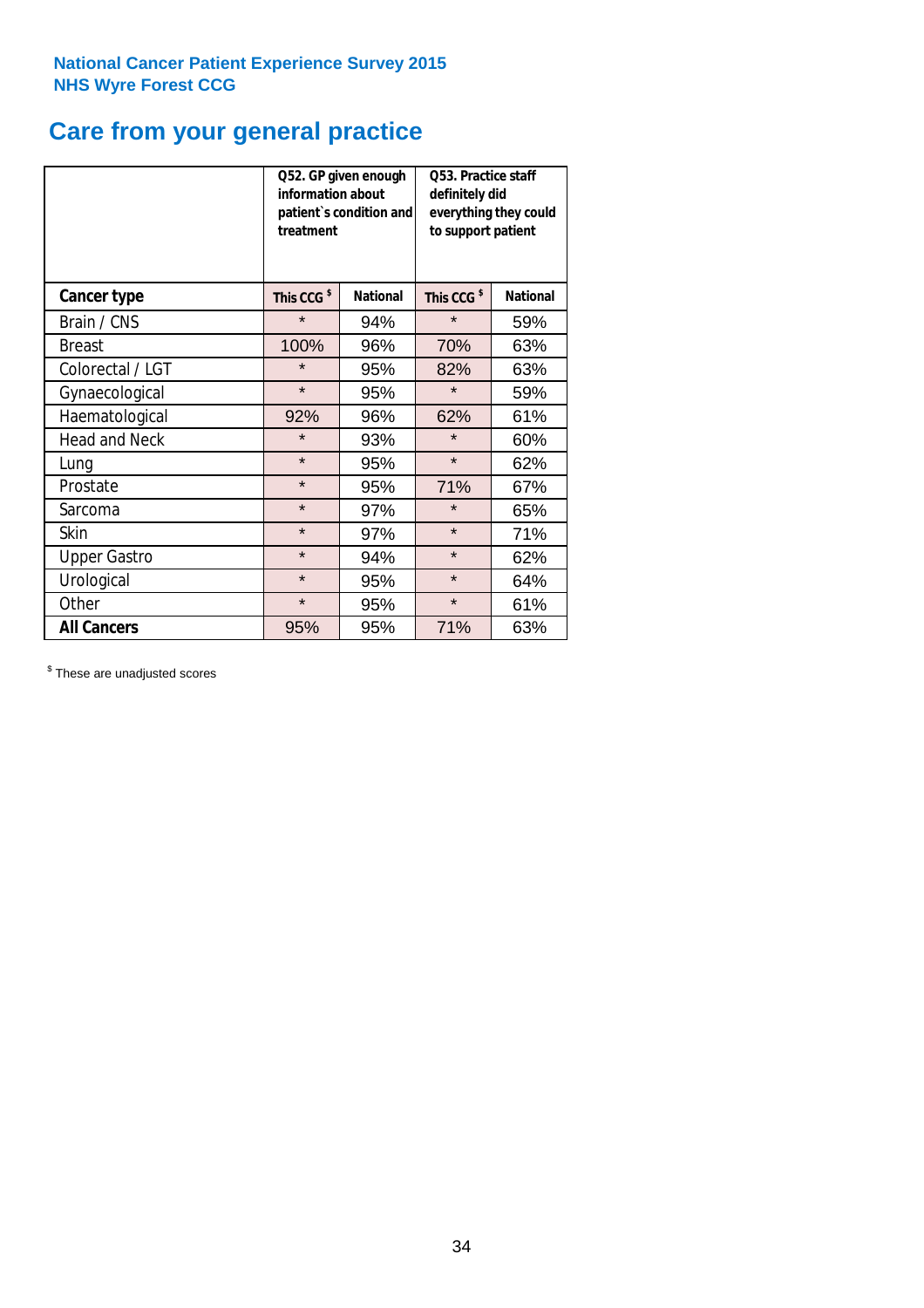## **Care from your general practice**

|                      | information about<br>treatment | Q52. GP given enough<br>patient's condition and | O53. Practice staff<br>definitely did<br>everything they could<br>to support patient |                 |  |
|----------------------|--------------------------------|-------------------------------------------------|--------------------------------------------------------------------------------------|-----------------|--|
| <b>Cancer type</b>   | This CCG <sup>\$</sup>         | <b>National</b>                                 | This CCG <sup>\$</sup>                                                               | <b>National</b> |  |
| Brain / CNS          | $\star$                        | 94%                                             | $\star$                                                                              | 59%             |  |
| <b>Breast</b>        | 100%                           | 96%                                             | 70%                                                                                  | 63%             |  |
| Colorectal / LGT     | $\star$                        | 95%                                             | 82%                                                                                  | 63%             |  |
| Gynaecological       | $\star$<br>95%                 |                                                 | $\star$                                                                              | 59%             |  |
| Haematological       | 92%                            | 96%                                             | 62%                                                                                  | 61%             |  |
| <b>Head and Neck</b> | $\star$                        | 93%                                             | $\star$                                                                              | 60%             |  |
| Lung                 | $\star$                        | 95%                                             | $\star$                                                                              | 62%             |  |
| Prostate             | $\star$                        | 95%                                             | 71%                                                                                  | 67%             |  |
| Sarcoma              | $\star$                        | 97%                                             | $\star$                                                                              | 65%             |  |
| Skin                 | $\star$                        | 97%                                             | $\star$                                                                              | 71%             |  |
| <b>Upper Gastro</b>  | $\star$                        | 94%                                             | $\star$                                                                              | 62%             |  |
| Urological           | $\star$                        | 95%                                             | $\star$                                                                              | 64%             |  |
| Other                | $\star$                        | 95%                                             | $\star$                                                                              | 61%             |  |
| <b>All Cancers</b>   | 95%                            | 95%                                             | 71%                                                                                  | 63%             |  |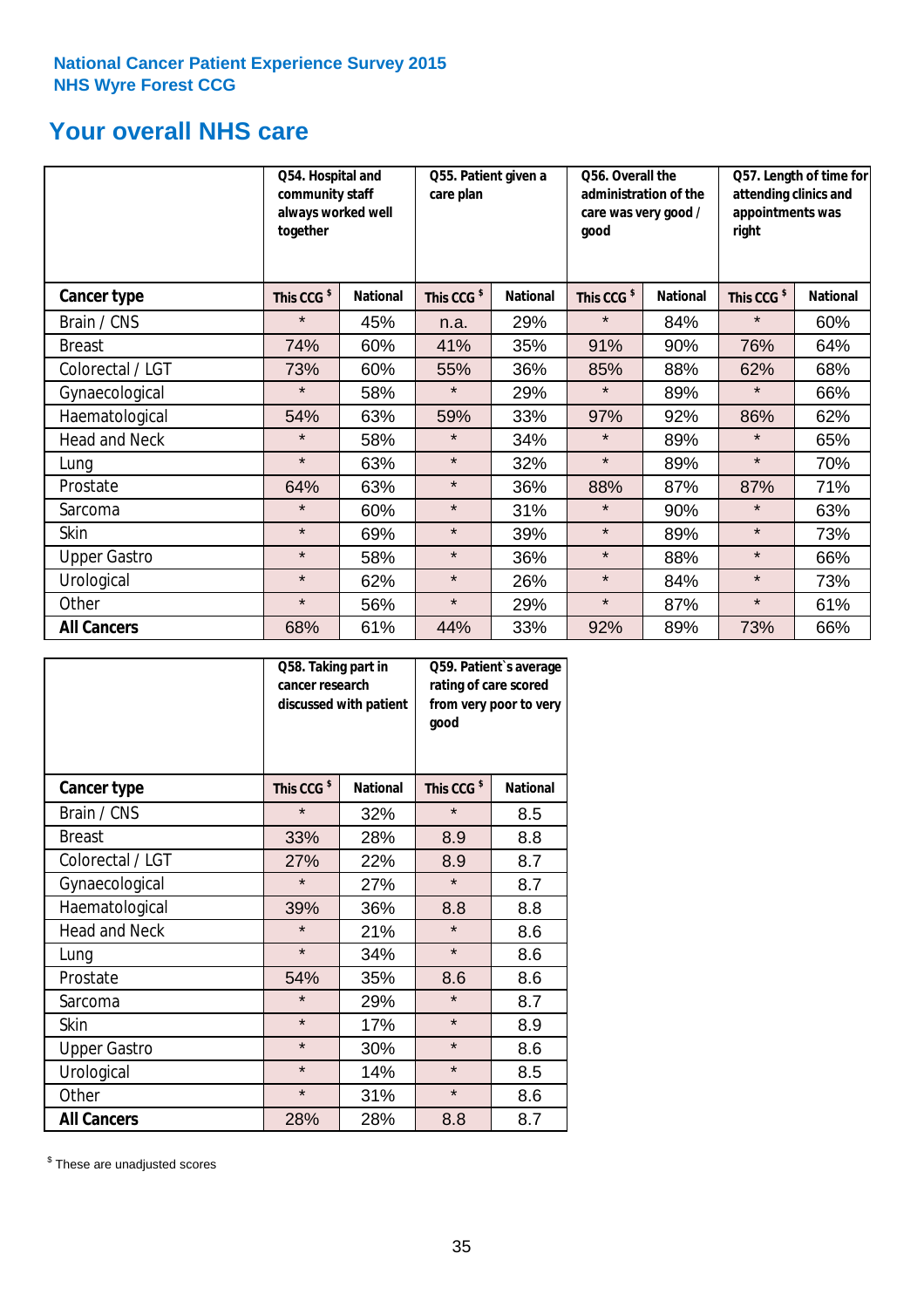## **Your overall NHS care**

|                      | Q54. Hospital and<br>community staff<br>always worked well<br>together |                 | Q55. Patient given a<br>care plan |                 | qood                   | Q56. Overall the<br>administration of the<br>care was very good / |                        | Q57. Length of time for<br>attending clinics and<br>appointments was<br>right |  |
|----------------------|------------------------------------------------------------------------|-----------------|-----------------------------------|-----------------|------------------------|-------------------------------------------------------------------|------------------------|-------------------------------------------------------------------------------|--|
| Cancer type          | This CCG <sup>\$</sup>                                                 | <b>National</b> | This CCG <sup>\$</sup>            | <b>National</b> | This CCG <sup>\$</sup> | <b>National</b>                                                   | This CCG <sup>\$</sup> | <b>National</b>                                                               |  |
| Brain / CNS          | $\star$                                                                | 45%             | n.a.                              | 29%             | $\star$                | 84%                                                               | $\star$                | 60%                                                                           |  |
| <b>Breast</b>        | 74%                                                                    | 60%             | 41%                               | 35%             | 91%                    | 90%                                                               | 76%                    | 64%                                                                           |  |
| Colorectal / LGT     | 73%                                                                    | 60%             | 55%                               | 36%             | 85%                    | 88%                                                               | 62%                    | 68%                                                                           |  |
| Gynaecological       | $\star$                                                                | 58%             | $\star$                           | 29%             | $\star$                | 89%                                                               | $\star$                | 66%                                                                           |  |
| Haematological       | 54%                                                                    | 63%             | 59%                               | 33%             | 97%                    | 92%                                                               | 86%                    | 62%                                                                           |  |
| <b>Head and Neck</b> | $\star$                                                                | 58%             | $\star$                           | 34%             | $\star$                | 89%                                                               | $\star$                | 65%                                                                           |  |
| Lung                 | $\star$                                                                | 63%             | $\star$                           | 32%             | $\star$                | 89%                                                               | $\star$                | 70%                                                                           |  |
| Prostate             | 64%                                                                    | 63%             | $\star$                           | 36%             | 88%                    | 87%                                                               | 87%                    | 71%                                                                           |  |
| Sarcoma              | $\star$                                                                | 60%             | $\star$                           | 31%             | $\star$                | 90%                                                               | $\star$                | 63%                                                                           |  |
| Skin                 | $\star$                                                                | 69%             | $\star$                           | 39%             | $\star$                | 89%                                                               | $\star$                | 73%                                                                           |  |
| <b>Upper Gastro</b>  | $\star$                                                                | 58%             | $\star$                           | 36%             | $\star$                | 88%                                                               | $\star$                | 66%                                                                           |  |
| Urological           | $\star$                                                                | 62%             | $\star$                           | 26%             | $\star$                | 84%                                                               | $\star$                | 73%                                                                           |  |
| Other                | $\star$                                                                | 56%             | $\star$                           | 29%             | $\star$                | 87%                                                               | $\star$                | 61%                                                                           |  |
| <b>All Cancers</b>   | 68%                                                                    | 61%             | 44%                               | 33%             | 92%                    | 89%                                                               | 73%                    | 66%                                                                           |  |

|                      | Q58. Taking part in<br>cancer research | discussed with patient | Q59. Patient's average<br>rating of care scored<br>from very poor to very<br>good |                 |  |
|----------------------|----------------------------------------|------------------------|-----------------------------------------------------------------------------------|-----------------|--|
| <b>Cancer type</b>   | This CCG <sup>\$</sup>                 | <b>National</b>        | This CCG <sup>\$</sup>                                                            | <b>National</b> |  |
| Brain / CNS          | $\star$                                | 32%                    | $\star$                                                                           | 8.5             |  |
| <b>Breast</b>        | 33%                                    | 28%                    | 8.9                                                                               | 8.8             |  |
| Colorectal / LGT     | 27%                                    | 22%                    | 8.9                                                                               | 8.7             |  |
| Gynaecological       | $\star$<br>27%                         |                        | $\star$                                                                           | 8.7             |  |
| Haematological       | 39%                                    | 36%                    |                                                                                   | 8.8             |  |
| <b>Head and Neck</b> | $\star$                                | 21%                    | $\star$                                                                           | 8.6             |  |
| Lung                 | $\star$                                | 34%                    | $\star$                                                                           | 8.6             |  |
| Prostate             | 54%                                    | 35%                    | 8.6                                                                               | 8.6             |  |
| Sarcoma              | $\star$                                | 29%                    | $\star$                                                                           | 8.7             |  |
| Skin                 | $\star$                                | 17%                    | $\star$                                                                           | 8.9             |  |
| <b>Upper Gastro</b>  | $\star$                                | 30%                    | $\star$                                                                           | 8.6             |  |
| Urological           | $\star$                                | 14%                    | $\star$                                                                           | 8.5             |  |
| Other                | $\star$                                | 31%                    | $\star$                                                                           | 8.6             |  |
| <b>All Cancers</b>   | 28%                                    | 28%                    | 8.8                                                                               | 8.7             |  |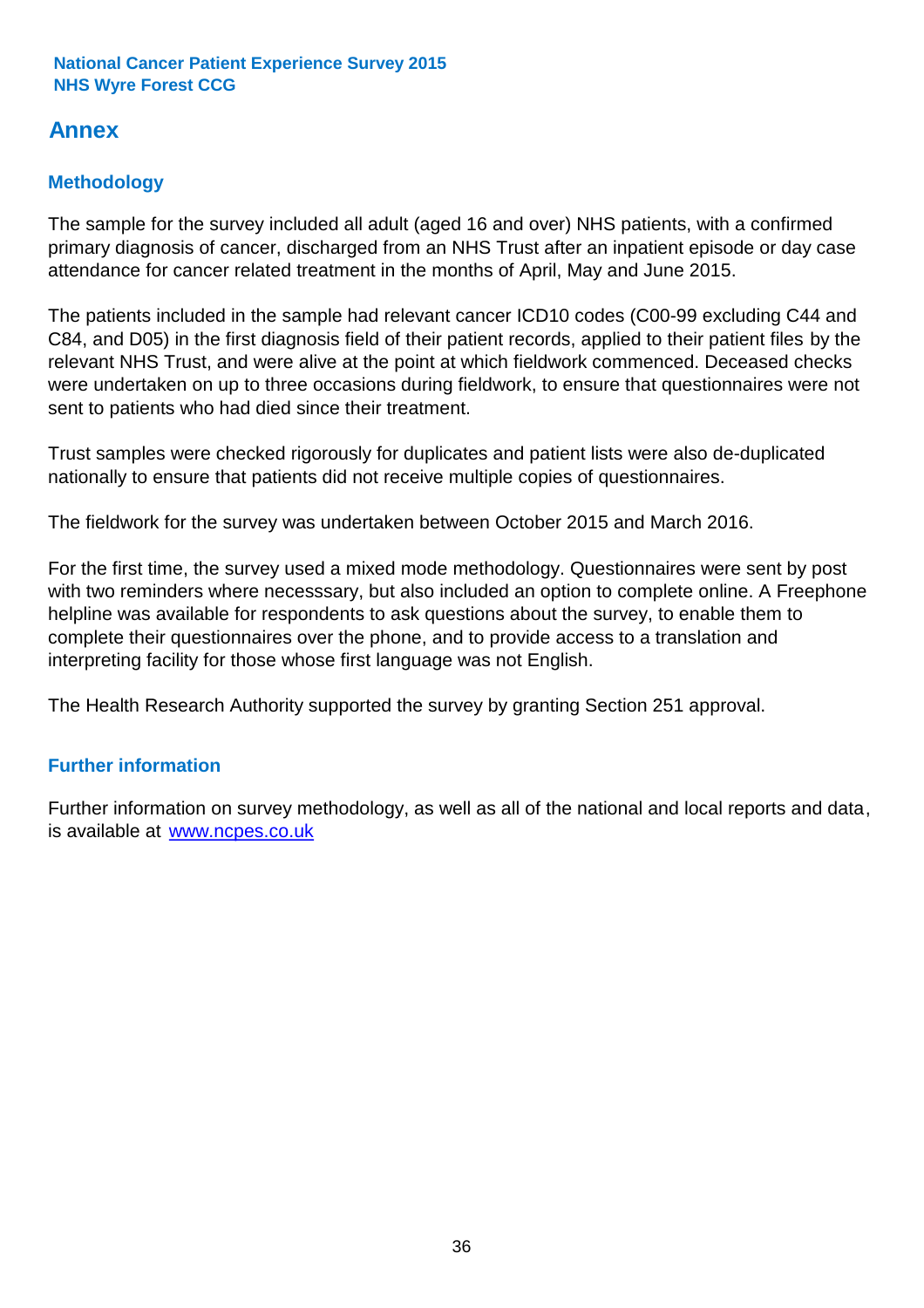## **Annex**

## **Methodology**

The sample for the survey included all adult (aged 16 and over) NHS patients, with a confirmed primary diagnosis of cancer, discharged from an NHS Trust after an inpatient episode or day case attendance for cancer related treatment in the months of April, May and June 2015.

The patients included in the sample had relevant cancer ICD10 codes (C00-99 excluding C44 and C84, and D05) in the first diagnosis field of their patient records, applied to their patient files by the relevant NHS Trust, and were alive at the point at which fieldwork commenced. Deceased checks were undertaken on up to three occasions during fieldwork, to ensure that questionnaires were not sent to patients who had died since their treatment.

Trust samples were checked rigorously for duplicates and patient lists were also de-duplicated nationally to ensure that patients did not receive multiple copies of questionnaires.

The fieldwork for the survey was undertaken between October 2015 and March 2016.

For the first time, the survey used a mixed mode methodology. Questionnaires were sent by post with two reminders where necesssary, but also included an option to complete online. A Freephone helpline was available for respondents to ask questions about the survey, to enable them to complete their questionnaires over the phone, and to provide access to a translation and interpreting facility for those whose first language was not English.

The Health Research Authority supported the survey by granting Section 251 approval.

## **Further information**

Further information on survey methodology, as well as all of the national and local reports and data, is available at www.ncpes.co.uk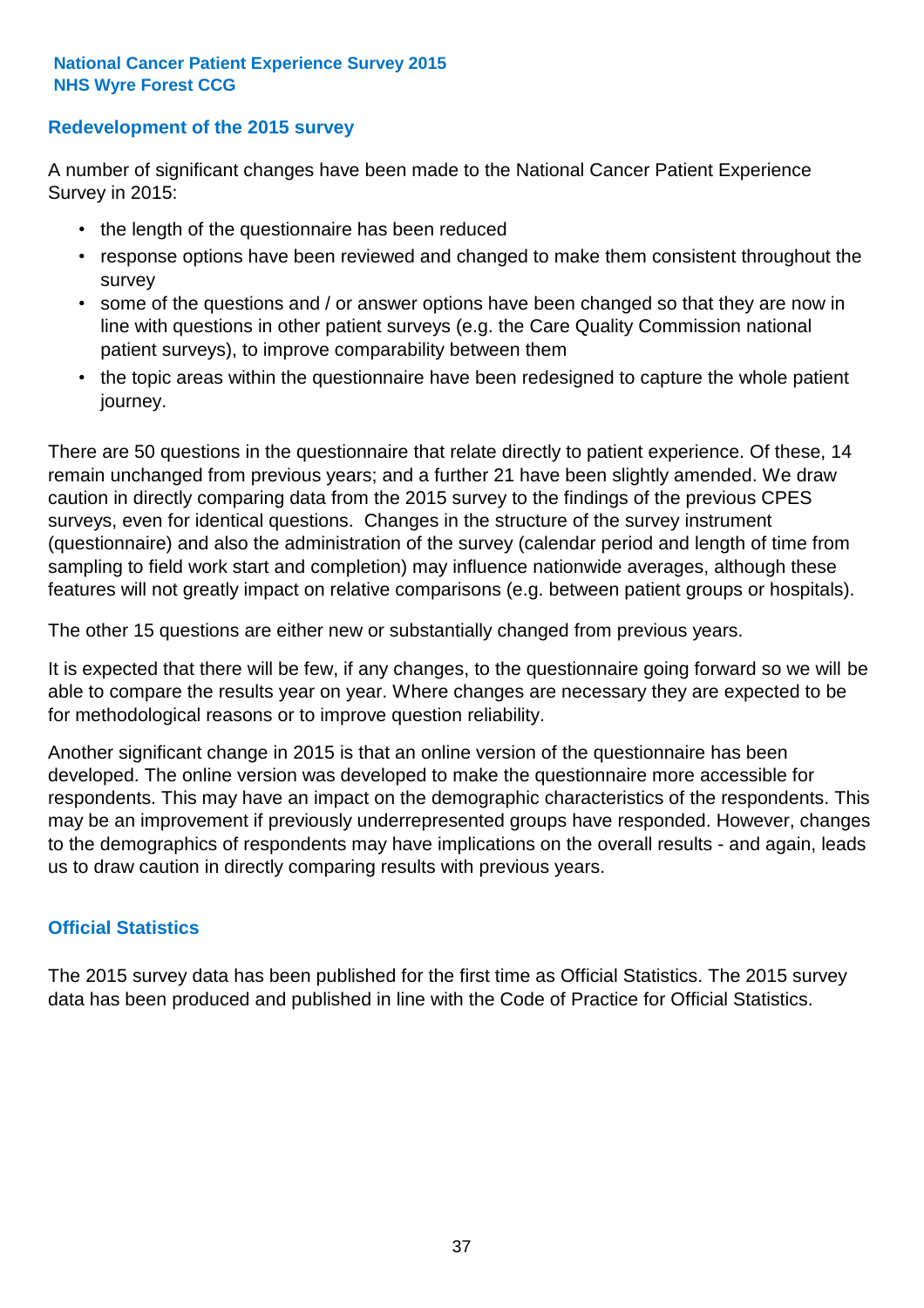## **Redevelopment of the 2015 survey**

A number of significant changes have been made to the National Cancer Patient Experience Survey in 2015:

- the length of the questionnaire has been reduced
- response options have been reviewed and changed to make them consistent throughout the survey
- some of the questions and / or answer options have been changed so that they are now in line with questions in other patient surveys (e.g. the Care Quality Commission national patient surveys), to improve comparability between them
- the topic areas within the questionnaire have been redesigned to capture the whole patient journey.

There are 50 questions in the questionnaire that relate directly to patient experience. Of these, 14 remain unchanged from previous years; and a further 21 have been slightly amended. We draw caution in directly comparing data from the 2015 survey to the findings of the previous CPES surveys, even for identical questions. Changes in the structure of the survey instrument (questionnaire) and also the administration of the survey (calendar period and length of time from sampling to field work start and completion) may influence nationwide averages, although these features will not greatly impact on relative comparisons (e.g. between patient groups or hospitals).

The other 15 questions are either new or substantially changed from previous years.

It is expected that there will be few, if any changes, to the questionnaire going forward so we will be able to compare the results year on year. Where changes are necessary they are expected to be for methodological reasons or to improve question reliability.

Another significant change in 2015 is that an online version of the questionnaire has been developed. The online version was developed to make the questionnaire more accessible for respondents. This may have an impact on the demographic characteristics of the respondents. This may be an improvement if previously underrepresented groups have responded. However, changes to the demographics of respondents may have implications on the overall results - and again, leads us to draw caution in directly comparing results with previous years.

## **Official Statistics**

The 2015 survey data has been published for the first time as Official Statistics. The 2015 survey data has been produced and published in line with the Code of Practice for Official Statistics.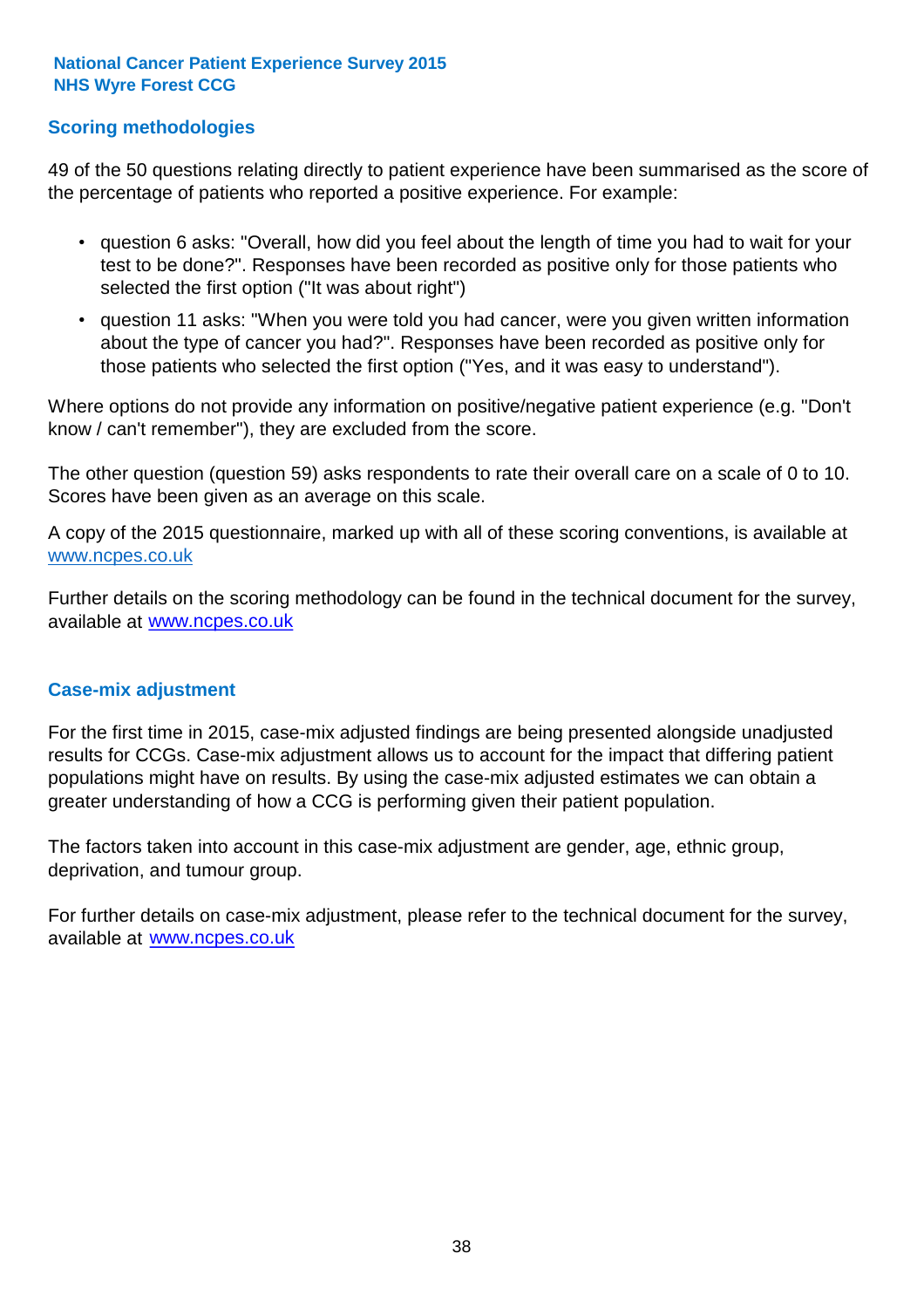## **Scoring methodologies**

49 of the 50 questions relating directly to patient experience have been summarised as the score of the percentage of patients who reported a positive experience. For example:

- question 6 asks: "Overall, how did you feel about the length of time you had to wait for your test to be done?". Responses have been recorded as positive only for those patients who selected the first option ("It was about right")
- question 11 asks: "When you were told you had cancer, were you given written information about the type of cancer you had?". Responses have been recorded as positive only for those patients who selected the first option ("Yes, and it was easy to understand").

Where options do not provide any information on positive/negative patient experience (e.g. "Don't know / can't remember"), they are excluded from the score.

The other question (question 59) asks respondents to rate their overall care on a scale of 0 to 10. Scores have been given as an average on this scale.

A copy of the 2015 questionnaire, marked up with all of these scoring conventions, is available at www.ncpes.co.uk

Further details on the scoring methodology can be found in the technical document for the survey, available at <u>www.ncpes.co.uk</u>

### **Case-mix adjustment**

For the first time in 2015, case-mix adjusted findings are being presented alongside unadjusted results for CCGs. Case-mix adjustment allows us to account for the impact that differing patient populations might have on results. By using the case-mix adjusted estimates we can obtain a greater understanding of how a CCG is performing given their patient population.

The factors taken into account in this case-mix adjustment are gender, age, ethnic group, deprivation, and tumour group.

For further details on case-mix adjustment, please refer to the technical document for the survey, available at www.ncpes.co.uk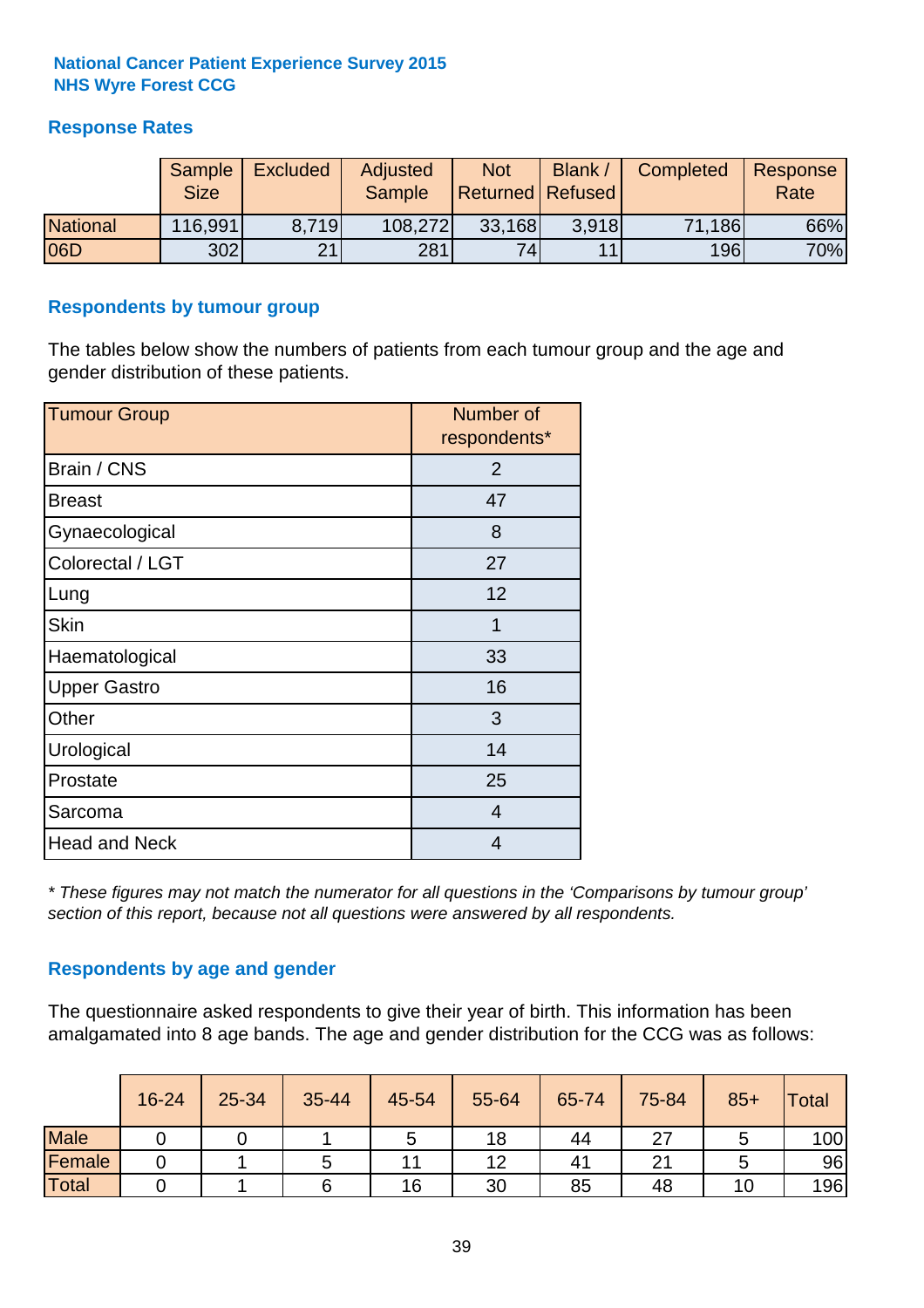## **Response Rates**

|                 | Sample<br><b>Size</b> | <b>Excluded</b> | Adjusted<br><b>Sample</b> | <b>Not</b><br><b>Returned Refused</b> | Blank /        | Completed | Response<br>Rate |
|-----------------|-----------------------|-----------------|---------------------------|---------------------------------------|----------------|-----------|------------------|
| <b>National</b> | 116,991               | 8.719           | 108,272                   | 33,168                                | 3.918          | 71,186    | 66%              |
| 06D             | 302                   | 21              | 281                       | 74                                    | 1 <sub>1</sub> | 196       | 70%              |

### **Respondents by tumour group**

The tables below show the numbers of patients from each tumour group and the age and gender distribution of these patients.

| <b>Tumour Group</b>  | Number of<br>respondents* |  |  |
|----------------------|---------------------------|--|--|
| Brain / CNS          | $\overline{2}$            |  |  |
| <b>Breast</b>        | 47                        |  |  |
| Gynaecological       | 8                         |  |  |
| Colorectal / LGT     | 27                        |  |  |
| Lung                 | 12                        |  |  |
| <b>Skin</b>          | 1                         |  |  |
| Haematological       | 33                        |  |  |
| <b>Upper Gastro</b>  | 16                        |  |  |
| Other                | 3                         |  |  |
| Urological           | 14                        |  |  |
| Prostate             | 25                        |  |  |
| Sarcoma              | $\overline{4}$            |  |  |
| <b>Head and Neck</b> | 4                         |  |  |

*\* These figures may not match the numerator for all questions in the 'Comparisons by tumour group' section of this report, because not all questions were answered by all respondents.*

## **Respondents by age and gender**

The questionnaire asked respondents to give their year of birth. This information has been amalgamated into 8 age bands. The age and gender distribution for the CCG was as follows:

|             | 16-24 | 25-34 | 35-44 | 45-54 | 55-64 | 65-74 | 75-84  | $85+$ | <b>Total</b> |
|-------------|-------|-------|-------|-------|-------|-------|--------|-------|--------------|
| <b>Male</b> |       |       |       | ັ     | 18    | 44    | ↷⇁     |       | 100          |
| Female      |       |       |       |       | 12    | 41    | $\sim$ |       | 96           |
| Total       |       |       |       | 16    | 30    | 85    | 48     | i U   | 196          |